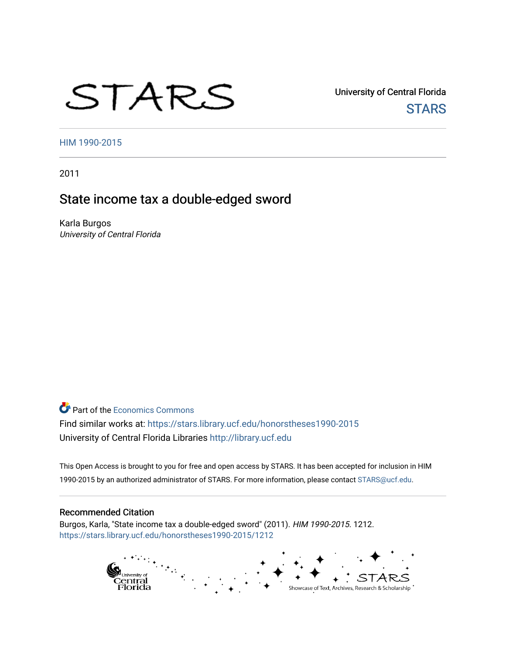# STARS

University of Central Florida **STARS** 

[HIM 1990-2015](https://stars.library.ucf.edu/honorstheses1990-2015) 

2011

# State income tax a double-edged sword

Karla Burgos University of Central Florida

**Part of the [Economics Commons](http://network.bepress.com/hgg/discipline/340?utm_source=stars.library.ucf.edu%2Fhonorstheses1990-2015%2F1212&utm_medium=PDF&utm_campaign=PDFCoverPages)** Find similar works at: <https://stars.library.ucf.edu/honorstheses1990-2015> University of Central Florida Libraries [http://library.ucf.edu](http://library.ucf.edu/) 

This Open Access is brought to you for free and open access by STARS. It has been accepted for inclusion in HIM 1990-2015 by an authorized administrator of STARS. For more information, please contact [STARS@ucf.edu](mailto:STARS@ucf.edu).

#### Recommended Citation

Burgos, Karla, "State income tax a double-edged sword" (2011). HIM 1990-2015. 1212. [https://stars.library.ucf.edu/honorstheses1990-2015/1212](https://stars.library.ucf.edu/honorstheses1990-2015/1212?utm_source=stars.library.ucf.edu%2Fhonorstheses1990-2015%2F1212&utm_medium=PDF&utm_campaign=PDFCoverPages) 

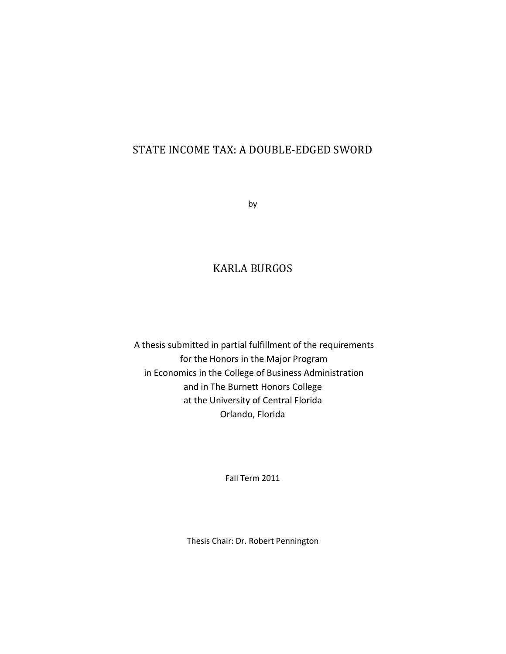## STATE INCOME TAX: A DOUBLE-EDGED SWORD

by

## KARLA BURGOS

A thesis submitted in partial fulfillment of the requirements for the Honors in the Major Program in Economics in the College of Business Administration and in The Burnett Honors College at the University of Central Florida Orlando, Florida

Fall Term 2011

Thesis Chair: Dr. Robert Pennington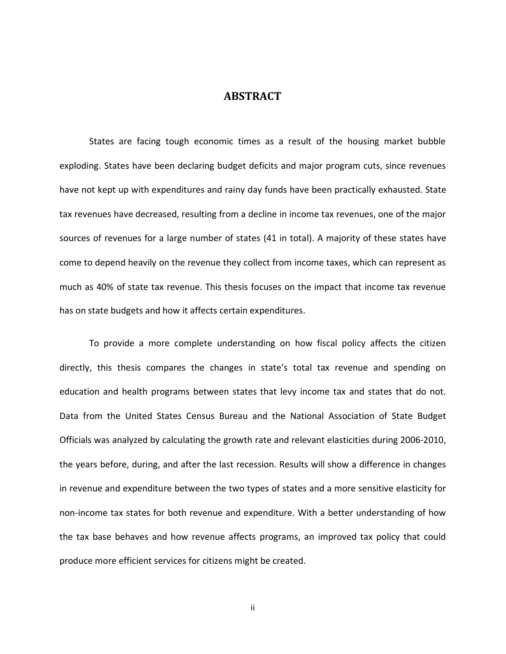#### **ABSTRACT**

States are facing tough economic times as a result of the housing market bubble exploding. States have been declaring budget deficits and major program cuts, since revenues have not kept up with expenditures and rainy day funds have been practically exhausted. State tax revenues have decreased, resulting from a decline in income tax revenues, one of the major sources of revenues for a large number of states (41 in total). A majority of these states have come to depend heavily on the revenue they collect from income taxes, which can represent as much as 40% of state tax revenue. This thesis focuses on the impact that income tax revenue has on state budgets and how it affects certain expenditures.

To provide a more complete understanding on how fiscal policy affects the citizen directly, this thesis compares the changes in state's total tax revenue and spending on education and health programs between states that levy income tax and states that do not. Data from the United States Census Bureau and the National Association of State Budget Officials was analyzed by calculating the growth rate and relevant elasticities during 2006-2010, the years before, during, and after the last recession. Results will show a difference in changes in revenue and expenditure between the two types of states and a more sensitive elasticity for non-income tax states for both revenue and expenditure. With a better understanding of how the tax base behaves and how revenue affects programs, an improved tax policy that could produce more efficient services for citizens might be created.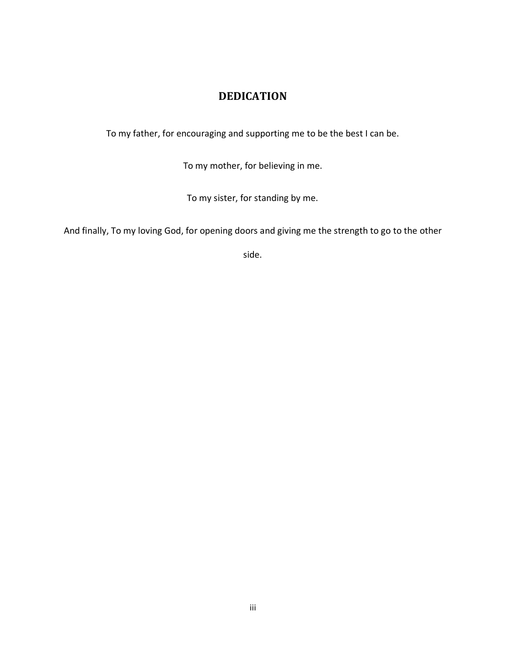## **DEDICATION**

To my father, for encouraging and supporting me to be the best I can be.

To my mother, for believing in me.

To my sister, for standing by me.

And finally, To my loving God, for opening doors and giving me the strength to go to the other

side.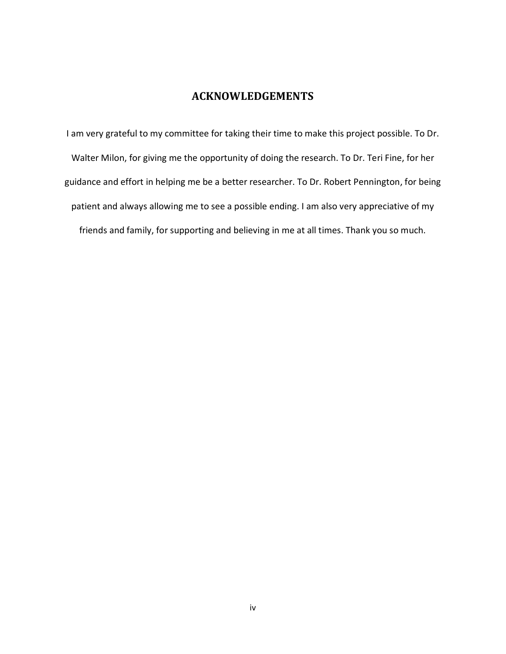## **ACKNOWLEDGEMENTS**

I am very grateful to my committee for taking their time to make this project possible. To Dr. Walter Milon, for giving me the opportunity of doing the research. To Dr. Teri Fine, for her guidance and effort in helping me be a better researcher. To Dr. Robert Pennington, for being patient and always allowing me to see a possible ending. I am also very appreciative of my friends and family, for supporting and believing in me at all times. Thank you so much.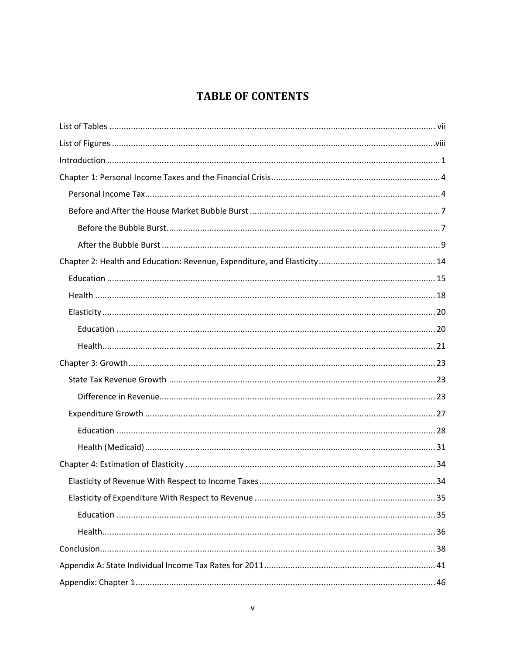# **TABLE OF CONTENTS**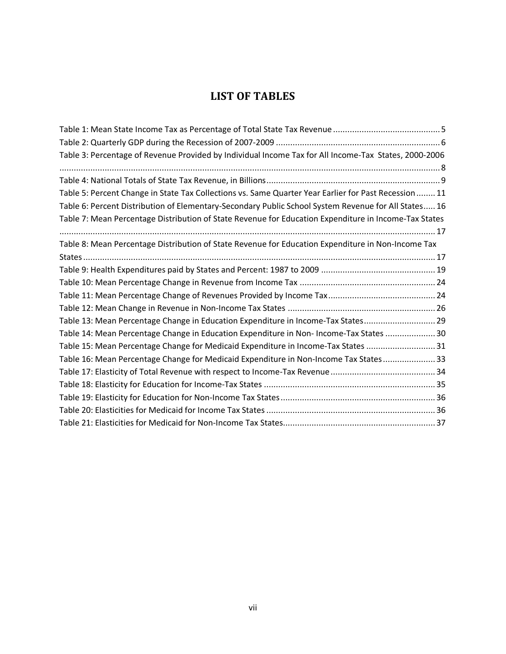## **LIST OF TABLES**

<span id="page-7-0"></span>

| Table 3: Percentage of Revenue Provided by Individual Income Tax for All Income-Tax States, 2000-2006    |
|----------------------------------------------------------------------------------------------------------|
|                                                                                                          |
|                                                                                                          |
| Table 5: Percent Change in State Tax Collections vs. Same Quarter Year Earlier for Past Recession 11     |
| 16. Table 6: Percent Distribution of Elementary-Secondary Public School System Revenue for All States 16 |
| Table 7: Mean Percentage Distribution of State Revenue for Education Expenditure in Income-Tax States    |
|                                                                                                          |
| Table 8: Mean Percentage Distribution of State Revenue for Education Expenditure in Non-Income Tax       |
|                                                                                                          |
|                                                                                                          |
|                                                                                                          |
|                                                                                                          |
|                                                                                                          |
| Table 13: Mean Percentage Change in Education Expenditure in Income-Tax States 29                        |
| Table 14: Mean Percentage Change in Education Expenditure in Non- Income-Tax States  30                  |
| Table 15: Mean Percentage Change for Medicaid Expenditure in Income-Tax States  31                       |
| Table 16: Mean Percentage Change for Medicaid Expenditure in Non-Income Tax States 33                    |
|                                                                                                          |
|                                                                                                          |
|                                                                                                          |
|                                                                                                          |
|                                                                                                          |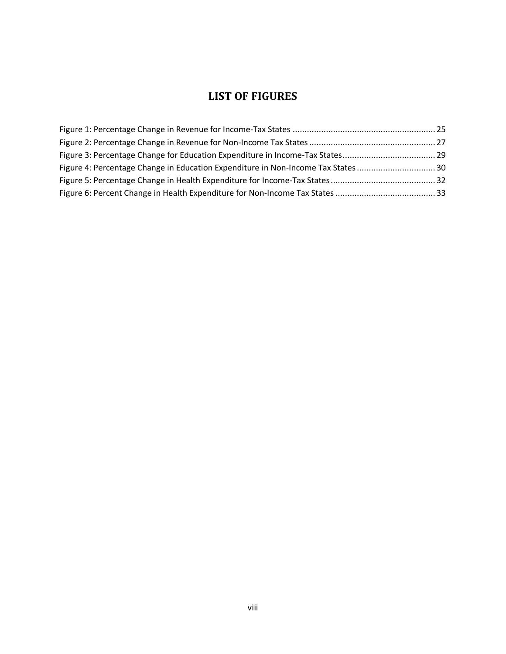## **LIST OF FIGURES**

<span id="page-8-0"></span>

| Figure 4: Percentage Change in Education Expenditure in Non-Income Tax States30 |  |
|---------------------------------------------------------------------------------|--|
|                                                                                 |  |
|                                                                                 |  |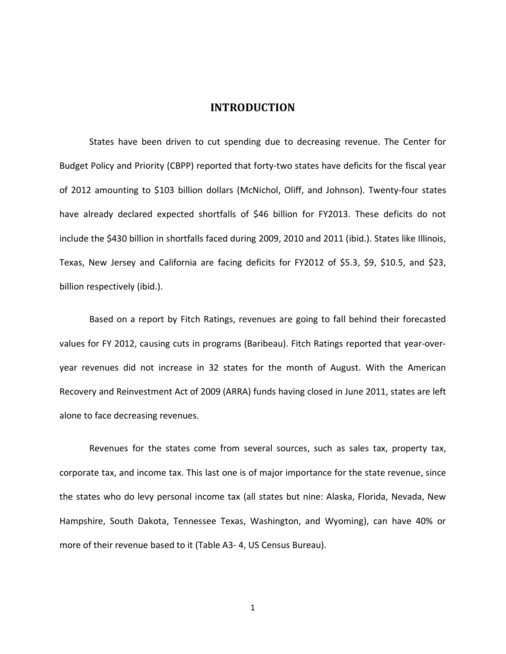#### **INTRODUCTION**

<span id="page-9-0"></span>States have been driven to cut spending due to decreasing revenue. The Center for Budget Policy and Priority (CBPP) reported that forty-two states have deficits for the fiscal year of 2012 amounting to \$103 billion dollars (McNichol, Oliff, and Johnson). Twenty-four states have already declared expected shortfalls of \$46 billion for FY2013. These deficits do not include the \$430 billion in shortfalls faced during 2009, 2010 and 2011 (ibid.). States like Illinois, Texas, New Jersey and California are facing deficits for FY2012 of \$5.3, \$9, \$10.5, and \$23, billion respectively (ibid.).

Based on a report by Fitch Ratings, revenues are going to fall behind their forecasted values for FY 2012, causing cuts in programs (Baribeau). Fitch Ratings reported that year-overyear revenues did not increase in 32 states for the month of August. With the American Recovery and Reinvestment Act of 2009 (ARRA) funds having closed in June 2011, states are left alone to face decreasing revenues.

Revenues for the states come from several sources, such as sales tax, property tax, corporate tax, and income tax. This last one is of major importance for the state revenue, since the states who do levy personal income tax (all states but nine: Alaska, Florida, Nevada, New Hampshire, South Dakota, Tennessee Texas, Washington, and Wyoming), can have 40% or more of their revenue based to it [\(Table A3-](#page-70-0) 4, US Census Bureau).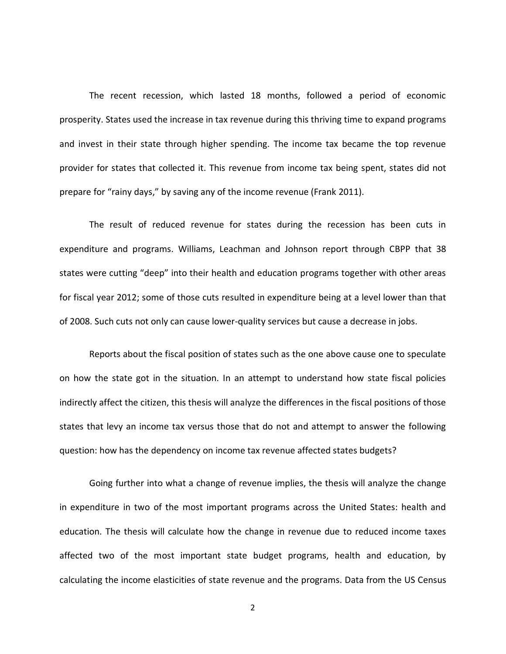The recent recession, which lasted 18 months, followed a period of economic prosperity. States used the increase in tax revenue during this thriving time to expand programs and invest in their state through higher spending. The income tax became the top revenue provider for states that collected it. This revenue from income tax being spent, states did not prepare for "rainy days," by saving any of the income revenue (Frank 2011).

The result of reduced revenue for states during the recession has been cuts in expenditure and programs. Williams, Leachman and Johnson report through CBPP that 38 states were cutting "deep" into their health and education programs together with other areas for fiscal year 2012; some of those cuts resulted in expenditure being at a level lower than that of 2008. Such cuts not only can cause lower-quality services but cause a decrease in jobs.

Reports about the fiscal position of states such as the one above cause one to speculate on how the state got in the situation. In an attempt to understand how state fiscal policies indirectly affect the citizen, this thesis will analyze the differences in the fiscal positions of those states that levy an income tax versus those that do not and attempt to answer the following question: how has the dependency on income tax revenue affected states budgets?

Going further into what a change of revenue implies, the thesis will analyze the change in expenditure in two of the most important programs across the United States: health and education. The thesis will calculate how the change in revenue due to reduced income taxes affected two of the most important state budget programs, health and education, by calculating the income elasticities of state revenue and the programs. Data from the US Census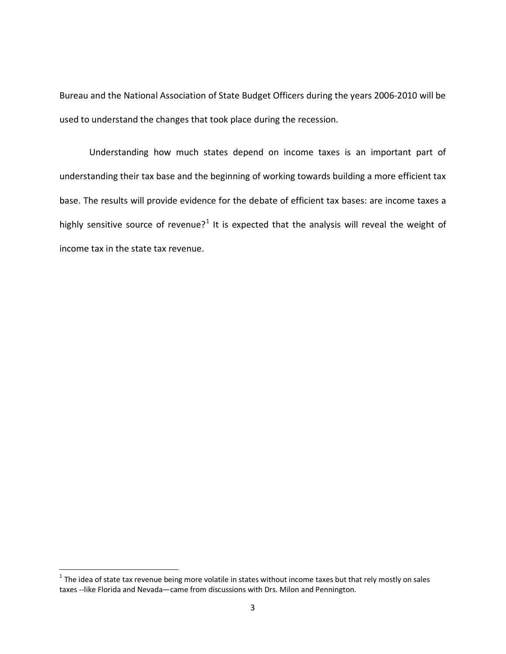Bureau and the National Association of State Budget Officers during the years 2006-2010 will be used to understand the changes that took place during the recession.

Understanding how much states depend on income taxes is an important part of understanding their tax base and the beginning of working towards building a more efficient tax base. The results will provide evidence for the debate of efficient tax bases: are income taxes a highly sensitive source of revenue?<sup>[1](#page-11-0)</sup> It is expected that the analysis will reveal the weight of income tax in the state tax revenue.

<span id="page-11-0"></span> $1$  The idea of state tax revenue being more volatile in states without income taxes but that rely mostly on sales taxes --like Florida and Nevada—came from discussions with Drs. Milon and Pennington.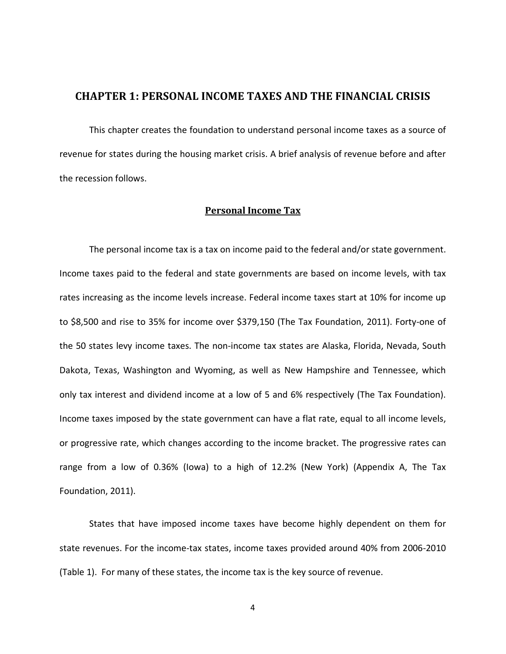#### <span id="page-12-0"></span>**CHAPTER 1: PERSONAL INCOME TAXES AND THE FINANCIAL CRISIS**

This chapter creates the foundation to understand personal income taxes as a source of revenue for states during the housing market crisis. A brief analysis of revenue before and after the recession follows.

#### **Personal Income Tax**

<span id="page-12-1"></span>The personal income tax is a tax on income paid to the federal and/or state government. Income taxes paid to the federal and state governments are based on income levels, with tax rates increasing as the income levels increase. Federal income taxes start at 10% for income up to \$8,500 and rise to 35% for income over \$379,150 (The Tax Foundation, 2011). Forty-one of the 50 states levy income taxes. The non-income tax states are Alaska, Florida, Nevada, South Dakota, Texas, Washington and Wyoming, as well as New Hampshire and Tennessee, which only tax interest and dividend income at a low of 5 and 6% respectively (The Tax Foundation). Income taxes imposed by the state government can have a flat rate, equal to all income levels, or progressive rate, which changes according to the income bracket. The progressive rates can range from a low of 0.36% (Iowa) to a high of 12.2% (New York) (Appendix A, The Tax Foundation, 2011).

States that have imposed income taxes have become highly dependent on them for state revenues. For the income-tax states, income taxes provided around 40% from 2006-2010 [\(Table 1\)](#page-13-0). For many of these states, the income tax is the key source of revenue.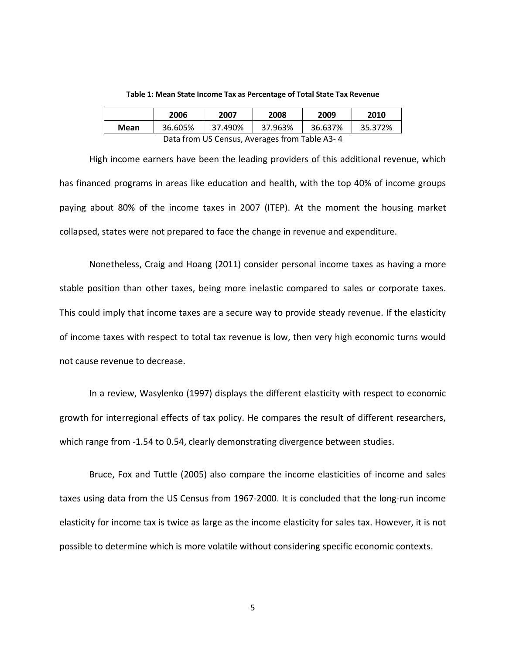<span id="page-13-0"></span>

|                                               | 2006    | 2007    | 2008    | 2009    | 2010    |  |
|-----------------------------------------------|---------|---------|---------|---------|---------|--|
| Mean                                          | 36.605% | 37.490% | 37.963% | 36.637% | 35.372% |  |
| Data from US Census, Averages from Table A3-4 |         |         |         |         |         |  |

**Table 1: Mean State Income Tax as Percentage of Total State Tax Revenue**

High income earners have been the leading providers of this additional revenue, which has financed programs in areas like education and health, with the top 40% of income groups paying about 80% of the income taxes in 2007 (ITEP). At the moment the housing market collapsed, states were not prepared to face the change in revenue and expenditure.

Nonetheless, Craig and Hoang (2011) consider personal income taxes as having a more stable position than other taxes, being more inelastic compared to sales or corporate taxes. This could imply that income taxes are a secure way to provide steady revenue. If the elasticity of income taxes with respect to total tax revenue is low, then very high economic turns would not cause revenue to decrease.

In a review, Wasylenko (1997) displays the different elasticity with respect to economic growth for interregional effects of tax policy. He compares the result of different researchers, which range from -1.54 to 0.54, clearly demonstrating divergence between studies.

Bruce, Fox and Tuttle (2005) also compare the income elasticities of income and sales taxes using data from the US Census from 1967-2000. It is concluded that the long-run income elasticity for income tax is twice as large as the income elasticity for sales tax. However, it is not possible to determine which is more volatile without considering specific economic contexts.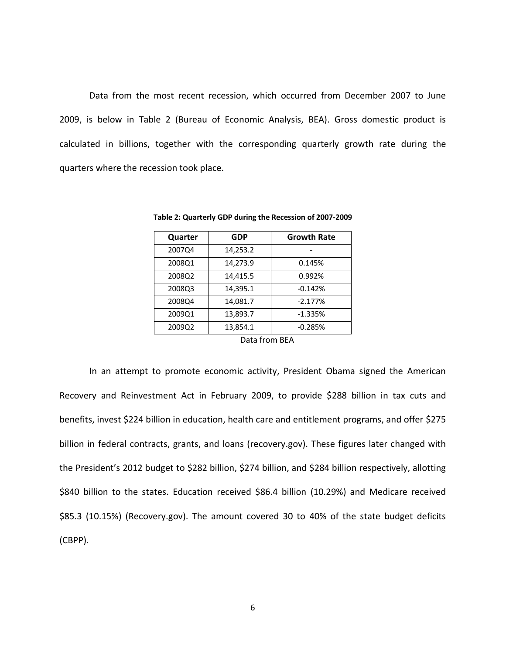Data from the most recent recession, which occurred from December 2007 to June 2009, is below in [Table 2](#page-14-0) (Bureau of Economic Analysis, BEA). Gross domestic product is calculated in billions, together with the corresponding quarterly growth rate during the quarters where the recession took place.

| Quarter | <b>GDP</b> | <b>Growth Rate</b> |
|---------|------------|--------------------|
| 2007Q4  | 14,253.2   |                    |
| 2008Q1  | 14,273.9   | 0.145%             |
| 2008Q2  | 14,415.5   | 0.992%             |
| 2008Q3  | 14,395.1   | $-0.142%$          |
| 2008Q4  | 14,081.7   | $-2.177%$          |
| 2009Q1  | 13,893.7   | $-1.335%$          |
| 2009Q2  | 13,854.1   | $-0.285%$          |

<span id="page-14-0"></span>**Table 2: Quarterly GDP during the Recession of 2007-2009**

Data from BEA

In an attempt to promote economic activity, President Obama signed the American Recovery and Reinvestment Act in February 2009, to provide \$288 billion in tax cuts and benefits, invest \$224 billion in education, health care and entitlement programs, and offer \$275 billion in federal contracts, grants, and loans (recovery.gov). These figures later changed with the President's 2012 budget to \$282 billion, \$274 billion, and \$284 billion respectively, allotting \$840 billion to the states. Education received \$86.4 billion (10.29%) and Medicare received \$85.3 (10.15%) (Recovery.gov). The amount covered 30 to 40% of the state budget deficits (CBPP).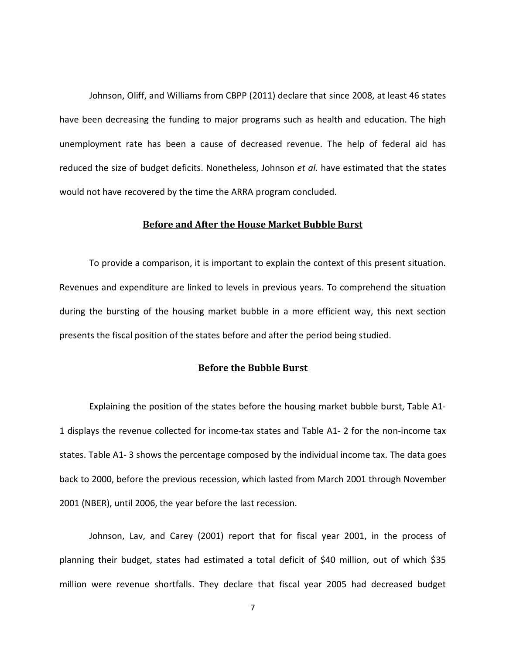Johnson, Oliff, and Williams from CBPP (2011) declare that since 2008, at least 46 states have been decreasing the funding to major programs such as health and education. The high unemployment rate has been a cause of decreased revenue. The help of federal aid has reduced the size of budget deficits. Nonetheless, Johnson *et al.* have estimated that the states would not have recovered by the time the ARRA program concluded.

#### **Before and After the House Market Bubble Burst**

<span id="page-15-0"></span>To provide a comparison, it is important to explain the context of this present situation. Revenues and expenditure are linked to levels in previous years. To comprehend the situation during the bursting of the housing market bubble in a more efficient way, this next section presents the fiscal position of the states before and after the period being studied.

#### **Before the Bubble Burst**

<span id="page-15-1"></span>Explaining the position of the states before the housing market bubble burst, [Table A1-](#page-54-1) [1](#page-54-1) displays the revenue collected for income-tax states and [Table A1-](#page-55-0) 2 for the non-income tax states. [Table A1-](#page-56-0) 3 shows the percentage composed by the individual income tax. The data goes back to 2000, before the previous recession, which lasted from March 2001 through November 2001 (NBER), until 2006, the year before the last recession.

Johnson, Lav, and Carey (2001) report that for fiscal year 2001, in the process of planning their budget, states had estimated a total deficit of \$40 million, out of which \$35 million were revenue shortfalls. They declare that fiscal year 2005 had decreased budget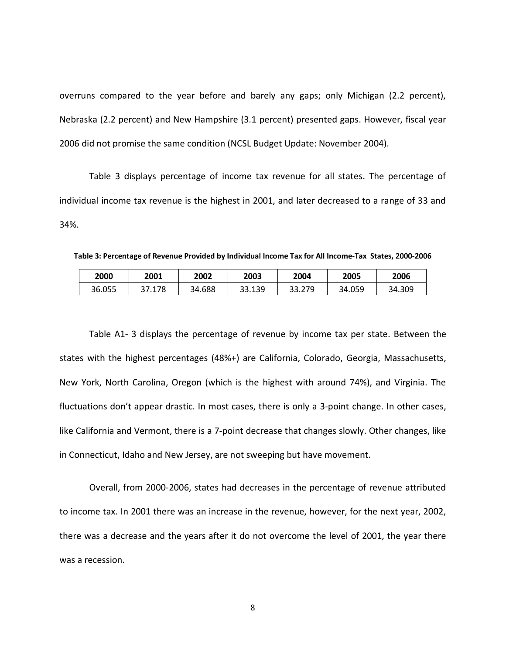overruns compared to the year before and barely any gaps; only Michigan (2.2 percent), Nebraska (2.2 percent) and New Hampshire (3.1 percent) presented gaps. However, fiscal year 2006 did not promise the same condition (NCSL Budget Update: November 2004).

[Table 3](#page-16-0) displays percentage of income tax revenue for all states. The percentage of individual income tax revenue is the highest in 2001, and later decreased to a range of 33 and 34%.

<span id="page-16-0"></span>**Table 3: Percentage of Revenue Provided by Individual Income Tax for All Income-Tax States, 2000-2006**

| 2000   | 2001                   | 2002   | 2003   | 2004   | 2005   | 2006   |
|--------|------------------------|--------|--------|--------|--------|--------|
| 36.055 | $^{\prime}.178$<br>ר ר | 34.688 | 33.139 | 33.279 | 34.059 | 34.309 |

[Table A1-](#page-56-0) 3 displays the percentage of revenue by income tax per state. Between the states with the highest percentages (48%+) are California, Colorado, Georgia, Massachusetts, New York, North Carolina, Oregon (which is the highest with around 74%), and Virginia. The fluctuations don't appear drastic. In most cases, there is only a 3-point change. In other cases, like California and Vermont, there is a 7-point decrease that changes slowly. Other changes, like in Connecticut, Idaho and New Jersey, are not sweeping but have movement.

Overall, from 2000-2006, states had decreases in the percentage of revenue attributed to income tax. In 2001 there was an increase in the revenue, however, for the next year, 2002, there was a decrease and the years after it do not overcome the level of 2001, the year there was a recession.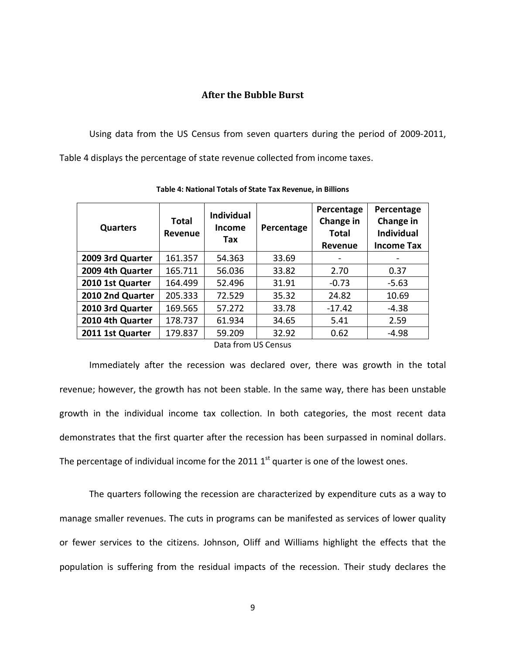#### **After the Bubble Burst**

<span id="page-17-0"></span>Using data from the US Census from seven quarters during the period of 2009-2011, [Table 4](#page-17-1) displays the percentage of state revenue collected from income taxes.

<span id="page-17-1"></span>

| <b>Quarters</b>  | <b>Total</b><br>Revenue | <b>Individual</b><br>Income<br>Tax | Percentage | Percentage<br>Change in<br><b>Total</b><br><b>Revenue</b> | Percentage<br>Change in<br><b>Individual</b><br><b>Income Tax</b> |  |  |  |  |
|------------------|-------------------------|------------------------------------|------------|-----------------------------------------------------------|-------------------------------------------------------------------|--|--|--|--|
| 2009 3rd Quarter | 161.357                 | 54.363                             | 33.69      |                                                           |                                                                   |  |  |  |  |
| 2009 4th Quarter | 165.711                 | 56.036                             | 33.82      | 2.70                                                      | 0.37                                                              |  |  |  |  |
| 2010 1st Quarter | 164.499                 | 52.496                             | 31.91      | $-0.73$                                                   | $-5.63$                                                           |  |  |  |  |
| 2010 2nd Quarter | 205.333                 | 72.529                             | 35.32      | 24.82                                                     | 10.69                                                             |  |  |  |  |
| 2010 3rd Quarter | 169.565                 | 57.272                             | 33.78      | $-17.42$                                                  | -4.38                                                             |  |  |  |  |
| 2010 4th Quarter | 178.737                 | 61.934                             | 34.65      | 5.41                                                      | 2.59                                                              |  |  |  |  |
| 2011 1st Quarter | 179.837                 | 59.209                             | 32.92      | 0.62                                                      | $-4.98$                                                           |  |  |  |  |
|                  | Data from LIS Census    |                                    |            |                                                           |                                                                   |  |  |  |  |

**Table 4: National Totals of State Tax Revenue, in Billions**

Data from US Census

Immediately after the recession was declared over, there was growth in the total revenue; however, the growth has not been stable. In the same way, there has been unstable growth in the individual income tax collection. In both categories, the most recent data demonstrates that the first quarter after the recession has been surpassed in nominal dollars. The percentage of individual income for the 2011  $1<sup>st</sup>$  quarter is one of the lowest ones.

The quarters following the recession are characterized by expenditure cuts as a way to manage smaller revenues. The cuts in programs can be manifested as services of lower quality or fewer services to the citizens. Johnson, Oliff and Williams highlight the effects that the population is suffering from the residual impacts of the recession. Their study declares the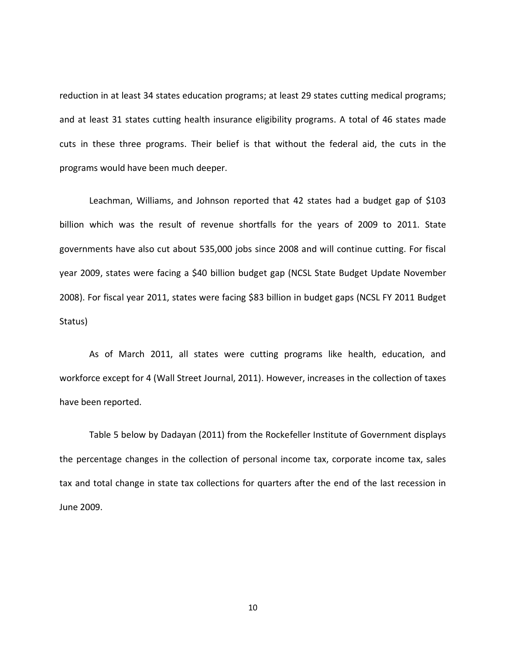reduction in at least 34 states education programs; at least 29 states cutting medical programs; and at least 31 states cutting health insurance eligibility programs. A total of 46 states made cuts in these three programs. Their belief is that without the federal aid, the cuts in the programs would have been much deeper.

Leachman, Williams, and Johnson reported that 42 states had a budget gap of \$103 billion which was the result of revenue shortfalls for the years of 2009 to 2011. State governments have also cut about 535,000 jobs since 2008 and will continue cutting. For fiscal year 2009, states were facing a \$40 billion budget gap (NCSL State Budget Update November 2008). For fiscal year 2011, states were facing \$83 billion in budget gaps (NCSL FY 2011 Budget Status)

As of March 2011, all states were cutting programs like health, education, and workforce except for 4 (Wall Street Journal, 2011). However, increases in the collection of taxes have been reported.

<span id="page-18-1"></span><span id="page-18-0"></span>[Table 5](#page-18-0) below by Dadayan (2011) from the Rockefeller Institute of Government displays the percentage changes in the collection of personal income tax, corporate income tax, sales tax and total change in state tax collections for quarters after the end of the last recession in June 2009.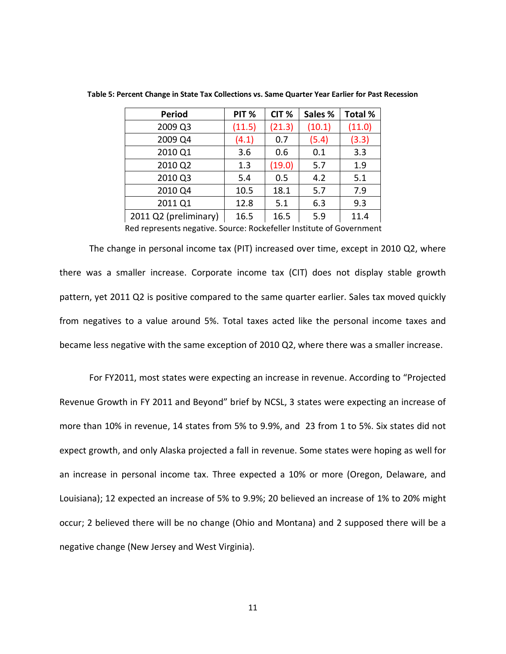| Period                | PIT %  | CIT <sub>%</sub> | Sales % | <b>Total %</b> |
|-----------------------|--------|------------------|---------|----------------|
| 2009 Q3               | (11.5) | (21.3)           | (10.1)  | (11.0)         |
| 2009 Q4               | (4.1)  | 0.7              | (5.4)   | (3.3)          |
| 2010 Q1               | 3.6    | 0.6              | 0.1     | 3.3            |
| 2010 Q2               | 1.3    | (19.0)           | 5.7     | 1.9            |
| 2010 Q3               | 5.4    | 0.5              | 4.2     | 5.1            |
| 2010 Q4               | 10.5   | 18.1             | 5.7     | 7.9            |
| 2011 Q1               | 12.8   | 5.1              | 6.3     | 9.3            |
| 2011 Q2 (preliminary) | 16.5   | 16.5             | 5.9     | 11.4           |

**Table 5: Percent Change in State Tax Collections vs. Same Quarter Year Earlier for Past Recession**

Red represents negative. Source: Rockefeller Institute of Government

The change in personal income tax (PIT) increased over time, except in 2010 Q2, where there was a smaller increase. Corporate income tax (CIT) does not display stable growth pattern, yet 2011 Q2 is positive compared to the same quarter earlier. Sales tax moved quickly from negatives to a value around 5%. Total taxes acted like the personal income taxes and became less negative with the same exception of 2010 Q2, where there was a smaller increase.

For FY2011, most states were expecting an increase in revenue. According to "Projected Revenue Growth in FY 2011 and Beyond" brief by NCSL, 3 states were expecting an increase of more than 10% in revenue, 14 states from 5% to 9.9%, and 23 from 1 to 5%. Six states did not expect growth, and only Alaska projected a fall in revenue. Some states were hoping as well for an increase in personal income tax. Three expected a 10% or more (Oregon, Delaware, and Louisiana); 12 expected an increase of 5% to 9.9%; 20 believed an increase of 1% to 20% might occur; 2 believed there will be no change (Ohio and Montana) and 2 supposed there will be a negative change (New Jersey and West Virginia).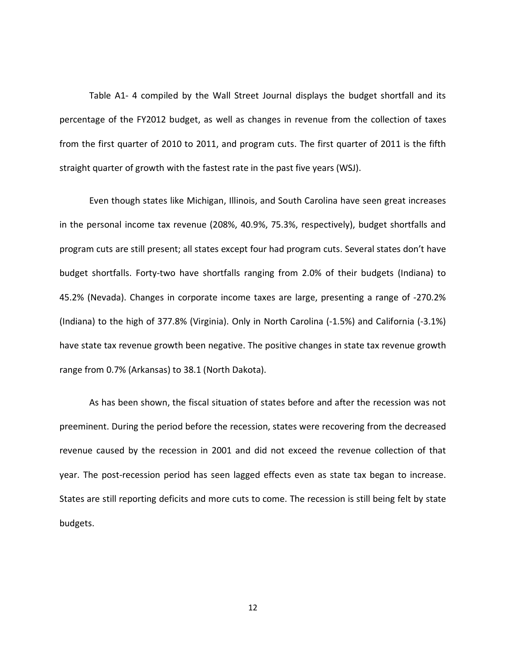[Table A1-](#page-57-0) 4 compiled by the Wall Street Journal displays the budget shortfall and its percentage of the FY2012 budget, as well as changes in revenue from the collection of taxes from the first quarter of 2010 to 2011, and program cuts. The first quarter of 2011 is the fifth straight quarter of growth with the fastest rate in the past five years (WSJ).

Even though states like Michigan, Illinois, and South Carolina have seen great increases in the personal income tax revenue (208%, 40.9%, 75.3%, respectively), budget shortfalls and program cuts are still present; all states except four had program cuts. Several states don't have budget shortfalls. Forty-two have shortfalls ranging from 2.0% of their budgets (Indiana) to 45.2% (Nevada). Changes in corporate income taxes are large, presenting a range of -270.2% (Indiana) to the high of 377.8% (Virginia). Only in North Carolina (-1.5%) and California (-3.1%) have state tax revenue growth been negative. The positive changes in state tax revenue growth range from 0.7% (Arkansas) to 38.1 (North Dakota).

As has been shown, the fiscal situation of states before and after the recession was not preeminent. During the period before the recession, states were recovering from the decreased revenue caused by the recession in 2001 and did not exceed the revenue collection of that year. The post-recession period has seen lagged effects even as state tax began to increase. States are still reporting deficits and more cuts to come. The recession is still being felt by state budgets.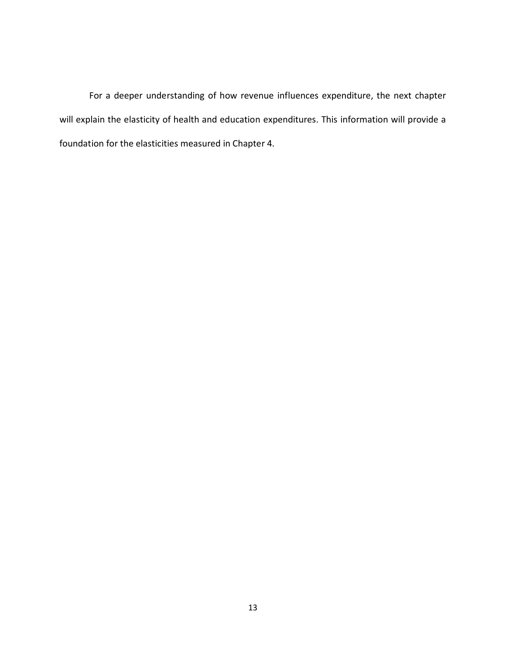For a deeper understanding of how revenue influences expenditure, the next chapter will explain the elasticity of health and education expenditures. This information will provide a foundation for the elasticities measured in Chapter 4.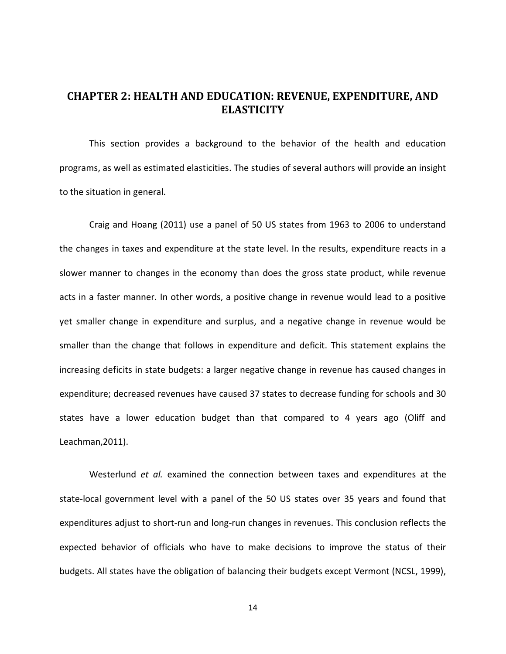## <span id="page-22-0"></span>**CHAPTER 2: HEALTH AND EDUCATION: REVENUE, EXPENDITURE, AND ELASTICITY**

This section provides a background to the behavior of the health and education programs, as well as estimated elasticities. The studies of several authors will provide an insight to the situation in general.

Craig and Hoang (2011) use a panel of 50 US states from 1963 to 2006 to understand the changes in taxes and expenditure at the state level. In the results, expenditure reacts in a slower manner to changes in the economy than does the gross state product, while revenue acts in a faster manner. In other words, a positive change in revenue would lead to a positive yet smaller change in expenditure and surplus, and a negative change in revenue would be smaller than the change that follows in expenditure and deficit. This statement explains the increasing deficits in state budgets: a larger negative change in revenue has caused changes in expenditure; decreased revenues have caused 37 states to decrease funding for schools and 30 states have a lower education budget than that compared to 4 years ago (Oliff and Leachman,2011).

Westerlund *et al.* examined the connection between taxes and expenditures at the state-local government level with a panel of the 50 US states over 35 years and found that expenditures adjust to short-run and long-run changes in revenues. This conclusion reflects the expected behavior of officials who have to make decisions to improve the status of their budgets. All states have the obligation of balancing their budgets except Vermont (NCSL, 1999),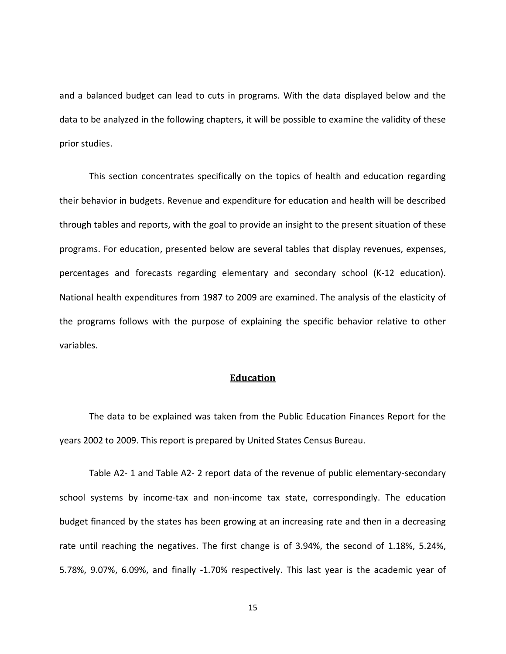and a balanced budget can lead to cuts in programs. With the data displayed below and the data to be analyzed in the following chapters, it will be possible to examine the validity of these prior studies.

This section concentrates specifically on the topics of health and education regarding their behavior in budgets. Revenue and expenditure for education and health will be described through tables and reports, with the goal to provide an insight to the present situation of these programs. For education, presented below are several tables that display revenues, expenses, percentages and forecasts regarding elementary and secondary school (K-12 education). National health expenditures from 1987 to 2009 are examined. The analysis of the elasticity of the programs follows with the purpose of explaining the specific behavior relative to other variables.

#### **Education**

<span id="page-23-0"></span>The data to be explained was taken from the Public Education Finances Report for the years 2002 to 2009. This report is prepared by United States Census Bureau.

[Table A2-](#page-59-1) 1 and [Table A2-](#page-60-0) 2 report data of the revenue of public elementary-secondary school systems by income-tax and non-income tax state, correspondingly. The education budget financed by the states has been growing at an increasing rate and then in a decreasing rate until reaching the negatives. The first change is of 3.94%, the second of 1.18%, 5.24%, 5.78%, 9.07%, 6.09%, and finally -1.70% respectively. This last year is the academic year of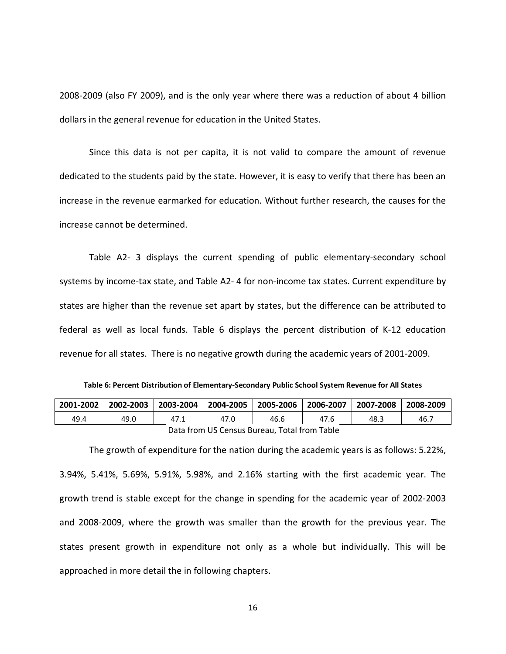2008-2009 (also FY 2009), and is the only year where there was a reduction of about 4 billion dollars in the general revenue for education in the United States.

Since this data is not per capita, it is not valid to compare the amount of revenue dedicated to the students paid by the state. However, it is easy to verify that there has been an increase in the revenue earmarked for education. Without further research, the causes for the increase cannot be determined.

[Table A2-](#page-61-0) 3 displays the current spending of public elementary-secondary school systems by income-tax state, and [Table](#page-62-0) A2- 4 for non-income tax states. Current expenditure by states are higher than the revenue set apart by states, but the difference can be attributed to federal as well as local funds. [Table 6](#page-24-0) displays the percent distribution of K-12 education revenue for all states. There is no negative growth during the academic years of 2001-2009.

**Table 6: Percent Distribution of Elementary-Secondary Public School System Revenue for All States**

<span id="page-24-0"></span>

|                                              | 2001-2002   2002-2003 | 2003-2004 |      |      | 2004-2005   2005-2006   2006-2007   2007-2008 |      | 2008-2009 |
|----------------------------------------------|-----------------------|-----------|------|------|-----------------------------------------------|------|-----------|
| 49.4                                         | 49.0                  | 47.1      | 47.0 | 46.6 | 47.6                                          | 48.3 | 46.7      |
| Data from US Census Bureau, Total from Table |                       |           |      |      |                                               |      |           |

The growth of expenditure for the nation during the academic years is as follows: 5.22%, 3.94%, 5.41%, 5.69%, 5.91%, 5.98%, and 2.16% starting with the first academic year. The growth trend is stable except for the change in spending for the academic year of 2002-2003 and 2008-2009, where the growth was smaller than the growth for the previous year. The states present growth in expenditure not only as a whole but individually. This will be approached in more detail the in following chapters.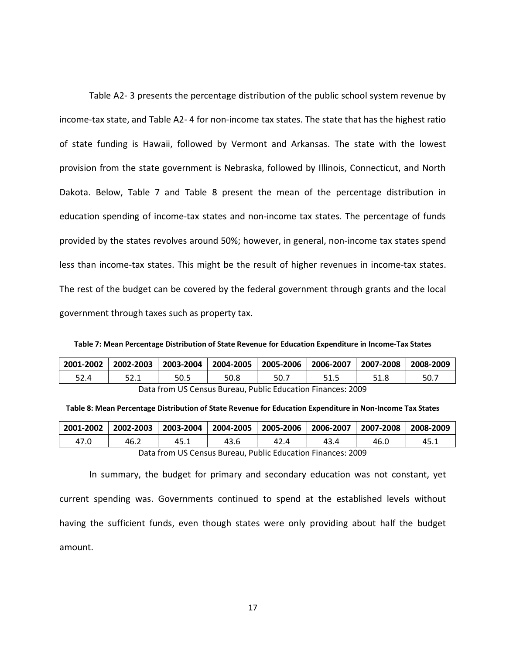[Table A2-](#page-61-0) 3 presents the percentage distribution of the public school system revenue by income-tax state, and [Table A2-](#page-63-0) 4 for non-income tax states. The state that has the highest ratio of state funding is Hawaii, followed by Vermont and Arkansas. The state with the lowest provision from the state government is Nebraska, followed by Illinois, Connecticut, and North Dakota. Below, [Table 7](#page-25-0) and [Table 8](#page-25-1) present the mean of the percentage distribution in education spending of income-tax states and non-income tax states. The percentage of funds provided by the states revolves around 50%; however, in general, non-income tax states spend less than income-tax states. This might be the result of higher revenues in income-tax states. The rest of the budget can be covered by the federal government through grants and the local government through taxes such as property tax.

<span id="page-25-0"></span>**Table 7: Mean Percentage Distribution of State Revenue for Education Expenditure in Income-Tax States**

| 2001-2002                                                   | $ 2002 - 2003 $ |      |      | 2003-2004   2004-2005   2005-2006   2006-2007   2007-2008 |      |      | 2008-2009 |
|-------------------------------------------------------------|-----------------|------|------|-----------------------------------------------------------|------|------|-----------|
| 52.4                                                        | 52.1            | 50.5 | 50.8 | 50.7                                                      | 51.5 | 51.8 | 50.7      |
| Data from US Census Bureau. Public Education Finances: 2009 |                 |      |      |                                                           |      |      |           |

<span id="page-25-1"></span>

| Table 8: Mean Percentage Distribution of State Revenue for Education Expenditure in Non-Income Tax States |  |  |  |  |
|-----------------------------------------------------------------------------------------------------------|--|--|--|--|
|-----------------------------------------------------------------------------------------------------------|--|--|--|--|

| 2001-2002                                                   | 2002-2003 |      | 2003-2004   2004-2005   2005-2006   2006-2007 |      |      | $\vert$ 2007-2008 $\vert$ 2008-2009 |      |
|-------------------------------------------------------------|-----------|------|-----------------------------------------------|------|------|-------------------------------------|------|
| 47.0                                                        | 46.2      | 45.1 | 43.6                                          | 42.4 | 43.4 | 46.0                                | 45.⊥ |
| Data from US Census Bureau. Public Education Finances: 2009 |           |      |                                               |      |      |                                     |      |

In summary, the budget for primary and secondary education was not constant, yet current spending was. Governments continued to spend at the established levels without having the sufficient funds, even though states were only providing about half the budget amount.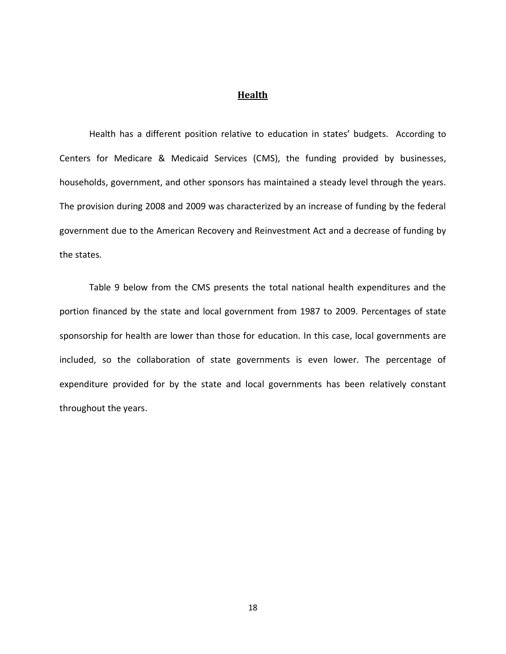#### **Health**

<span id="page-26-0"></span>Health has a different position relative to education in states' budgets. According to Centers for Medicare & Medicaid Services (CMS), the funding provided by businesses, households, government, and other sponsors has maintained a steady level through the years. The provision during 2008 and 2009 was characterized by an increase of funding by the federal government due to the American Recovery and Reinvestment Act and a decrease of funding by the states.

<span id="page-26-1"></span>[Table 9](#page-26-1) below from the CMS presents the total national health expenditures and the portion financed by the state and local government from 1987 to 2009. Percentages of state sponsorship for health are lower than those for education. In this case, local governments are included, so the collaboration of state governments is even lower. The percentage of expenditure provided for by the state and local governments has been relatively constant throughout the years.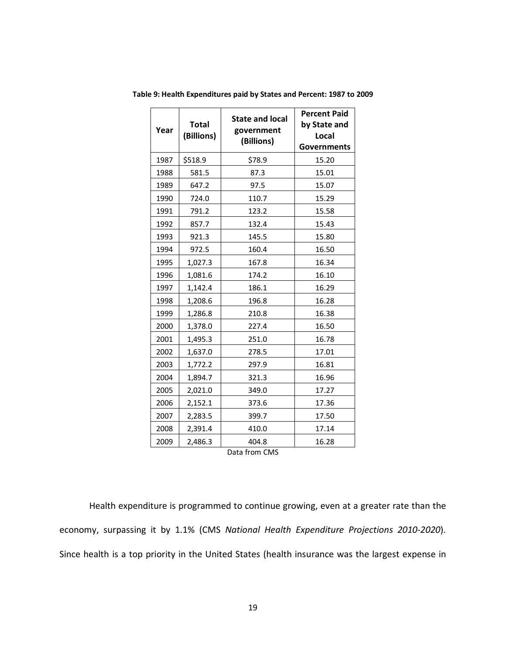| Year | <b>Total</b><br>(Billions) | <b>State and local</b><br>government<br>(Billions) | <b>Percent Paid</b><br>by State and<br>Local<br><b>Governments</b> |  |
|------|----------------------------|----------------------------------------------------|--------------------------------------------------------------------|--|
| 1987 | \$518.9                    | \$78.9                                             |                                                                    |  |
| 1988 | 581.5                      | 87.3                                               | 15.01                                                              |  |
| 1989 | 647.2                      | 97.5                                               | 15.07                                                              |  |
| 1990 | 724.0                      | 110.7                                              | 15.29                                                              |  |
| 1991 | 791.2                      | 123.2                                              | 15.58                                                              |  |
| 1992 | 857.7                      | 132.4                                              | 15.43                                                              |  |
| 1993 | 921.3                      | 145.5                                              | 15.80                                                              |  |
| 1994 | 972.5                      | 160.4                                              | 16.50                                                              |  |
| 1995 | 1,027.3                    | 167.8                                              | 16.34                                                              |  |
| 1996 | 1,081.6                    | 174.2                                              | 16.10                                                              |  |
| 1997 | 1,142.4                    | 186.1                                              | 16.29                                                              |  |
| 1998 | 1,208.6                    | 196.8                                              | 16.28                                                              |  |
| 1999 | 1,286.8                    | 210.8                                              | 16.38                                                              |  |
| 2000 | 1,378.0                    | 227.4                                              | 16.50                                                              |  |
| 2001 | 1,495.3                    | 251.0                                              | 16.78                                                              |  |
| 2002 | 1,637.0                    | 278.5                                              | 17.01                                                              |  |
| 2003 | 1,772.2                    | 297.9                                              | 16.81                                                              |  |
| 2004 | 1,894.7                    | 321.3                                              | 16.96                                                              |  |
| 2005 | 2,021.0                    | 349.0                                              | 17.27                                                              |  |
| 2006 | 2,152.1                    | 373.6                                              | 17.36                                                              |  |
| 2007 | 2,283.5                    | 399.7                                              | 17.50                                                              |  |
| 2008 | 2,391.4                    | 410.0                                              | 17.14                                                              |  |
| 2009 | 2,486.3                    | 404.8                                              | 16.28                                                              |  |

**Table 9: Health Expenditures paid by States and Percent: 1987 to 2009**

Data from CMS

Health expenditure is programmed to continue growing, even at a greater rate than the economy, surpassing it by 1.1% (CMS *National Health Expenditure Projections 2010-2020*). Since health is a top priority in the United States (health insurance was the largest expense in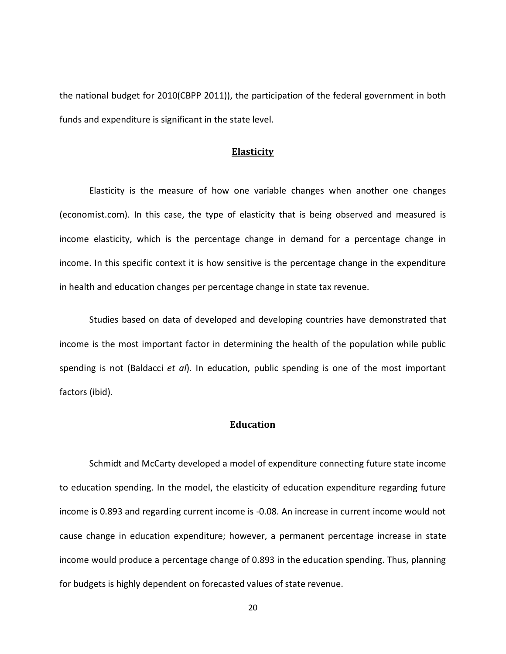the national budget for 2010(CBPP 2011)), the participation of the federal government in both funds and expenditure is significant in the state level.

#### **Elasticity**

<span id="page-28-0"></span>Elasticity is the measure of how one variable changes when another one changes (economist.com). In this case, the type of elasticity that is being observed and measured is income elasticity, which is the percentage change in demand for a percentage change in income. In this specific context it is how sensitive is the percentage change in the expenditure in health and education changes per percentage change in state tax revenue.

Studies based on data of developed and developing countries have demonstrated that income is the most important factor in determining the health of the population while public spending is not (Baldacci *et al*). In education, public spending is one of the most important factors (ibid).

#### **Education**

<span id="page-28-1"></span>Schmidt and McCarty developed a model of expenditure connecting future state income to education spending. In the model, the elasticity of education expenditure regarding future income is 0.893 and regarding current income is -0.08. An increase in current income would not cause change in education expenditure; however, a permanent percentage increase in state income would produce a percentage change of 0.893 in the education spending. Thus, planning for budgets is highly dependent on forecasted values of state revenue.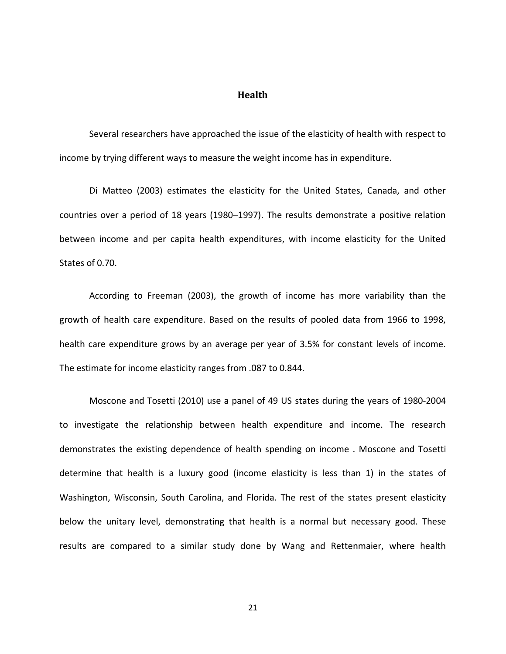#### **Health**

<span id="page-29-0"></span>Several researchers have approached the issue of the elasticity of health with respect to income by trying different ways to measure the weight income has in expenditure.

Di Matteo (2003) estimates the elasticity for the United States, Canada, and other countries over a period of 18 years (1980–1997). The results demonstrate a positive relation between income and per capita health expenditures, with income elasticity for the United States of 0.70.

According to Freeman (2003), the growth of income has more variability than the growth of health care expenditure. Based on the results of pooled data from 1966 to 1998, health care expenditure grows by an average per year of 3.5% for constant levels of income. The estimate for income elasticity ranges from .087 to 0.844.

Moscone and Tosetti (2010) use a panel of 49 US states during the years of 1980-2004 to investigate the relationship between health expenditure and income. The research demonstrates the existing dependence of health spending on income . Moscone and Tosetti determine that health is a luxury good (income elasticity is less than 1) in the states of Washington, Wisconsin, South Carolina, and Florida. The rest of the states present elasticity below the unitary level, demonstrating that health is a normal but necessary good. These results are compared to a similar study done by Wang and Rettenmaier, where health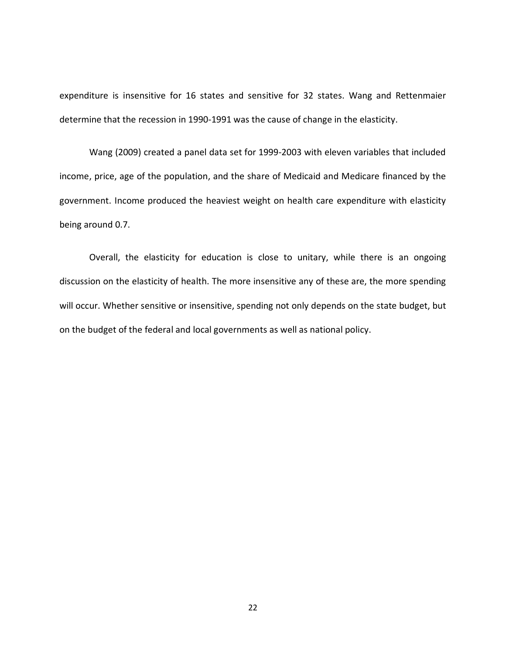expenditure is insensitive for 16 states and sensitive for 32 states. Wang and Rettenmaier determine that the recession in 1990-1991 was the cause of change in the elasticity.

Wang (2009) created a panel data set for 1999-2003 with eleven variables that included income, price, age of the population, and the share of Medicaid and Medicare financed by the government. Income produced the heaviest weight on health care expenditure with elasticity being around 0.7.

Overall, the elasticity for education is close to unitary, while there is an ongoing discussion on the elasticity of health. The more insensitive any of these are, the more spending will occur. Whether sensitive or insensitive, spending not only depends on the state budget, but on the budget of the federal and local governments as well as national policy.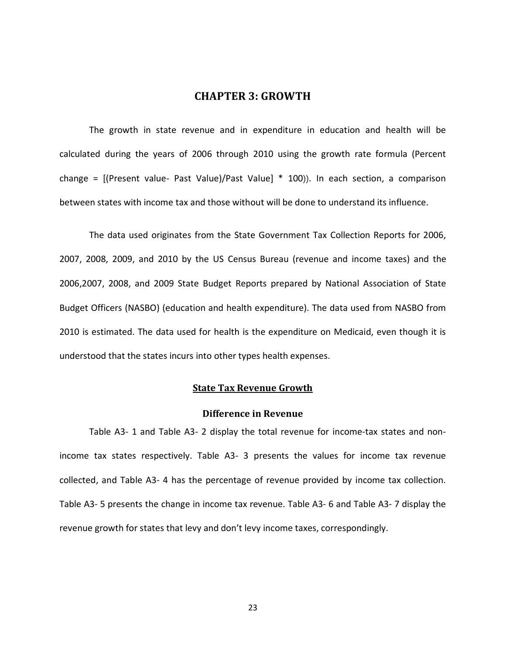#### **CHAPTER 3: GROWTH**

<span id="page-31-0"></span>The growth in state revenue and in expenditure in education and health will be calculated during the years of 2006 through 2010 using the growth rate formula (Percent change = [(Present value- Past Value)/Past Value] \* 100)). In each section, a comparison between states with income tax and those without will be done to understand its influence.

The data used originates from the State Government Tax Collection Reports for 2006, 2007, 2008, 2009, and 2010 by the US Census Bureau (revenue and income taxes) and the 2006,2007, 2008, and 2009 State Budget Reports prepared by National Association of State Budget Officers (NASBO) (education and health expenditure). The data used from NASBO from 2010 is estimated. The data used for health is the expenditure on Medicaid, even though it is understood that the states incurs into other types health expenses.

#### **State Tax Revenue Growth**

#### **Difference in Revenue**

<span id="page-31-2"></span><span id="page-31-1"></span>[Table A3-](#page-67-1) 1 and [Table A3-](#page-68-0) 2 display the total revenue for income-tax states and nonincome tax states respectively. [Table A3-](#page-69-0) 3 presents the values for income tax revenue collected, and [Table A3-](#page-70-0) 4 has the percentage of revenue provided by income tax collection. [Table A3-](#page-71-0) 5 presents the change in income tax revenue. [Table A3-](#page-72-0) 6 and [Table A3-](#page-73-0) 7 display the revenue growth for states that levy and don't levy income taxes, correspondingly.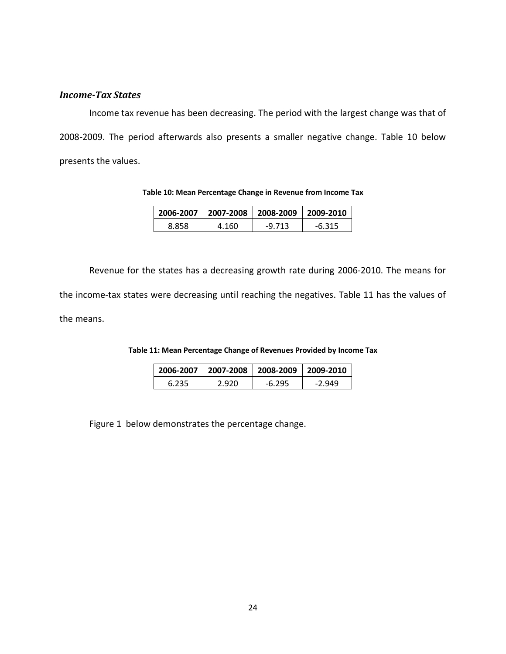#### *Income-Tax States*

Income tax revenue has been decreasing. The period with the largest change was that of 2008-2009. The period afterwards also presents a smaller negative change. [Table 10](#page-32-0) below presents the values.

**Table 10: Mean Percentage Change in Revenue from Income Tax**

| 2006-2007 |       | $\vert$ 2007-2008   2008-2009   2009-2010 |        |  |
|-----------|-------|-------------------------------------------|--------|--|
| 8.858     | 4.160 | -9.713                                    | -6 315 |  |

<span id="page-32-0"></span>Revenue for the states has a decreasing growth rate during 2006-2010. The means for the income-tax states were decreasing until reaching the negatives. [Table 11](#page-32-1) has the values of the means.

<span id="page-32-1"></span>

| Table 11: Mean Percentage Change of Revenues Provided by Income Tax |
|---------------------------------------------------------------------|
|---------------------------------------------------------------------|

<span id="page-32-2"></span>

|                  | 2006-2007   2007-2008   2008-2009   2009-2010 |        |          |
|------------------|-----------------------------------------------|--------|----------|
| 2 920 L<br>6.235 |                                               | -6.295 | $-2.949$ |

[Figure 1](#page-32-2) below demonstrates the percentage change.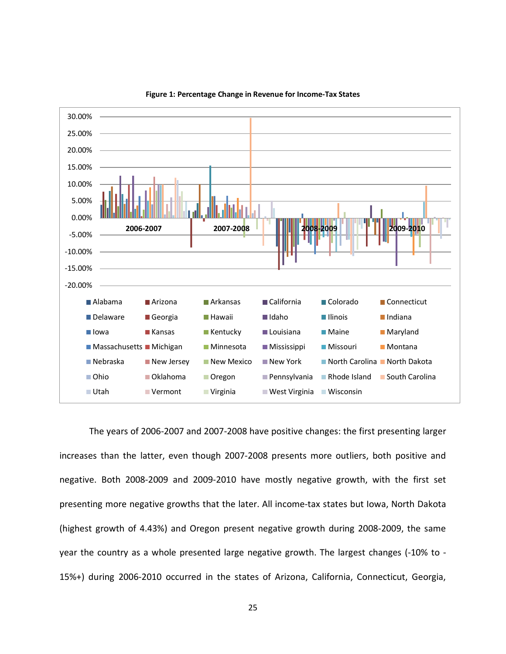<span id="page-33-0"></span>

**Figure 1: Percentage Change in Revenue for Income-Tax States**

The years of 2006-2007 and 2007-2008 have positive changes: the first presenting larger increases than the latter, even though 2007-2008 presents more outliers, both positive and negative. Both 2008-2009 and 2009-2010 have mostly negative growth, with the first set presenting more negative growths that the later. All income-tax states but Iowa, North Dakota (highest growth of 4.43%) and Oregon present negative growth during 2008-2009, the same year the country as a whole presented large negative growth. The largest changes (-10% to - 15%+) during 2006-2010 occurred in the states of Arizona, California, Connecticut, Georgia,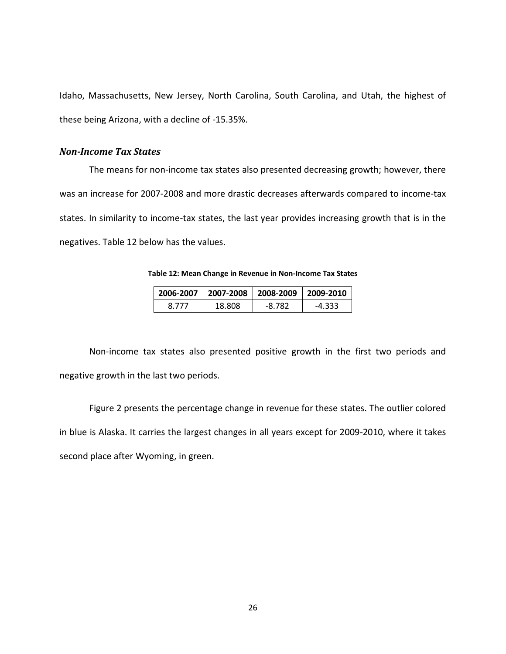Idaho, Massachusetts, New Jersey, North Carolina, South Carolina, and Utah, the highest of these being Arizona, with a decline of -15.35%.

#### *Non-Income Tax States*

The means for non-income tax states also presented decreasing growth; however, there was an increase for 2007-2008 and more drastic decreases afterwards compared to income-tax states. In similarity to income-tax states, the last year provides increasing growth that is in the negatives. [Table 12](#page-34-0) below has the values.

**Table 12: Mean Change in Revenue in Non-Income Tax States**

|       | 2006-2007   2007-2008   2008-2009   2009-2010 |        |          |
|-------|-----------------------------------------------|--------|----------|
| 8.777 | 18.808                                        | -8.782 | $-4.333$ |

<span id="page-34-0"></span>Non-income tax states also presented positive growth in the first two periods and negative growth in the last two periods.

<span id="page-34-1"></span>[Figure](#page-34-1) 2 presents the percentage change in revenue for these states. The outlier colored in blue is Alaska. It carries the largest changes in all years except for 2009-2010, where it takes second place after Wyoming, in green.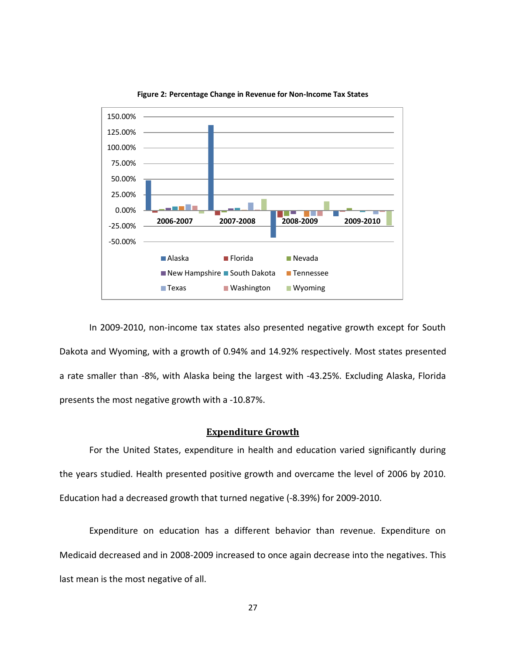<span id="page-35-1"></span>

**Figure 2: Percentage Change in Revenue for Non-Income Tax States**

In 2009-2010, non-income tax states also presented negative growth except for South Dakota and Wyoming, with a growth of 0.94% and 14.92% respectively. Most states presented a rate smaller than -8%, with Alaska being the largest with -43.25%. Excluding Alaska, Florida presents the most negative growth with a -10.87%.

#### **Expenditure Growth**

<span id="page-35-0"></span>For the United States, expenditure in health and education varied significantly during the years studied. Health presented positive growth and overcame the level of 2006 by 2010. Education had a decreased growth that turned negative (-8.39%) for 2009-2010.

Expenditure on education has a different behavior than revenue. Expenditure on Medicaid decreased and in 2008-2009 increased to once again decrease into the negatives. This last mean is the most negative of all.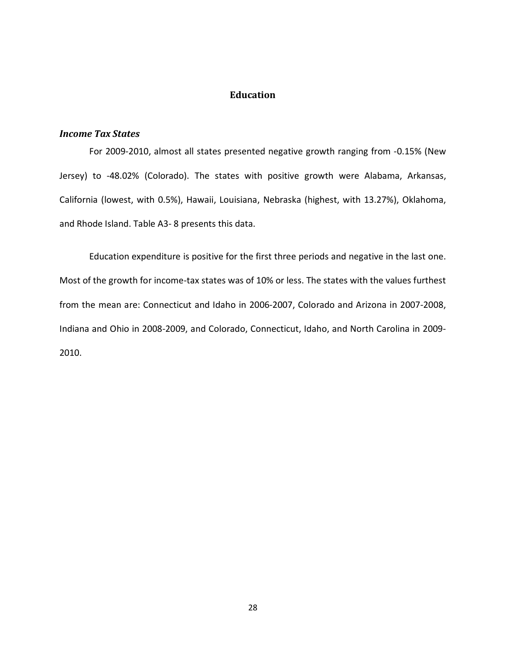## **Education**

## *Income Tax States*

For 2009-2010, almost all states presented negative growth ranging from -0.15% (New Jersey) to -48.02% (Colorado). The states with positive growth were Alabama, Arkansas, California (lowest, with 0.5%), Hawaii, Louisiana, Nebraska (highest, with 13.27%), Oklahoma, and Rhode Island. [Table A3-](#page-74-0) 8 presents this data.

Education expenditure is positive for the first three periods and negative in the last one. Most of the growth for income-tax states was of 10% or less. The states with the values furthest from the mean are: Connecticut and Idaho in 2006-2007, Colorado and Arizona in 2007-2008, Indiana and Ohio in 2008-2009, and Colorado, Connecticut, Idaho, and North Carolina in 2009- 2010.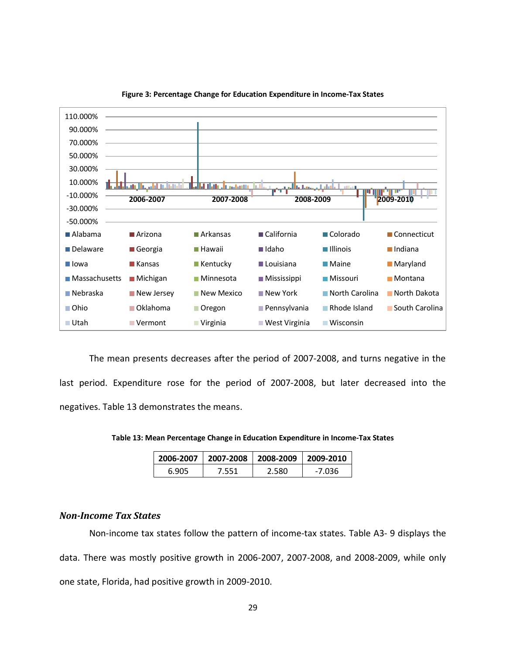

**Figure 3: Percentage Change for Education Expenditure in Income-Tax States**

The mean presents decreases after the period of 2007-2008, and turns negative in the last period. Expenditure rose for the period of 2007-2008, but later decreased into the negatives. [Table 13](#page-37-0) demonstrates the means.

<span id="page-37-0"></span>**Table 13: Mean Percentage Change in Education Expenditure in Income-Tax States**

| 2006-2007 |      | 2007-2008 2008-2009 2009-2010 |        |  |  |
|-----------|------|-------------------------------|--------|--|--|
| 6.905     | :551 | ∠.580. -                      | -7.036 |  |  |

#### *Non-Income Tax States*

Non-income tax states follow the pattern of income-tax states. [Table A3-](#page-75-0) 9 displays the data. There was mostly positive growth in 2006-2007, 2007-2008, and 2008-2009, while only one state, Florida, had positive growth in 2009-2010.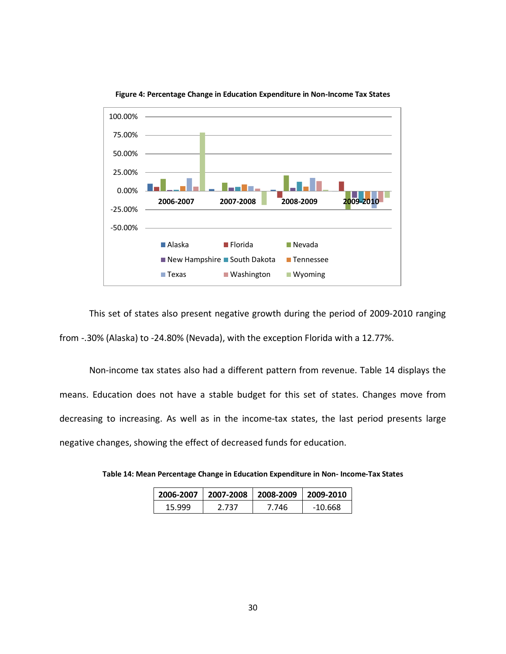

**Figure 4: Percentage Change in Education Expenditure in Non-Income Tax States**

This set of states also present negative growth during the period of 2009-2010 ranging from -.30% (Alaska) to -24.80% (Nevada), with the exception Florida with a 12.77%.

Non-income tax states also had a different pattern from revenue. [Table 14](#page-38-0) displays the means. Education does not have a stable budget for this set of states. Changes move from decreasing to increasing. As well as in the income-tax states, the last period presents large negative changes, showing the effect of decreased funds for education.

<span id="page-38-0"></span>**Table 14: Mean Percentage Change in Education Expenditure in Non- Income-Tax States**

| 2007-2008 2008-2009 2009-2010<br>2006-2007 |       |       |         |  |  |
|--------------------------------------------|-------|-------|---------|--|--|
| 15.999                                     | 2.737 | 7.746 | -10.668 |  |  |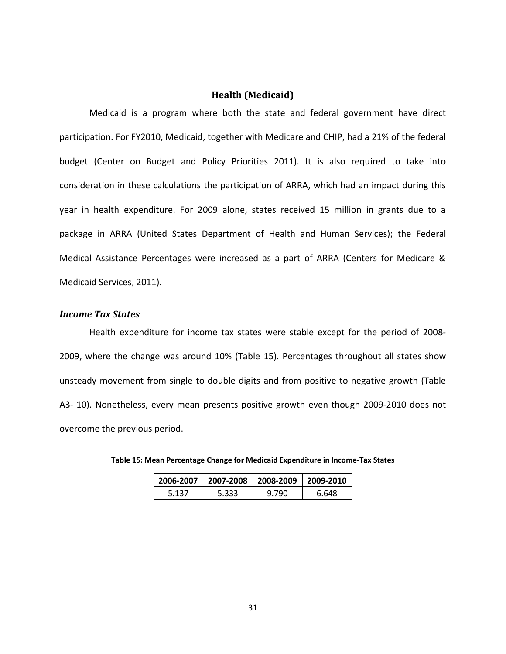## **Health (Medicaid)**

Medicaid is a program where both the state and federal government have direct participation. For FY2010, Medicaid, together with Medicare and CHIP, had a 21% of the federal budget (Center on Budget and Policy Priorities 2011). It is also required to take into consideration in these calculations the participation of ARRA, which had an impact during this year in health expenditure. For 2009 alone, states received 15 million in grants due to a package in ARRA (United States Department of Health and Human Services); the Federal Medical Assistance Percentages were increased as a part of ARRA (Centers for Medicare & Medicaid Services, 2011).

#### *Income Tax States*

Health expenditure for income tax states were stable except for the period of 2008- 2009, where the change was around 10% [\(Table 15\)](#page-39-0). Percentages throughout all states show unsteady movement from single to double digits and from positive to negative growth [\(Table](#page-76-0)  [A3-](#page-76-0) 10). Nonetheless, every mean presents positive growth even though 2009-2010 does not overcome the previous period.

| 2006-2007 |       | 2007-2008 2008-2009 2009-2010 |       |  |  |
|-----------|-------|-------------------------------|-------|--|--|
| 5.137     | 5.333 | 9.790                         | 6.648 |  |  |

<span id="page-39-0"></span>

| Table 15: Mean Percentage Change for Medicaid Expenditure in Income-Tax States |  |  |  |
|--------------------------------------------------------------------------------|--|--|--|
|--------------------------------------------------------------------------------|--|--|--|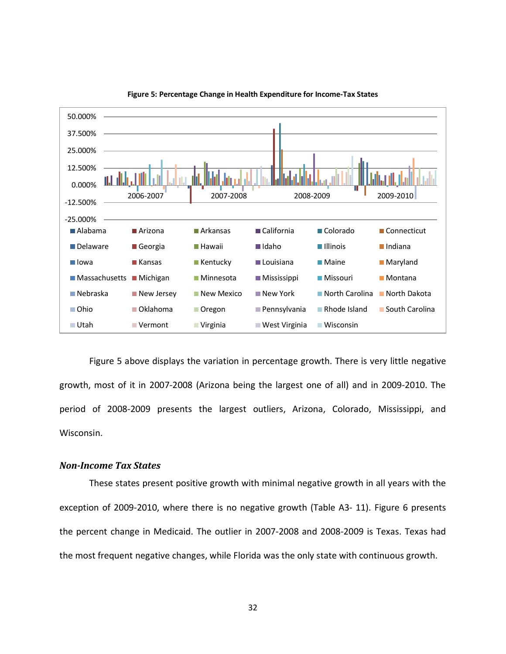<span id="page-40-0"></span>

**Figure 5: Percentage Change in Health Expenditure for Income-Tax States**

[Figure 5](#page-40-0) above displays the variation in percentage growth. There is very little negative growth, most of it in 2007-2008 (Arizona being the largest one of all) and in 2009-2010. The period of 2008-2009 presents the largest outliers, Arizona, Colorado, Mississippi, and Wisconsin.

#### *Non-Income Tax States*

These states present positive growth with minimal negative growth in all years with the exception of 2009-2010, where there is no negative growth [\(Table](#page-76-1) A3- 11). [Figure 6](#page-41-0) presents the percent change in Medicaid. The outlier in 2007-2008 and 2008-2009 is Texas. Texas had the most frequent negative changes, while Florida was the only state with continuous growth.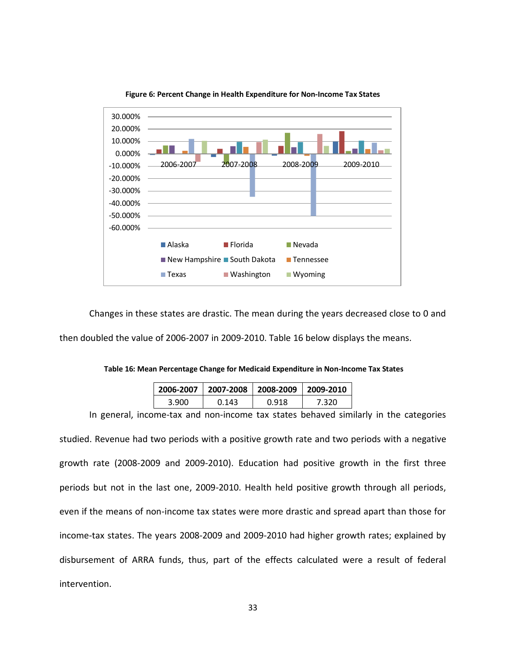<span id="page-41-0"></span>

**Figure 6: Percent Change in Health Expenditure for Non-Income Tax States** 

Changes in these states are drastic. The mean during the years decreased close to 0 and then doubled the value of 2006-2007 in 2009-2010. [Table 16](#page-41-1) below displays the means.

<span id="page-41-1"></span>**Table 16: Mean Percentage Change for Medicaid Expenditure in Non-Income Tax States**

| 2006-2007   2007-2008   2008-2009   2009-2010 |       |       |       |  |  |
|-----------------------------------------------|-------|-------|-------|--|--|
| 3.900                                         | 0.143 | 0.918 | 7.320 |  |  |

In general, income-tax and non-income tax states behaved similarly in the categories studied. Revenue had two periods with a positive growth rate and two periods with a negative growth rate (2008-2009 and 2009-2010). Education had positive growth in the first three periods but not in the last one, 2009-2010. Health held positive growth through all periods, even if the means of non-income tax states were more drastic and spread apart than those for income-tax states. The years 2008-2009 and 2009-2010 had higher growth rates; explained by disbursement of ARRA funds, thus, part of the effects calculated were a result of federal intervention.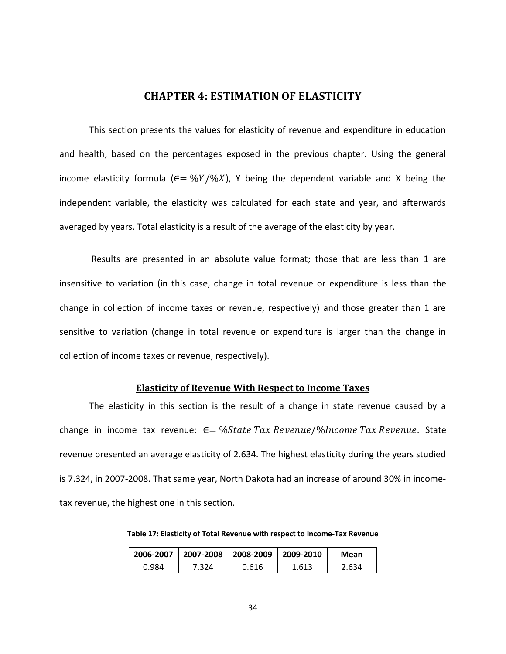## **CHAPTER 4: ESTIMATION OF ELASTICITY**

This section presents the values for elasticity of revenue and expenditure in education and health, based on the percentages exposed in the previous chapter. Using the general income elasticity formula ( $\epsilon = \frac{96Y}{96X}$ ). Y being the dependent variable and X being the independent variable, the elasticity was calculated for each state and year, and afterwards averaged by years. Total elasticity is a result of the average of the elasticity by year.

Results are presented in an absolute value format; those that are less than 1 are insensitive to variation (in this case, change in total revenue or expenditure is less than the change in collection of income taxes or revenue, respectively) and those greater than 1 are sensitive to variation (change in total revenue or expenditure is larger than the change in collection of income taxes or revenue, respectively).

#### **Elasticity of Revenue With Respect to Income Taxes**

The elasticity in this section is the result of a change in state revenue caused by a change in income tax revenue:  $\epsilon = \frac{0.05}{0.05}$   $\epsilon$  *Tax Revenue* /% *Income Tax Revenue*. State revenue presented an average elasticity of 2.634. The highest elasticity during the years studied is 7.324, in 2007-2008. That same year, North Dakota had an increase of around 30% in incometax revenue, the highest one in this section.

| 2006-2007 |       | 2007-2008   2008-2009   2009-2010 |       | Mean  |  |
|-----------|-------|-----------------------------------|-------|-------|--|
| 0.984     | 7.324 | 0.616                             | 1.613 | 2.634 |  |

**Table 17: Elasticity of Total Revenue with respect to Income-Tax Revenue**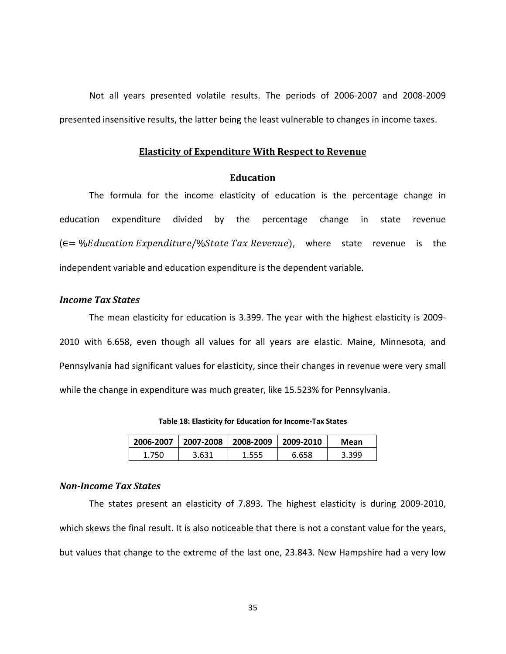Not all years presented volatile results. The periods of 2006-2007 and 2008-2009 presented insensitive results, the latter being the least vulnerable to changes in income taxes.

#### **Elasticity of Expenditure With Respect to Revenue**

### **Education**

The formula for the income elasticity of education is the percentage change in education expenditure divided by the percentage change in state revenue  $(E = \sqrt{E}$  /  $Expenditive\$ /%State Tax Revenue), where state revenue is the independent variable and education expenditure is the dependent variable.

## *Income Tax States*

The mean elasticity for education is 3.399. The year with the highest elasticity is 2009- 2010 with 6.658, even though all values for all years are elastic. Maine, Minnesota, and Pennsylvania had significant values for elasticity, since their changes in revenue were very small while the change in expenditure was much greater, like 15.523% for Pennsylvania.

| 2006-2007 | 2007-2008 | 2008-2009 | $\mid$ 2009-2010 | Mean  |
|-----------|-----------|-----------|------------------|-------|
| 1.750     | 3.631     | ۔555،     | 6.658            | 3.399 |

**Table 18: Elasticity for Education for Income-Tax States**

#### *Non-Income Tax States*

The states present an elasticity of 7.893. The highest elasticity is during 2009-2010, which skews the final result. It is also noticeable that there is not a constant value for the years, but values that change to the extreme of the last one, 23.843. New Hampshire had a very low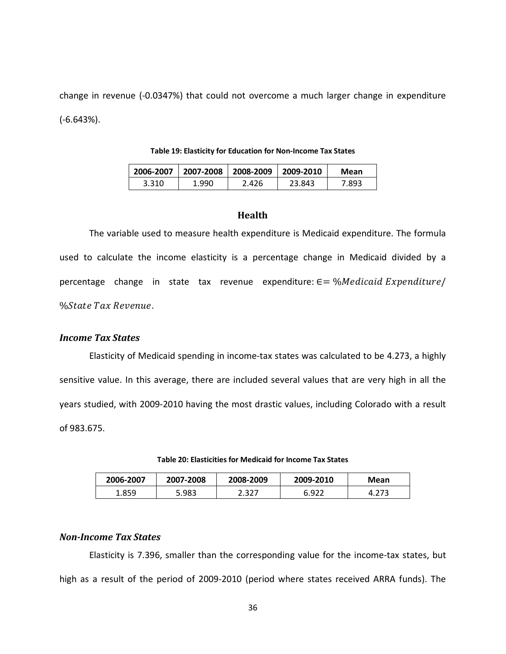change in revenue (-0.0347%) that could not overcome a much larger change in expenditure (-6.643%).

|       | 2006-2007   2007-2008   2008-2009   2009-2010 |       |        | Mean   |
|-------|-----------------------------------------------|-------|--------|--------|
| 3.310 | 1.990                                         | 2.426 | 23.843 | 7.893. |

**Table 19: Elasticity for Education for Non-Income Tax States**

#### **Health**

The variable used to measure health expenditure is Medicaid expenditure. The formula used to calculate the income elasticity is a percentage change in Medicaid divided by a percentage change in state tax revenue expenditure:  $\epsilon = \% Median$  *Expenditure %State Tax Revenue.* 

## *Income Tax States*

Elasticity of Medicaid spending in income-tax states was calculated to be 4.273, a highly sensitive value. In this average, there are included several values that are very high in all the years studied, with 2009-2010 having the most drastic values, including Colorado with a result of 983.675.

#### **Table 20: Elasticities for Medicaid for Income Tax States**

| 2006-2007 | 2007-2008 | 2008-2009 | 2009-2010 | Mean |
|-----------|-----------|-----------|-----------|------|
| .859.     | 5.983     | 2.327     | 6.922     |      |

## *Non-Income Tax States*

Elasticity is 7.396, smaller than the corresponding value for the income-tax states, but high as a result of the period of 2009-2010 (period where states received ARRA funds). The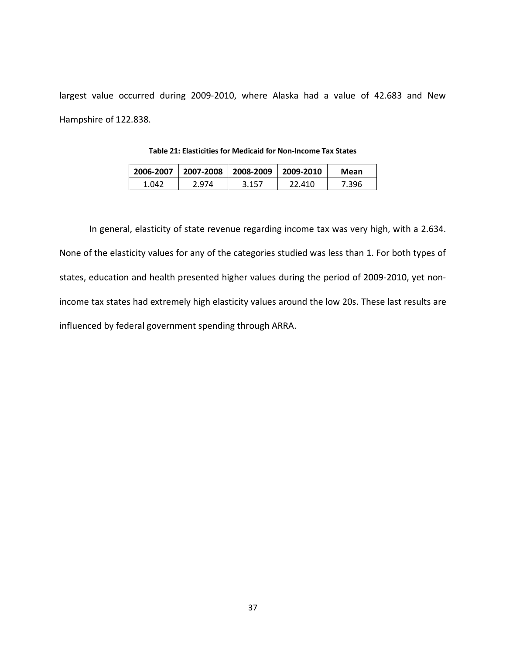largest value occurred during 2009-2010, where Alaska had a value of 42.683 and New Hampshire of 122.838.

| 2006-2007 |       | 2007-2008 2008-2009 2009-2010 |        | Mean |
|-----------|-------|-------------------------------|--------|------|
| 1.042 L   | 2.974 | 3.157                         | 22.410 | .396 |

**Table 21: Elasticities for Medicaid for Non-Income Tax States**

In general, elasticity of state revenue regarding income tax was very high, with a 2.634. None of the elasticity values for any of the categories studied was less than 1. For both types of states, education and health presented higher values during the period of 2009-2010, yet nonincome tax states had extremely high elasticity values around the low 20s. These last results are influenced by federal government spending through ARRA.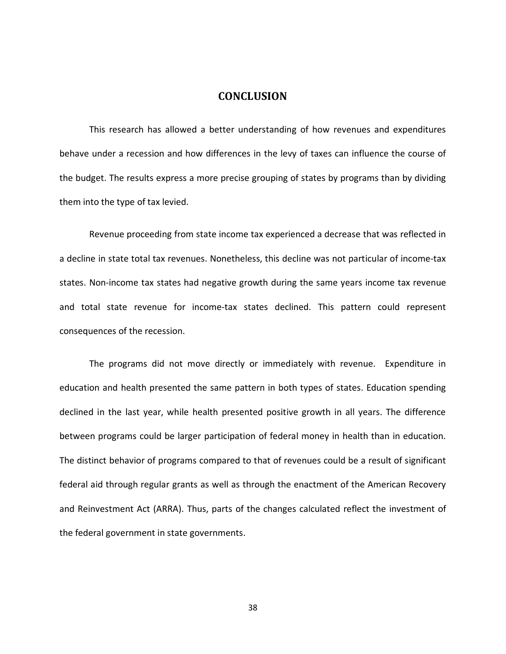## **CONCLUSION**

This research has allowed a better understanding of how revenues and expenditures behave under a recession and how differences in the levy of taxes can influence the course of the budget. The results express a more precise grouping of states by programs than by dividing them into the type of tax levied.

Revenue proceeding from state income tax experienced a decrease that was reflected in a decline in state total tax revenues. Nonetheless, this decline was not particular of income-tax states. Non-income tax states had negative growth during the same years income tax revenue and total state revenue for income-tax states declined. This pattern could represent consequences of the recession.

The programs did not move directly or immediately with revenue. Expenditure in education and health presented the same pattern in both types of states. Education spending declined in the last year, while health presented positive growth in all years. The difference between programs could be larger participation of federal money in health than in education. The distinct behavior of programs compared to that of revenues could be a result of significant federal aid through regular grants as well as through the enactment of the American Recovery and Reinvestment Act (ARRA). Thus, parts of the changes calculated reflect the investment of the federal government in state governments.

38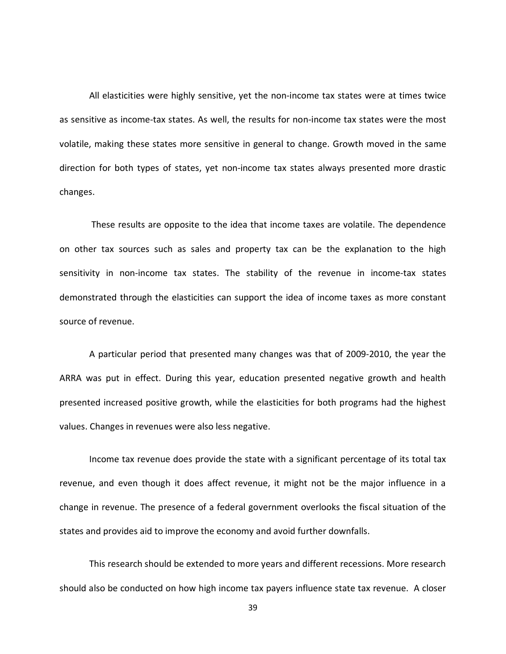All elasticities were highly sensitive, yet the non-income tax states were at times twice as sensitive as income-tax states. As well, the results for non-income tax states were the most volatile, making these states more sensitive in general to change. Growth moved in the same direction for both types of states, yet non-income tax states always presented more drastic changes.

These results are opposite to the idea that income taxes are volatile. The dependence on other tax sources such as sales and property tax can be the explanation to the high sensitivity in non-income tax states. The stability of the revenue in income-tax states demonstrated through the elasticities can support the idea of income taxes as more constant source of revenue.

A particular period that presented many changes was that of 2009-2010, the year the ARRA was put in effect. During this year, education presented negative growth and health presented increased positive growth, while the elasticities for both programs had the highest values. Changes in revenues were also less negative.

Income tax revenue does provide the state with a significant percentage of its total tax revenue, and even though it does affect revenue, it might not be the major influence in a change in revenue. The presence of a federal government overlooks the fiscal situation of the states and provides aid to improve the economy and avoid further downfalls.

This research should be extended to more years and different recessions. More research should also be conducted on how high income tax payers influence state tax revenue. A closer

39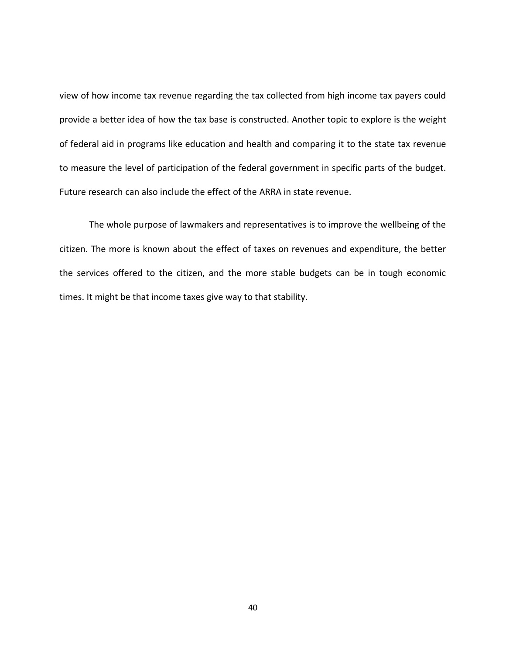view of how income tax revenue regarding the tax collected from high income tax payers could provide a better idea of how the tax base is constructed. Another topic to explore is the weight of federal aid in programs like education and health and comparing it to the state tax revenue to measure the level of participation of the federal government in specific parts of the budget. Future research can also include the effect of the ARRA in state revenue.

The whole purpose of lawmakers and representatives is to improve the wellbeing of the citizen. The more is known about the effect of taxes on revenues and expenditure, the better the services offered to the citizen, and the more stable budgets can be in tough economic times. It might be that income taxes give way to that stability.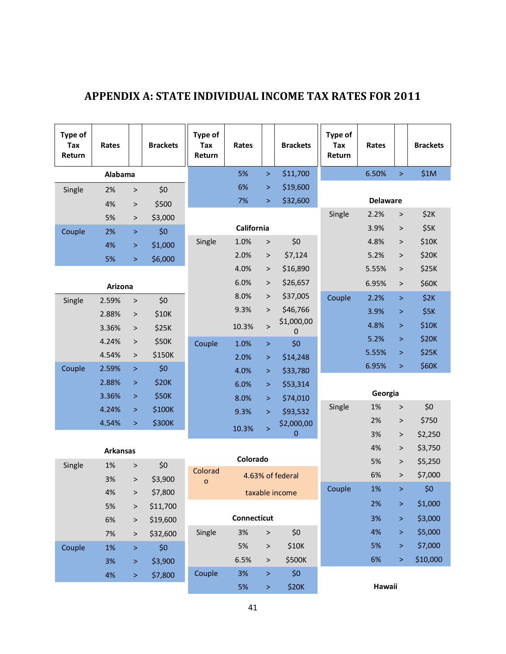| Type of<br>Tax<br>Return | Rates           |           | <b>Brackets</b> | <b>Type of</b><br>Tax<br>Return | Rates       |              | <b>Brackets</b>  | Type of<br>Tax<br>Return | Rates           |           | <b>Brackets</b> |
|--------------------------|-----------------|-----------|-----------------|---------------------------------|-------------|--------------|------------------|--------------------------|-----------------|-----------|-----------------|
|                          | Alabama         |           |                 |                                 | 5%          | $\geq$       | \$11,700         |                          | 6.50%           | $\geq$    | \$1M            |
| Single                   | 2%              | $\, >$    | \$0             |                                 | 6%          | $\, > \,$    | \$19,600         |                          |                 |           |                 |
|                          | 4%              | $\,>$     | \$500           |                                 | 7%          | $\geq$       | \$32,600         |                          | <b>Delaware</b> |           |                 |
|                          | 5%              | $\, >$    | \$3,000         |                                 |             |              |                  | Single                   | 2.2%            | $\, >$    | \$2K            |
| Couple                   | 2%              | $\,>$     | \$0             |                                 | California  |              |                  |                          | 3.9%            | $\,$      | \$5K            |
|                          | 4%              | $\, >$    | \$1,000         | Single                          | 1.0%        | $\, >$       | \$0              |                          | 4.8%            | $\, >$    | \$10K           |
|                          | 5%              | $\, >$    | \$6,000         |                                 | 2.0%        | $\,>$        | \$7,124          |                          | 5.2%            | $\, >$    | \$20K           |
|                          |                 |           |                 |                                 | 4.0%        | $\, >$       | \$16,890         |                          | 5.55%           | $\, >$    | \$25K           |
|                          | Arizona         |           |                 |                                 | 6.0%        | $\, >$       | \$26,657         |                          | 6.95%           | $\, >$    | \$60K           |
| Single                   | 2.59%           | $\,>$     | \$0             |                                 | 8.0%        | >            | \$37,005         | Couple                   | 2.2%            | $\, >$    | \$2K            |
|                          | 2.88%           | $\,>$     | \$10K           |                                 | 9.3%        | $\, >$       | \$46,766         |                          | 3.9%            | $\, >$    | \$5K            |
|                          | 3.36%           | $\, >$    | \$25K           |                                 | 10.3%       | $\, >$       | \$1,000,00<br>0  |                          | 4.8%            | $\, >$    | \$10K           |
|                          | 4.24%           | $\, >$    | \$50K           | Couple                          | 1.0%        | $\, >$       | \$0              |                          | 5.2%            | $\, >$    | \$20K           |
|                          | 4.54%           | $\, >$    | \$150K          |                                 | 2.0%        | $\, >$       | \$14,248         |                          | 5.55%           | $\, >$    | \$25K           |
| Couple                   | 2.59%           | $\, >$    | \$0             |                                 | 4.0%        | ⋗            | \$33,780         |                          | 6.95%           | $\, >$    | \$60K           |
|                          | 2.88%           | $\, >$    | \$20K           |                                 | 6.0%        | $\, > \,$    | \$53,314         |                          |                 |           |                 |
|                          | 3.36%           | $\geq$    | \$50K           |                                 | 8.0%        | $\, >$       | \$74,010         |                          | Georgia         |           |                 |
|                          | 4.24%           | $\geq$    | \$100K          |                                 | 9.3%        | $\, >$       | \$93,532         | Single                   | 1%              | $\, >$    | \$0             |
|                          | 4.54%           | $\, > \,$ | \$300K          |                                 | 10.3%       | $\mathbf{I}$ | \$2,000,00       |                          | 2%              | $\, >$    | \$750           |
|                          |                 |           |                 |                                 |             |              | $\Omega$         |                          | 3%              | $\, >$    | \$2,250         |
|                          | <b>Arkansas</b> |           |                 |                                 |             |              |                  |                          | 4%              | $\,>$     | \$3,750         |
| Single                   | 1%              | $\, >$    | \$0             | Colorad                         | Colorado    |              |                  |                          | 5%              | $\, >$    | \$5,250         |
|                          | 3%              | $\, >$    | \$3,900         | $\mathbf O$                     |             |              | 4.63% of federal |                          | 6%              | $\, > \,$ | \$7,000         |
|                          | 4%              | $\, >$    | \$7,800         |                                 |             |              | taxable income   | Couple                   | 1%              | $\geq$    | \$0             |
|                          | 5%              | $\,>$     | \$11,700        |                                 |             |              |                  |                          | 2%              | ×         | \$1,000         |
|                          | 6%              | $\, >$    | \$19,600        |                                 | Connecticut |              |                  |                          | 3%              | >         | \$3,000         |
|                          | 7%              | $\, > \,$ | \$32,600        | Single                          | 3%          | $\,$         | \$0              |                          | 4%              | $\, > \,$ | \$5,000         |
| Couple                   | 1%              | $\, >$    | \$0             |                                 | 5%          | $\,$         | \$10K            |                          | 5%              | $\, > \,$ | \$7,000         |
|                          | 3%              | $\, >$    | \$3,900         |                                 | 6.5%        | $\, >$       | \$500K           |                          | 6%              | $\, > \,$ | \$10,000        |
|                          | 4%              | $\, >$    | \$7,800         | Couple                          | 3%          | $\, >$       | \$0              |                          |                 |           |                 |
|                          |                 |           |                 |                                 | 5%          | $\, >$       | \$20K            |                          | Hawaii          |           |                 |

## **APPENDIX A: STATE INDIVIDUAL INCOME TAX RATES FOR 2011**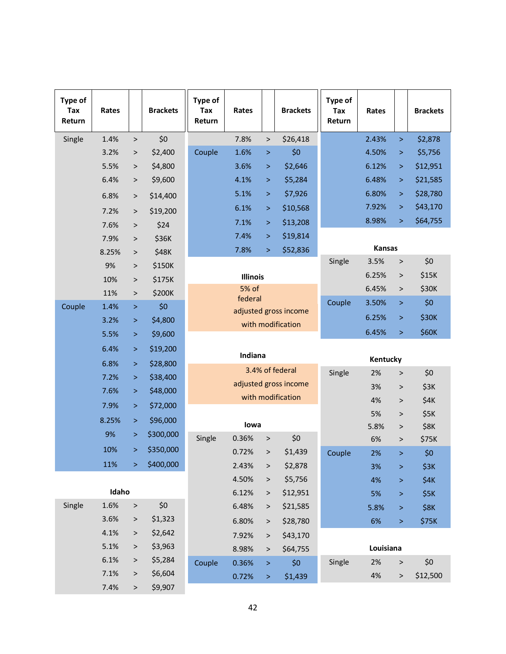| Type of<br>Tax<br>Return | Rates        |           | <b>Brackets</b>    | Type of<br>Tax<br>Return | Rates           |           | <b>Brackets</b>       | Type of<br>Tax<br>Return | Rates         |           | <b>Brackets</b> |
|--------------------------|--------------|-----------|--------------------|--------------------------|-----------------|-----------|-----------------------|--------------------------|---------------|-----------|-----------------|
| Single                   | 1.4%         | $\,>$     | \$0                |                          | 7.8%            | $\, >$    | \$26,418              |                          | 2.43%         | $\geq$    | \$2,878         |
|                          | 3.2%         | $\, > \,$ | \$2,400            | Couple                   | 1.6%            | $\, >$    | \$0                   |                          | 4.50%         | $\, > \,$ | \$5,756         |
|                          | 5.5%         | $\,>$     | \$4,800            |                          | 3.6%            | $\, > \,$ | \$2,646               |                          | 6.12%         | >         | \$12,951        |
|                          | 6.4%         | $\,>$     | \$9,600            |                          | 4.1%            | $\geq$    | \$5,284               |                          | 6.48%         | $\, > \,$ | \$21,585        |
|                          | 6.8%         | $\, >$    | \$14,400           |                          | 5.1%            | $\, >$    | \$7,926               |                          | 6.80%         | $\geq$    | \$28,780        |
|                          | 7.2%         | $\, >$    | \$19,200           |                          | 6.1%            | $\, >$    | \$10,568              |                          | 7.92%         | >         | \$43,170        |
|                          | 7.6%         | $\,>$     | \$24               |                          | 7.1%            | $\, >$    | \$13,208              |                          | 8.98%         | >         | \$64,755        |
|                          | 7.9%         | $\,>$     | \$36K              |                          | 7.4%            | $\, > \,$ | \$19,814              |                          |               |           |                 |
|                          | 8.25%        | $\, >$    | \$48K              |                          | 7.8%            | $\geq$    | \$52,836              |                          | <b>Kansas</b> |           |                 |
|                          | 9%           | $\, >$    | \$150K             |                          |                 |           |                       | Single                   | 3.5%          | $\, >$    | \$0             |
|                          | 10%          | $\, >$    | \$175K             |                          | <b>Illinois</b> |           |                       |                          | 6.25%         | >         | \$15K           |
|                          | 11%          | $\, >$    | \$200K             |                          | 5% of           |           |                       |                          | 6.45%         | $\, >$    | \$30K           |
| Couple                   | 1.4%         | $\, >$    | \$0                |                          | federal         |           | adjusted gross income | Couple                   | 3.50%         | $\, > \,$ | \$0             |
|                          | 3.2%         | $\, >$    | \$4,800            |                          |                 |           | with modification     |                          | 6.25%         | $\, > \,$ | \$30K           |
|                          | 5.5%         | $\geq$    | \$9,600            |                          |                 |           |                       |                          | 6.45%         | $\, >$    | \$60K           |
|                          | 6.4%         | $\, >$    | \$19,200           |                          |                 |           |                       |                          |               |           |                 |
|                          | 6.8%         | $\geq$    | \$28,800           |                          | Indiana         |           |                       |                          | Kentucky      |           |                 |
|                          | 7.2%         | $\geq$    | \$38,400           |                          |                 |           | 3.4% of federal       | Single                   | 2%            | $\,$      | \$0             |
|                          | 7.6%         | $\, >$    | \$48,000           |                          |                 |           | adjusted gross income |                          | 3%            | $\, >$    | \$3K            |
|                          | 7.9%         | $\, >$    | \$72,000           |                          |                 |           | with modification     |                          | 4%            | $\, > \,$ | \$4K            |
|                          | 8.25%        | $\geq$    | \$96,000           |                          |                 |           |                       |                          | 5%            | $\rm{^>}$ | \$5K            |
|                          | 9%           | $\, > \,$ | \$300,000          |                          | lowa            |           |                       |                          | 5.8%          | $\, > \,$ | \$8K            |
|                          | 10%          | $\geq$    | \$350,000          | Single                   | 0.36%           | $\,>$     | \$0                   |                          | 6%            | $\, > \,$ | \$75K           |
|                          |              |           |                    |                          | 0.72%           | $\, >$    | \$1,439               | Couple                   | 2%            | $\geq$    | \$0             |
|                          | 11%          | $\geq$    | \$400,000          |                          | 2.43%           | $\, >$    | \$2,878               |                          | 3%            | $\geq$    | \$3K            |
|                          | Idaho        |           |                    |                          | 4.50%           | $\, >$    | \$5,756               |                          | 4%            | $\, > \,$ | \$4K            |
|                          |              |           |                    |                          | 6.12%           | $\, >$    | \$12,951              |                          | 5%            | ×         | \$5K            |
| Single                   | 1.6%         | $\,$      | \$0                |                          | 6.48%           | $\, >$    | \$21,585              |                          | 5.8%          | $\geq$    | \$8K            |
|                          | 3.6%<br>4.1% | $\, >$    | \$1,323<br>\$2,642 |                          | 6.80%           | $\, >$    | \$28,780              |                          | 6%            | $\, >$    | \$75K           |
|                          | 5.1%         | $\, > \,$ | \$3,963            |                          | 7.92%           | $\, >$    | \$43,170              |                          |               |           |                 |
|                          | 6.1%         | $\, > \,$ |                    |                          | 8.98%           | $\, >$    | \$64,755              |                          | Louisiana     |           |                 |
|                          |              | $\, >$    | \$5,284            | Couple                   | 0.36%           | $\, >$    | \$0                   | Single                   | 2%            | $\, > \,$ | \$0             |
|                          | 7.1%         | $\, > \,$ | \$6,604            |                          | 0.72%           | $\, >$    | \$1,439               |                          | 4%            | $\,>$     | \$12,500        |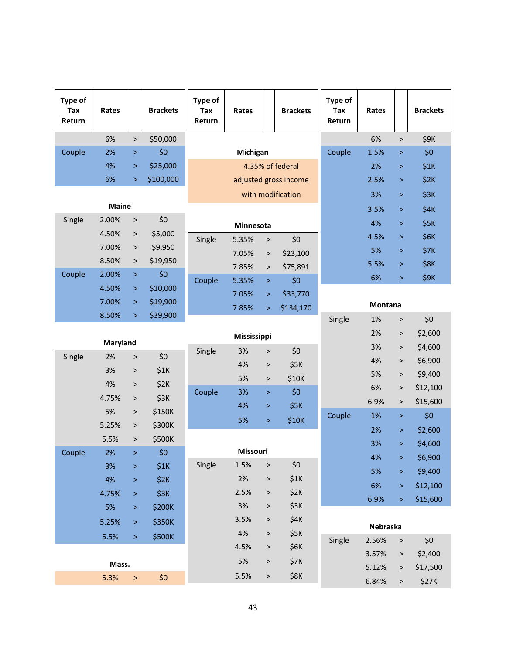| Type of<br>Tax<br>Return | Rates           |           | <b>Brackets</b> | Type of<br>Tax<br>Return | Rates             |           | <b>Brackets</b>       | Type of<br><b>Tax</b><br>Return | Rates    |           | <b>Brackets</b> |
|--------------------------|-----------------|-----------|-----------------|--------------------------|-------------------|-----------|-----------------------|---------------------------------|----------|-----------|-----------------|
|                          | 6%              | $\,$      | \$50,000        |                          |                   |           |                       |                                 | 6%       | $\, >$    | \$9K            |
| Couple                   | 2%              | $\, >$    | \$0             | Michigan                 |                   |           |                       | Couple                          | 1.5%     | $\, > \,$ | \$0             |
|                          | 4%              | $\geq$    | \$25,000        |                          |                   |           | 4.35% of federal      |                                 | 2%       | $\geq$    | \$1K            |
|                          | 6%              | $\geq$    | \$100,000       |                          |                   |           | adjusted gross income |                                 | 2.5%     | $\, >$    | \$2K            |
|                          |                 |           |                 |                          | with modification |           |                       |                                 | 3%       | $\, >$    | \$3K            |
|                          | <b>Maine</b>    |           |                 |                          |                   |           |                       |                                 | 3.5%     | $\, >$    | \$4K            |
| Single                   | 2.00%           | $\, >$    | \$0             |                          | Minnesota         |           |                       |                                 | 4%       | $\, >$    | \$5K            |
|                          | 4.50%           | $\, >$    | \$5,000         | Single                   | 5.35%             | $\, >$    | \$0                   |                                 | 4.5%     | $\, >$    | \$6K            |
|                          | 7.00%           | $\,>$     | \$9,950         |                          | 7.05%             | $\,>$     | \$23,100              |                                 | 5%       | $\, > \,$ | <b>\$7K</b>     |
|                          | 8.50%           | $\,>$     | \$19,950        |                          | 7.85%             | $\,>$     | \$75,891              |                                 | 5.5%     | $\, > \,$ | \$8K            |
| Couple                   | 2.00%           | $\, >$    | \$0             | Couple                   | 5.35%             | $\, >$    | \$0                   |                                 | 6%       | $\, >$    | <b>\$9K</b>     |
|                          | 4.50%           | $\geq$    | \$10,000        |                          | 7.05%             | $\,>\,$   | \$33,770              |                                 |          |           |                 |
|                          | 7.00%           | $\geq$    | \$19,900        |                          | 7.85%             | $\geq$    | \$134,170             |                                 | Montana  |           |                 |
|                          | 8.50%           | $\, > \,$ | \$39,900        |                          |                   |           |                       | Single                          | 1%       | $\, >$    | \$0             |
|                          |                 |           |                 |                          | Mississippi       |           |                       |                                 | 2%       | $\, >$    | \$2,600         |
|                          | <b>Maryland</b> |           |                 | Single                   | 3%                | $\,>$     | \$0                   |                                 | 3%       | $\, >$    | \$4,600         |
| Single                   | 2%              | $\, >$    | \$0             |                          | 4%                | $\, >$    | \$5K                  |                                 | 4%       | $\, >$    | \$6,900         |
|                          | 3%              | $\, >$    | \$1K            |                          | 5%                | $\, >$    | \$10K                 |                                 | 5%       | $\, >$    | \$9,400         |
|                          | 4%              | $\,>$     | \$2K            | Couple                   | 3%                | $\, >$    | \$0                   |                                 | 6%       | $\, >$    | \$12,100        |
|                          | 4.75%           | $\, >$    | \$3K            |                          | 4%                | $\, > \,$ | \$5K                  |                                 | 6.9%     | $\, >$    | \$15,600        |
|                          | 5%              | $\, >$    | \$150K          |                          | 5%                | $\, >$    | \$10K                 | Couple                          | 1%       | $\, >$    | \$0             |
|                          | 5.25%           | $\,>$     | \$300K          |                          |                   |           |                       |                                 | 2%       | $\, > \,$ | \$2,600         |
|                          | 5.5%            | $\, > \,$ | \$500K          |                          |                   |           |                       |                                 | 3%       | $\geq$    | \$4,600         |
| Couple                   | 2%              | $\geq$    | \$0             |                          | Missouri          |           |                       |                                 | 4%       | $\, >$    | \$6,900         |
|                          | 3%              | $\,>\,$   | \$1K            | Single                   | 1.5%              | $\, >$    | \$0                   |                                 | 5%       | $\, > \,$ | \$9,400         |
|                          | $4%$            | $\,>\,$   | \$2K            |                          | 2%                | $\geq$    | \$1K                  |                                 | 6%       | $\, > \,$ | \$12,100        |
|                          | 4.75%           | $\, >$    | \$3K            |                          | 2.5%              | $\, >$    | \$2K                  |                                 | 6.9%     | >         | \$15,600        |
|                          | 5%              | $\, >$    | \$200K          |                          | 3%                | $\,$      | \$3K                  |                                 |          |           |                 |
|                          | 5.25%           | $\, >$    | \$350K          |                          | 3.5%              | $\, >$    | \$4K                  |                                 | Nebraska |           |                 |
|                          | 5.5%            | $\, >$    | \$500K          |                          | 4%                | $\,$      | \$5K                  | Single                          | 2.56%    | $\, >$    | \$0             |
|                          |                 |           |                 |                          | 4.5%              | $\, >$    | \$6K                  |                                 | 3.57%    | >         | \$2,400         |
|                          | Mass.           |           |                 |                          | 5%                | $\,$      | \$7K                  |                                 | 5.12%    | $\, > \,$ | \$17,500        |
|                          | 5.3%            | $\, >$    | \$0             |                          | 5.5%              | $\,$      | \$8K                  |                                 | 6.84%    | $\, >$    | \$27K           |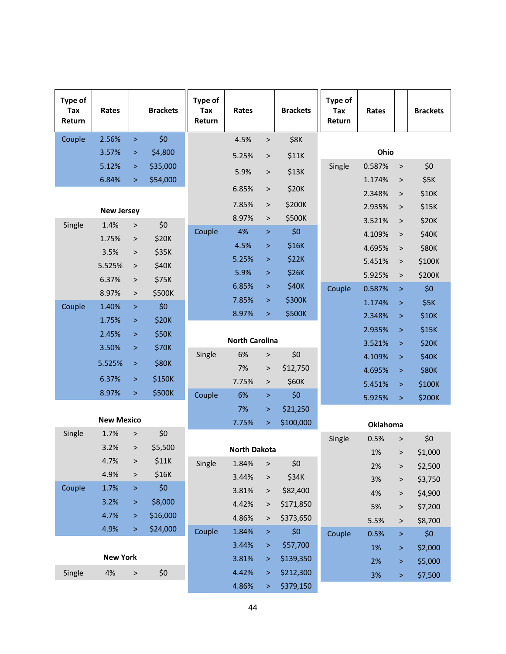| Type of<br>Tax<br>Return | Rates             |        | <b>Brackets</b> | Type of<br>Tax<br>Return | Rates                 |              | <b>Brackets</b> | Type of<br>Tax<br>Return | Rates        |              | <b>Brackets</b> |
|--------------------------|-------------------|--------|-----------------|--------------------------|-----------------------|--------------|-----------------|--------------------------|--------------|--------------|-----------------|
| Couple                   | 2.56%             | $\geq$ | \$0             |                          | 4.5%                  | $\, >$       | \$8K            |                          |              |              |                 |
|                          | 3.57%             | $\, >$ | \$4,800         |                          | 5.25%                 | $\, >$       | \$11K           |                          | Ohio         |              |                 |
|                          | 5.12%             | $\geq$ | \$35,000        |                          | 5.9%                  | $\, >$       | \$13K           | Single                   | 0.587%       | $\mathbf{L}$ | \$0             |
|                          | 6.84%             | $\geq$ | \$54,000        |                          |                       |              |                 |                          | 1.174%       | $\, >$       | \$5K            |
|                          |                   |        |                 |                          | 6.85%                 | $\, >$       | \$20K           |                          | 2.348%       | $\,>$        | \$10K           |
|                          | <b>New Jersey</b> |        |                 |                          | 7.85%                 | $\, >$       | \$200K          |                          | 2.935%       | $\, > \,$    | \$15K           |
| Single                   | 1.4%              | $\,>$  | \$0             |                          | 8.97%                 | $\,>$        | \$500K          |                          | 3.521%       | $\,>$        | \$20K           |
|                          | 1.75%             | $\, >$ | \$20K           | Couple                   | 4%                    | $\, > \,$    | \$0             |                          | 4.109%       | $\,>$        | \$40K           |
|                          | 3.5%              | $\, >$ | \$35K           |                          | 4.5%                  | $\, >$       | \$16K           |                          | 4.695%       | $\, > \,$    | <b>\$80K</b>    |
|                          | 5.525%            | $\, >$ | \$40K           |                          | 5.25%                 | $\, > \,$    | \$22K           |                          | 5.451%       | $\, >$       | \$100K          |
|                          | 6.37%             | $\, >$ | \$75K           |                          | 5.9%                  | $\, >$       | \$26K           |                          | 5.925%       | $\,>$        | \$200K          |
|                          | 8.97%             | $\, >$ | \$500K          |                          | 6.85%                 | $\, > \,$    | \$40K           | Couple                   | 0.587%       | $\, > \,$    | \$0             |
| Couple                   | 1.40%             | $\geq$ | \$0             |                          | 7.85%                 | $\, >$       | \$300K          |                          | 1.174%       | $\, > \,$    | \$5K            |
|                          | 1.75%             | $\geq$ | \$20K           |                          | 8.97%                 | $\, >$       | \$500K          |                          | 2.348%       | $\, > \,$    | \$10K           |
|                          | 2.45%             | $\geq$ | \$50K           |                          |                       |              |                 |                          | 2.935%       | $\, > \,$    | \$15K           |
|                          | 3.50%             | $\geq$ | \$70K           |                          | <b>North Carolina</b> |              |                 |                          | 3.521%       | $\, > \,$    | \$20K           |
|                          | 5.525%            | $\geq$ | <b>\$80K</b>    | Single                   | 6%                    | $\mathbf{L}$ | \$0             |                          | 4.109%       | $\, > \,$    | \$40K           |
|                          | 6.37%             | $\geq$ | \$150K          |                          | 7%                    | $\, >$       | \$12,750        |                          | 4.695%       | $\, > \,$    | <b>\$80K</b>    |
|                          | 8.97%             | $\, >$ | \$500K          | Couple                   | 7.75%<br>6%           | $\,>$<br>>   | \$60K<br>\$0    |                          | 5.451%       | $\, > \,$    | \$100K          |
|                          |                   |        |                 |                          | 7%                    | >            | \$21,250        |                          | 5.925%       | $\, > \,$    | \$200K          |
|                          | <b>New Mexico</b> |        |                 |                          | 7.75%                 | $\, > \,$    | \$100,000       |                          |              |              |                 |
| Single                   | 1.7%              | $\geq$ | \$0             |                          |                       |              |                 |                          | Oklahoma     |              |                 |
|                          | 3.2%              | $\, >$ | \$5,500         |                          | <b>North Dakota</b>   |              |                 | Single                   | 0.5%         | $\,>$        | \$0             |
|                          | 4.7%              | $\, >$ | \$11K           | Single                   | 1.84%                 | >            | \$0             |                          | 1%           | $\, > \,$    | \$1,000         |
|                          | 4.9%              | $\, >$ | \$16K           |                          | 3.44%                 | $\, >$       | \$34K           |                          | 2%           | $\, > \,$    | \$2,500         |
| Couple                   | 1.7%              | $\, >$ | \$0             |                          | 3.81%                 | $\, >$       | \$82,400        |                          | 3%           | >            | \$3,750         |
|                          | 3.2%              | $\, >$ | \$8,000         |                          | 4.42%                 | $\, >$       | \$171,850       |                          | 4%           | $\, >$       | \$4,900         |
|                          | 4.7%              | $\, >$ | \$16,000        |                          | 4.86%                 | >            | \$373,650       |                          | 5%           | $\, >$       | \$7,200         |
|                          | 4.9%              | $\geq$ | \$24,000        | Couple                   | 1.84%                 | $\, >$       | \$0             | Couple                   | 5.5%<br>0.5% | ><br>$\, >$  | \$8,700<br>\$0  |
|                          |                   |        |                 |                          | 3.44%                 | $\, >$       | \$57,700        |                          | 1%           | $\, > \,$    | \$2,000         |
|                          | <b>New York</b>   |        |                 |                          | 3.81%                 | ⋗            | \$139,350       |                          | 2%           | $\,>\,$      | \$5,000         |
| Single                   | 4%                | $\, >$ | \$0             |                          | 4.42%                 | $\, >$       | \$212,300       |                          | 3%           | $\geq$       | \$7,500         |
|                          |                   |        |                 |                          | 4.86%                 | $\, >$       | \$379,150       |                          |              |              |                 |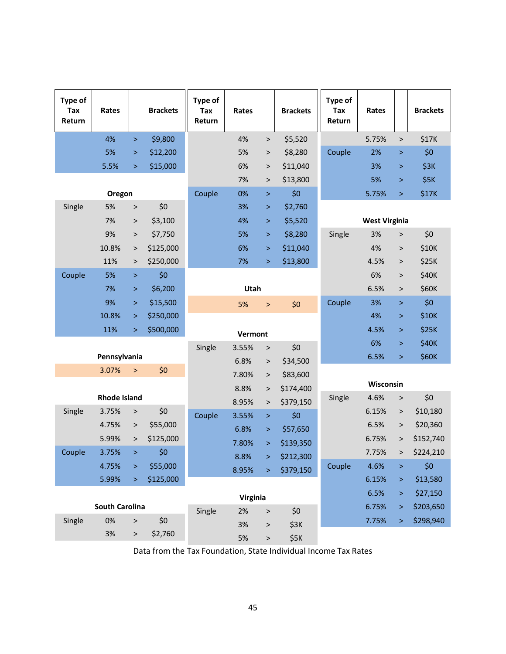| Type of<br>Tax<br>Return | Rates                 |           | <b>Brackets</b> | Type of<br>Tax<br>Return | Rates    |           | <b>Brackets</b> | <b>Type of</b><br>Tax<br>Return | Rates                |           | <b>Brackets</b> |
|--------------------------|-----------------------|-----------|-----------------|--------------------------|----------|-----------|-----------------|---------------------------------|----------------------|-----------|-----------------|
|                          | 4%                    | $\, >$    | \$9,800         |                          | 4%       | $\, >$    | \$5,520         |                                 | 5.75%                | $\, >$    | \$17K           |
|                          | 5%                    | $\, >$    | \$12,200        |                          | 5%       | $\, >$    | \$8,280         | Couple                          | 2%                   | $\geq$    | \$0             |
|                          | 5.5%                  | $\, >$    | \$15,000        |                          | 6%       | >         | \$11,040        |                                 | 3%                   | $\, >$    | \$3K            |
|                          |                       |           |                 |                          | 7%       | >         | \$13,800        |                                 | 5%                   | $\, >$    | \$5K            |
|                          | Oregon                |           |                 | Couple                   | 0%       | ×         | \$0             |                                 | 5.75%                | $\, >$    | \$17K           |
| Single                   | 5%                    | $\,$      | \$0             |                          | 3%       | $\, >$    | \$2,760         |                                 |                      |           |                 |
|                          | 7%                    | $\, >$    | \$3,100         |                          | 4%       | $\, >$    | \$5,520         |                                 | <b>West Virginia</b> |           |                 |
|                          | 9%                    | $\, >$    | \$7,750         |                          | 5%       | >         | \$8,280         | Single                          | 3%                   | $\, >$    | \$0             |
|                          | 10.8%                 | $\,>$     | \$125,000       |                          | 6%       | $\, > \,$ | \$11,040        |                                 | 4%                   | $\, >$    | \$10K           |
|                          | 11%                   | $\, >$    | \$250,000       |                          | 7%       | $\geq$    | \$13,800        |                                 | 4.5%                 | $\, >$    | \$25K           |
| Couple                   | 5%                    | $\, >$    | \$0             |                          |          |           |                 |                                 | 6%                   | $\, >$    | \$40K           |
|                          | 7%                    | $\, >$    | \$6,200         |                          | Utah     |           |                 |                                 | 6.5%                 | $\, >$    | \$60K           |
|                          | 9%                    | $\, >$    | \$15,500        |                          | 5%       | $\,>$     | \$0             | Couple                          | 3%                   | $\, >$    | \$0             |
|                          | 10.8%                 | $\, >$    | \$250,000       |                          |          |           |                 |                                 | 4%                   | $\, >$    | \$10K           |
|                          | 11%                   | $\, >$    | \$500,000       |                          | Vermont  |           |                 |                                 | 4.5%                 | $\, >$    | \$25K           |
|                          |                       |           |                 | Single                   | 3.55%    | $\, >$    | \$0             |                                 | 6%                   | $\, >$    | <b>\$40K</b>    |
|                          | Pennsylvania          |           |                 |                          | 6.8%     | $\, >$    | \$34,500        |                                 | 6.5%                 | $\, >$    | \$60K           |
|                          | 3.07%                 | $\, >$    | \$0             |                          | 7.80%    | $\, >$    | \$83,600        |                                 |                      |           |                 |
|                          |                       |           |                 |                          | 8.8%     | $\,>$     | \$174,400       |                                 | Wisconsin            |           |                 |
|                          | <b>Rhode Island</b>   |           |                 |                          | 8.95%    | $\, >$    | \$379,150       | Single                          | 4.6%                 | $\, >$    | \$0             |
| Single                   | 3.75%                 | $\, >$    | \$0             | Couple                   | 3.55%    | $\, >$    | \$0             |                                 | 6.15%                | $\,>$     | \$10,180        |
|                          | 4.75%                 | $\,>$     | \$55,000        |                          | 6.8%     | $\, >$    | \$57,650        |                                 | 6.5%                 | $\,>$     | \$20,360        |
|                          | 5.99%                 | $\, >$    | \$125,000       |                          | 7.80%    | $\, > \,$ | \$139,350       |                                 | 6.75%                | $\, > \,$ | \$152,740       |
| Couple                   | 3.75%                 | $\geq$    | \$0             |                          | 8.8%     | $\,>\,$   | \$212,300       |                                 | 7.75%                | $\,>$     | \$224,210       |
|                          | 4.75%                 | $\, > \,$ | \$55,000        |                          | 8.95%    | $\geq$    | \$379,150       | Couple                          | 4.6%                 | $\, >$    | \$0             |
|                          | 5.99%                 | $\geq$    | \$125,000       |                          |          |           |                 |                                 | 6.15%                | $\, > \,$ | \$13,580        |
|                          |                       |           |                 |                          | Virginia |           |                 |                                 | 6.5%                 | >         | \$27,150        |
|                          | <b>South Carolina</b> |           |                 | Single                   | 2%       | $\,>$     | \$0             |                                 | 6.75%                | >         | \$203,650       |
| Single                   | 0%                    | $\, >$    | \$0             |                          | 3%       | $\, >$    | \$3K            |                                 | 7.75%                | $\, > \,$ | \$298,940       |
|                          | 3%                    | $\, >$    | \$2,760         |                          | 5%       | $\,$      | \$5K            |                                 |                      |           |                 |

Data from the Tax Foundation, State Individual Income Tax Rates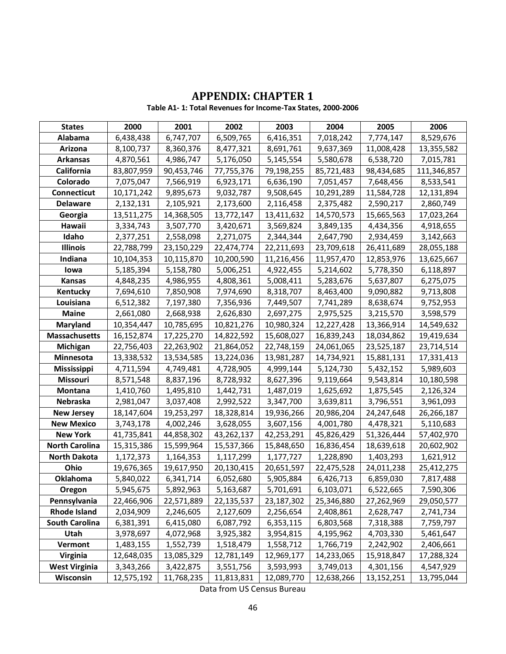# **APPENDIX: CHAPTER 1**

**Table A1- 1: Total Revenues for Income-Tax States, 2000-2006**

| <b>States</b>         | 2000       | 2001       | 2002       | 2003       | 2004       | 2005       | 2006        |
|-----------------------|------------|------------|------------|------------|------------|------------|-------------|
| Alabama               | 6,438,438  | 6,747,707  | 6,509,765  | 6,416,351  | 7,018,242  | 7,774,147  | 8,529,676   |
| Arizona               | 8,100,737  | 8,360,376  | 8,477,321  | 8,691,761  | 9,637,369  | 11,008,428 | 13,355,582  |
| <b>Arkansas</b>       | 4,870,561  | 4,986,747  | 5,176,050  | 5,145,554  | 5,580,678  | 6,538,720  | 7,015,781   |
| California            | 83,807,959 | 90,453,746 | 77,755,376 | 79,198,255 | 85,721,483 | 98,434,685 | 111,346,857 |
| Colorado              | 7,075,047  | 7,566,919  | 6,923,171  | 6,636,190  | 7,051,457  | 7,648,456  | 8,533,541   |
| Connecticut           | 10,171,242 | 9,895,673  | 9,032,787  | 9,508,645  | 10,291,289 | 11,584,728 | 12,131,894  |
| <b>Delaware</b>       | 2,132,131  | 2,105,921  | 2,173,600  | 2,116,458  | 2,375,482  | 2,590,217  | 2,860,749   |
| Georgia               | 13,511,275 | 14,368,505 | 13,772,147 | 13,411,632 | 14,570,573 | 15,665,563 | 17,023,264  |
| Hawaii                | 3,334,743  | 3,507,770  | 3,420,671  | 3,569,824  | 3,849,135  | 4,434,356  | 4,918,655   |
| Idaho                 | 2,377,251  | 2,558,098  | 2,271,075  | 2,344,344  | 2,647,790  | 2,934,459  | 3,142,663   |
| <b>Illinois</b>       | 22,788,799 | 23,150,229 | 22,474,774 | 22,211,693 | 23,709,618 | 26,411,689 | 28,055,188  |
| Indiana               | 10,104,353 | 10,115,870 | 10,200,590 | 11,216,456 | 11,957,470 | 12,853,976 | 13,625,667  |
| lowa                  | 5,185,394  | 5,158,780  | 5,006,251  | 4,922,455  | 5,214,602  | 5,778,350  | 6,118,897   |
| Kansas                | 4,848,235  | 4,986,955  | 4,808,361  | 5,008,411  | 5,283,676  | 5,637,807  | 6,275,075   |
| Kentucky              | 7,694,610  | 7,850,908  | 7,974,690  | 8,318,707  | 8,463,400  | 9,090,882  | 9,713,808   |
| Louisiana             | 6,512,382  | 7,197,380  | 7,356,936  | 7,449,507  | 7,741,289  | 8,638,674  | 9,752,953   |
| <b>Maine</b>          | 2,661,080  | 2,668,938  | 2,626,830  | 2,697,275  | 2,975,525  | 3,215,570  | 3,598,579   |
| Maryland              | 10,354,447 | 10,785,695 | 10,821,276 | 10,980,324 | 12,227,428 | 13,366,914 | 14,549,632  |
| <b>Massachusetts</b>  | 16,152,874 | 17,225,270 | 14,822,592 | 15,608,027 | 16,839,243 | 18,034,862 | 19,419,634  |
| Michigan              | 22,756,403 | 22,263,902 | 21,864,052 | 22,748,159 | 24,061,065 | 23,525,187 | 23,714,514  |
| Minnesota             | 13,338,532 | 13,534,585 | 13,224,036 | 13,981,287 | 14,734,921 | 15,881,131 | 17,331,413  |
| Mississippi           | 4,711,594  | 4,749,481  | 4,728,905  | 4,999,144  | 5,124,730  | 5,432,152  | 5,989,603   |
| Missouri              | 8,571,548  | 8,837,196  | 8,728,932  | 8,627,396  | 9,119,664  | 9,543,814  | 10,180,598  |
| Montana               | 1,410,760  | 1,495,810  | 1,442,731  | 1,487,019  | 1,625,692  | 1,875,545  | 2,126,324   |
| Nebraska              | 2,981,047  | 3,037,408  | 2,992,522  | 3,347,700  | 3,639,811  | 3,796,551  | 3,961,093   |
| <b>New Jersey</b>     | 18,147,604 | 19,253,297 | 18,328,814 | 19,936,266 | 20,986,204 | 24,247,648 | 26,266,187  |
| <b>New Mexico</b>     | 3,743,178  | 4,002,246  | 3,628,055  | 3,607,156  | 4,001,780  | 4,478,321  | 5,110,683   |
| <b>New York</b>       | 41,735,841 | 44,858,302 | 43,262,137 | 42,253,291 | 45,826,429 | 51,326,444 | 57,402,970  |
| <b>North Carolina</b> | 15,315,386 | 15,599,964 | 15,537,366 | 15,848,650 | 16,836,454 | 18,639,618 | 20,602,902  |
| <b>North Dakota</b>   | 1,172,373  | 1,164,353  | 1,117,299  | 1,177,727  | 1,228,890  | 1,403,293  | 1,621,912   |
| Ohio                  | 19,676,365 | 19,617,950 | 20,130,415 | 20,651,597 | 22,475,528 | 24,011,238 | 25,412,275  |
| <b>Oklahoma</b>       | 5,840,022  | 6,341,714  | 6,052,680  | 5,905,884  | 6,426,713  | 6,859,030  | 7,817,488   |
| Oregon                | 5,945,675  | 5,892,963  | 5,163,687  | 5,701,691  | 6,103,071  | 6,522,665  | 7,590,306   |
| Pennsylvania          | 22,466,906 | 22,571,889 | 22,135,537 | 23,187,302 | 25,346,880 | 27,262,969 | 29,050,577  |
| <b>Rhode Island</b>   | 2,034,909  | 2,246,605  | 2,127,609  | 2,256,654  | 2,408,861  | 2,628,747  | 2,741,734   |
| <b>South Carolina</b> | 6,381,391  | 6,415,080  | 6,087,792  | 6,353,115  | 6,803,568  | 7,318,388  | 7,759,797   |
| Utah                  | 3,978,697  | 4,072,968  | 3,925,382  | 3,954,815  | 4,195,962  | 4,703,330  | 5,461,647   |
| Vermont               | 1,483,155  | 1,552,739  | 1,518,479  | 1,558,712  | 1,766,719  | 2,242,902  | 2,406,661   |
| <b>Virginia</b>       | 12,648,035 | 13,085,329 | 12,781,149 | 12,969,177 | 14,233,065 | 15,918,847 | 17,288,324  |
| <b>West Virginia</b>  | 3,343,266  | 3,422,875  | 3,551,756  | 3,593,993  | 3,749,013  | 4,301,156  | 4,547,929   |
| Wisconsin             | 12,575,192 | 11,768,235 | 11,813,831 | 12,089,770 | 12,638,266 | 13,152,251 | 13,795,044  |

Data from US Census Bureau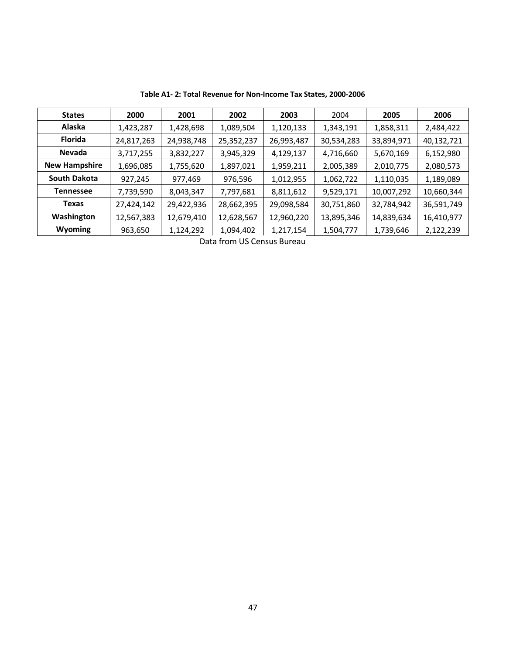| <b>States</b>        | 2000       | 2001       | 2002       | 2003       | 2004       | 2005       | 2006       |
|----------------------|------------|------------|------------|------------|------------|------------|------------|
| Alaska               | 1,423,287  | 1,428,698  | 1,089,504  | 1,120,133  | 1,343,191  | 1,858,311  | 2,484,422  |
| <b>Florida</b>       | 24,817,263 | 24,938,748 | 25,352,237 | 26,993,487 | 30,534,283 | 33,894,971 | 40,132,721 |
| Nevada               | 3,717,255  | 3,832,227  | 3,945,329  | 4,129,137  | 4,716,660  | 5,670,169  | 6,152,980  |
| <b>New Hampshire</b> | 1,696,085  | 1,755,620  | 1,897,021  | 1,959,211  | 2,005,389  | 2,010,775  | 2,080,573  |
| <b>South Dakota</b>  | 927,245    | 977,469    | 976,596    | 1,012,955  | 1,062,722  | 1,110,035  | 1,189,089  |
| Tennessee            | 7,739,590  | 8,043,347  | 7,797,681  | 8,811,612  | 9,529,171  | 10,007,292 | 10,660,344 |
| Texas                | 27,424,142 | 29,422,936 | 28,662,395 | 29,098,584 | 30,751,860 | 32,784,942 | 36,591,749 |
| Washington           | 12,567,383 | 12,679,410 | 12,628,567 | 12,960,220 | 13,895,346 | 14,839,634 | 16,410,977 |
| Wyoming              | 963,650    | 1,124,292  | 1,094,402  | 1,217,154  | 1,504,777  | 1,739,646  | 2,122,239  |

**Table A1- 2: Total Revenue for Non-Income Tax States, 2000-2006**

Data from US Census Bureau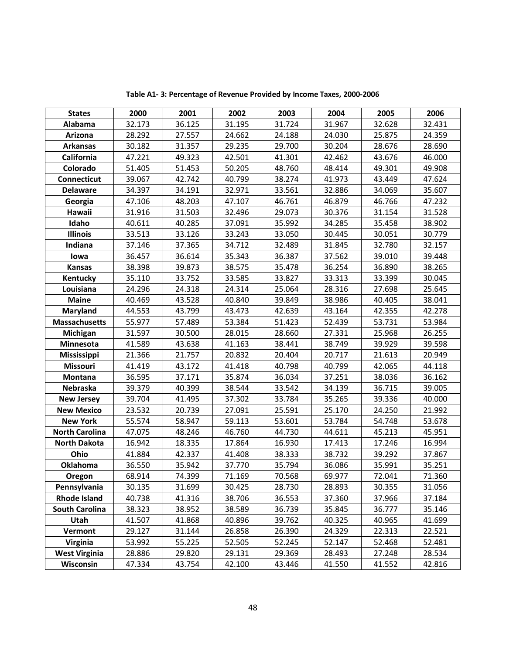| <b>States</b>         | 2000   | 2001   | 2002   | 2003   | 2004   | 2005   | 2006   |
|-----------------------|--------|--------|--------|--------|--------|--------|--------|
| Alabama               | 32.173 | 36.125 | 31.195 | 31.724 | 31.967 | 32.628 | 32.431 |
| Arizona               | 28.292 | 27.557 | 24.662 | 24.188 | 24.030 | 25.875 | 24.359 |
| <b>Arkansas</b>       | 30.182 | 31.357 | 29.235 | 29.700 | 30.204 | 28.676 | 28.690 |
| California            | 47.221 | 49.323 | 42.501 | 41.301 | 42.462 | 43.676 | 46.000 |
| Colorado              | 51.405 | 51.453 | 50.205 | 48.760 | 48.414 | 49.301 | 49.908 |
| Connecticut           | 39.067 | 42.742 | 40.799 | 38.274 | 41.973 | 43.449 | 47.624 |
| <b>Delaware</b>       | 34.397 | 34.191 | 32.971 | 33.561 | 32.886 | 34.069 | 35.607 |
| Georgia               | 47.106 | 48.203 | 47.107 | 46.761 | 46.879 | 46.766 | 47.232 |
| Hawaii                | 31.916 | 31.503 | 32.496 | 29.073 | 30.376 | 31.154 | 31.528 |
| Idaho                 | 40.611 | 40.285 | 37.091 | 35.992 | 34.285 | 35.458 | 38.902 |
| <b>Illinois</b>       | 33.513 | 33.126 | 33.243 | 33.050 | 30.445 | 30.051 | 30.779 |
| Indiana               | 37.146 | 37.365 | 34.712 | 32.489 | 31.845 | 32.780 | 32.157 |
| lowa                  | 36.457 | 36.614 | 35.343 | 36.387 | 37.562 | 39.010 | 39.448 |
| <b>Kansas</b>         | 38.398 | 39.873 | 38.575 | 35.478 | 36.254 | 36.890 | 38.265 |
| Kentucky              | 35.110 | 33.752 | 33.585 | 33.827 | 33.313 | 33.399 | 30.045 |
| Louisiana             | 24.296 | 24.318 | 24.314 | 25.064 | 28.316 | 27.698 | 25.645 |
| <b>Maine</b>          | 40.469 | 43.528 | 40.840 | 39.849 | 38.986 | 40.405 | 38.041 |
| <b>Maryland</b>       | 44.553 | 43.799 | 43.473 | 42.639 | 43.164 | 42.355 | 42.278 |
| <b>Massachusetts</b>  | 55.977 | 57.489 | 53.384 | 51.423 | 52.439 | 53.731 | 53.984 |
| Michigan              | 31.597 | 30.500 | 28.015 | 28.660 | 27.331 | 25.968 | 26.255 |
| Minnesota             | 41.589 | 43.638 | 41.163 | 38.441 | 38.749 | 39.929 | 39.598 |
| Mississippi           | 21.366 | 21.757 | 20.832 | 20.404 | 20.717 | 21.613 | 20.949 |
| Missouri              | 41.419 | 43.172 | 41.418 | 40.798 | 40.799 | 42.065 | 44.118 |
| Montana               | 36.595 | 37.171 | 35.874 | 36.034 | 37.251 | 38.036 | 36.162 |
| Nebraska              | 39.379 | 40.399 | 38.544 | 33.542 | 34.139 | 36.715 | 39.005 |
| <b>New Jersey</b>     | 39.704 | 41.495 | 37.302 | 33.784 | 35.265 | 39.336 | 40.000 |
| <b>New Mexico</b>     | 23.532 | 20.739 | 27.091 | 25.591 | 25.170 | 24.250 | 21.992 |
| <b>New York</b>       | 55.574 | 58.947 | 59.113 | 53.601 | 53.784 | 54.748 | 53.678 |
| <b>North Carolina</b> | 47.075 | 48.246 | 46.760 | 44.730 | 44.611 | 45.213 | 45.951 |
| <b>North Dakota</b>   | 16.942 | 18.335 | 17.864 | 16.930 | 17.413 | 17.246 | 16.994 |
| Ohio                  | 41.884 | 42.337 | 41.408 | 38.333 | 38.732 | 39.292 | 37.867 |
| <b>Oklahoma</b>       | 36.550 | 35.942 | 37.770 | 35.794 | 36.086 | 35.991 | 35.251 |
| Oregon                | 68.914 | 74.399 | 71.169 | 70.568 | 69.977 | 72.041 | 71.360 |
| Pennsylvania          | 30.135 | 31.699 | 30.425 | 28.730 | 28.893 | 30.355 | 31.056 |
| <b>Rhode Island</b>   | 40.738 | 41.316 | 38.706 | 36.553 | 37.360 | 37.966 | 37.184 |
| South Carolina        | 38.323 | 38.952 | 38.589 | 36.739 | 35.845 | 36.777 | 35.146 |
| Utah                  | 41.507 | 41.868 | 40.896 | 39.762 | 40.325 | 40.965 | 41.699 |
| Vermont               | 29.127 | 31.144 | 26.858 | 26.390 | 24.329 | 22.313 | 22.521 |
| Virginia              | 53.992 | 55.225 | 52.505 | 52.245 | 52.147 | 52.468 | 52.481 |
| <b>West Virginia</b>  | 28.886 | 29.820 | 29.131 | 29.369 | 28.493 | 27.248 | 28.534 |
| Wisconsin             | 47.334 | 43.754 | 42.100 | 43.446 | 41.550 | 41.552 | 42.816 |

**Table A1- 3: Percentage of Revenue Provided by Income Taxes, 2000-2006**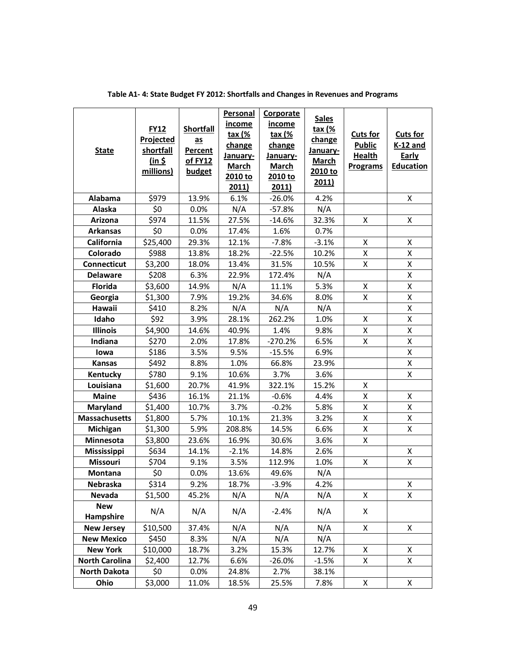| <b>State</b>            | <b>FY12</b><br><b>Projected</b><br>shortfall<br>(in 5)<br>millions) | <b>Shortfall</b><br>as<br>Percent<br>of FY12<br>budget | Personal<br>income<br><u>tax (%</u><br>change<br>January-<br><b>March</b><br>2010 to<br>2011) | Corporate<br><i>income</i><br><u>tax (%</u><br>change<br>January-<br><b>March</b><br>2010 to<br>2011) | <b>Sales</b><br><u>tax (%</u><br>change<br>January-<br><b>March</b><br>2010 to<br><u>2011)</u> | <b>Cuts for</b><br><b>Public</b><br><b>Health</b><br><b>Programs</b> | <b>Cuts for</b><br><b>K-12 and</b><br><b>Early</b><br><b>Education</b> |
|-------------------------|---------------------------------------------------------------------|--------------------------------------------------------|-----------------------------------------------------------------------------------------------|-------------------------------------------------------------------------------------------------------|------------------------------------------------------------------------------------------------|----------------------------------------------------------------------|------------------------------------------------------------------------|
| Alabama                 | \$979                                                               | 13.9%                                                  | 6.1%                                                                                          | $-26.0%$                                                                                              | 4.2%                                                                                           |                                                                      | X                                                                      |
| Alaska                  | \$0                                                                 | 0.0%                                                   | N/A                                                                                           | $-57.8%$                                                                                              | N/A                                                                                            |                                                                      |                                                                        |
| Arizona                 | \$974                                                               | 11.5%                                                  | 27.5%                                                                                         | $-14.6%$                                                                                              | 32.3%                                                                                          | X                                                                    | X                                                                      |
| <b>Arkansas</b>         | \$0                                                                 | 0.0%                                                   | 17.4%                                                                                         | 1.6%                                                                                                  | 0.7%                                                                                           |                                                                      |                                                                        |
| <b>California</b>       | \$25,400                                                            | 29.3%                                                  | 12.1%                                                                                         | $-7.8%$                                                                                               | $-3.1%$                                                                                        | X                                                                    | X                                                                      |
| Colorado                | \$988                                                               | 13.8%                                                  | 18.2%                                                                                         | $-22.5%$                                                                                              | 10.2%                                                                                          | X                                                                    | X                                                                      |
| <b>Connecticut</b>      | \$3,200                                                             | 18.0%                                                  | 13.4%                                                                                         | 31.5%                                                                                                 | 10.5%                                                                                          | X                                                                    | X                                                                      |
| <b>Delaware</b>         | \$208                                                               | 6.3%                                                   | 22.9%                                                                                         | 172.4%                                                                                                | N/A                                                                                            |                                                                      | Χ                                                                      |
| <b>Florida</b>          | \$3,600                                                             | 14.9%                                                  | N/A                                                                                           | 11.1%                                                                                                 | 5.3%                                                                                           | X                                                                    | X                                                                      |
| Georgia                 | \$1,300                                                             | 7.9%                                                   | 19.2%                                                                                         | 34.6%                                                                                                 | 8.0%                                                                                           | X                                                                    | X                                                                      |
| Hawaii                  | \$410                                                               | 8.2%                                                   | N/A                                                                                           | N/A                                                                                                   | N/A                                                                                            |                                                                      | Χ                                                                      |
| Idaho                   | \$92                                                                | 3.9%                                                   | 28.1%                                                                                         | 262.2%                                                                                                | 1.0%                                                                                           | X                                                                    | Χ                                                                      |
| <b>Illinois</b>         | \$4,900                                                             | 14.6%                                                  | 40.9%                                                                                         | 1.4%                                                                                                  | 9.8%                                                                                           | X                                                                    | X                                                                      |
| Indiana                 | \$270                                                               | 2.0%                                                   | 17.8%                                                                                         | -270.2%                                                                                               | 6.5%                                                                                           | X                                                                    | X                                                                      |
| lowa                    | \$186                                                               | 3.5%                                                   | 9.5%                                                                                          | $-15.5%$                                                                                              | 6.9%                                                                                           |                                                                      | X                                                                      |
| <b>Kansas</b>           | \$492                                                               | 8.8%                                                   | 1.0%                                                                                          | 66.8%                                                                                                 | 23.9%                                                                                          |                                                                      | Χ                                                                      |
| Kentucky                | \$780                                                               | 9.1%                                                   | 10.6%                                                                                         | 3.7%                                                                                                  | 3.6%                                                                                           |                                                                      | X                                                                      |
| Louisiana               | \$1,600                                                             | 20.7%                                                  | 41.9%                                                                                         | 322.1%                                                                                                | 15.2%                                                                                          | X                                                                    |                                                                        |
| <b>Maine</b>            | \$436                                                               | 16.1%                                                  | 21.1%                                                                                         | $-0.6%$                                                                                               | 4.4%                                                                                           | X                                                                    | X                                                                      |
| Maryland                | \$1,400                                                             | 10.7%                                                  | 3.7%                                                                                          | $-0.2%$                                                                                               | 5.8%                                                                                           | X                                                                    | X                                                                      |
| <b>Massachusetts</b>    | \$1,800                                                             | 5.7%                                                   | 10.1%                                                                                         | 21.3%                                                                                                 | 3.2%                                                                                           | $\mathsf{X}$                                                         | Χ                                                                      |
| Michigan                | \$1,300                                                             | 5.9%                                                   | 208.8%                                                                                        | 14.5%                                                                                                 | 6.6%                                                                                           | Χ                                                                    | X                                                                      |
| Minnesota               | \$3,800                                                             | 23.6%                                                  | 16.9%                                                                                         | 30.6%                                                                                                 | 3.6%                                                                                           | Χ                                                                    |                                                                        |
| Mississippi             | \$634                                                               | 14.1%                                                  | $-2.1%$                                                                                       | 14.8%                                                                                                 | 2.6%                                                                                           |                                                                      | X                                                                      |
| <b>Missouri</b>         | \$704                                                               | 9.1%                                                   | 3.5%                                                                                          | 112.9%                                                                                                | 1.0%                                                                                           | X                                                                    | Χ                                                                      |
| <b>Montana</b>          | \$0                                                                 | 0.0%                                                   | 13.6%                                                                                         | 49.6%                                                                                                 | N/A                                                                                            |                                                                      |                                                                        |
| Nebraska                | \$314                                                               | 9.2%                                                   | 18.7%                                                                                         | $-3.9%$                                                                                               | 4.2%                                                                                           |                                                                      | X                                                                      |
| Nevada                  | \$1,500                                                             | 45.2%                                                  | N/A                                                                                           | N/A                                                                                                   | N/A                                                                                            | X                                                                    | X                                                                      |
| <b>New</b><br>Hampshire | N/A                                                                 | N/A                                                    | N/A                                                                                           | $-2.4%$                                                                                               | N/A                                                                                            | X                                                                    |                                                                        |
| <b>New Jersey</b>       | \$10,500                                                            | 37.4%                                                  | N/A                                                                                           | N/A                                                                                                   | N/A                                                                                            | X                                                                    | X                                                                      |
| <b>New Mexico</b>       | \$450                                                               | 8.3%                                                   | N/A                                                                                           | N/A                                                                                                   | N/A                                                                                            |                                                                      |                                                                        |
| <b>New York</b>         | \$10,000                                                            | 18.7%                                                  | 3.2%                                                                                          | 15.3%                                                                                                 | 12.7%                                                                                          | X                                                                    | X                                                                      |
| <b>North Carolina</b>   | \$2,400                                                             | 12.7%                                                  | 6.6%                                                                                          | $-26.0%$                                                                                              | $-1.5%$                                                                                        | X                                                                    | X                                                                      |
| <b>North Dakota</b>     | \$0                                                                 | 0.0%                                                   | 24.8%                                                                                         | 2.7%                                                                                                  | 38.1%                                                                                          |                                                                      |                                                                        |
| Ohio                    | \$3,000                                                             | 11.0%                                                  | 18.5%                                                                                         | 25.5%                                                                                                 | 7.8%                                                                                           | X                                                                    | Χ                                                                      |

**Table A1- 4: State Budget FY 2012: Shortfalls and Changes in Revenues and Programs**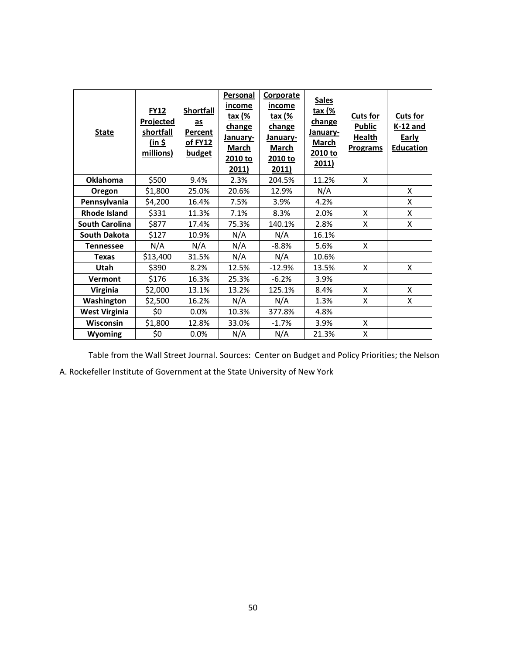| <b>State</b>          | <b>FY12</b><br>Projected<br><b>shortfall</b><br>(in 5)<br>millions) | <b>Shortfall</b><br>as<br><b>Percent</b><br><u>of FY12</u><br><b>budget</b> | <b>Personal</b><br>income<br>tax (%<br>change<br>January-<br>March<br>2010 to<br>2011) | Corporate<br><u>income</u><br><u>tax (%</u><br>change<br><b>January-</b><br>March<br>2010 to<br>2011) | <b>Sales</b><br><u>tax (%</u><br>change<br>January-<br><b>March</b><br>2010 to<br>2011) | <b>Cuts for</b><br><b>Public</b><br>Health<br><b>Programs</b> | <b>Cuts for</b><br><b>K-12 and</b><br><b>Early</b><br><b>Education</b> |
|-----------------------|---------------------------------------------------------------------|-----------------------------------------------------------------------------|----------------------------------------------------------------------------------------|-------------------------------------------------------------------------------------------------------|-----------------------------------------------------------------------------------------|---------------------------------------------------------------|------------------------------------------------------------------------|
| <b>Oklahoma</b>       | \$500                                                               | 9.4%                                                                        | 2.3%                                                                                   | 204.5%                                                                                                | 11.2%                                                                                   | X                                                             |                                                                        |
| Oregon                | \$1,800                                                             | 25.0%                                                                       | 20.6%                                                                                  | 12.9%                                                                                                 | N/A                                                                                     |                                                               | X                                                                      |
| Pennsylvania          | \$4,200                                                             | 16.4%                                                                       | 7.5%                                                                                   | 3.9%                                                                                                  | 4.2%                                                                                    |                                                               | X                                                                      |
| <b>Rhode Island</b>   | \$331                                                               | 11.3%                                                                       | 7.1%                                                                                   | 8.3%                                                                                                  | 2.0%                                                                                    | X                                                             | X                                                                      |
| <b>South Carolina</b> | \$877                                                               | 17.4%                                                                       | 75.3%                                                                                  | 140.1%                                                                                                | 2.8%                                                                                    | X                                                             | X                                                                      |
| <b>South Dakota</b>   | \$127                                                               | 10.9%                                                                       | N/A                                                                                    | N/A                                                                                                   | 16.1%                                                                                   |                                                               |                                                                        |
| <b>Tennessee</b>      | N/A                                                                 | N/A                                                                         | N/A                                                                                    | $-8.8%$                                                                                               | 5.6%                                                                                    | X                                                             |                                                                        |
| <b>Texas</b>          | \$13,400                                                            | 31.5%                                                                       | N/A                                                                                    | N/A                                                                                                   | 10.6%                                                                                   |                                                               |                                                                        |
| Utah                  | \$390                                                               | 8.2%                                                                        | 12.5%                                                                                  | $-12.9%$                                                                                              | 13.5%                                                                                   | X                                                             | X                                                                      |
| Vermont               | \$176                                                               | 16.3%                                                                       | 25.3%                                                                                  | $-6.2%$                                                                                               | 3.9%                                                                                    |                                                               |                                                                        |
| <b>Virginia</b>       | \$2,000                                                             | 13.1%                                                                       | 13.2%                                                                                  | 125.1%                                                                                                | 8.4%                                                                                    | X                                                             | X                                                                      |
| Washington            | \$2,500                                                             | 16.2%                                                                       | N/A                                                                                    | N/A                                                                                                   | 1.3%                                                                                    | X                                                             | X                                                                      |
| <b>West Virginia</b>  | \$0                                                                 | 0.0%                                                                        | 10.3%                                                                                  | 377.8%                                                                                                | 4.8%                                                                                    |                                                               |                                                                        |
| <b>Wisconsin</b>      | \$1,800                                                             | 12.8%                                                                       | 33.0%                                                                                  | $-1.7%$                                                                                               | 3.9%                                                                                    | X                                                             |                                                                        |
| Wyoming               | \$0                                                                 | 0.0%                                                                        | N/A                                                                                    | N/A                                                                                                   | 21.3%                                                                                   | X                                                             |                                                                        |

Table from the Wall Street Journal. Sources: Center on Budget and Policy Priorities; the Nelson

A. Rockefeller Institute of Government at the State University of New York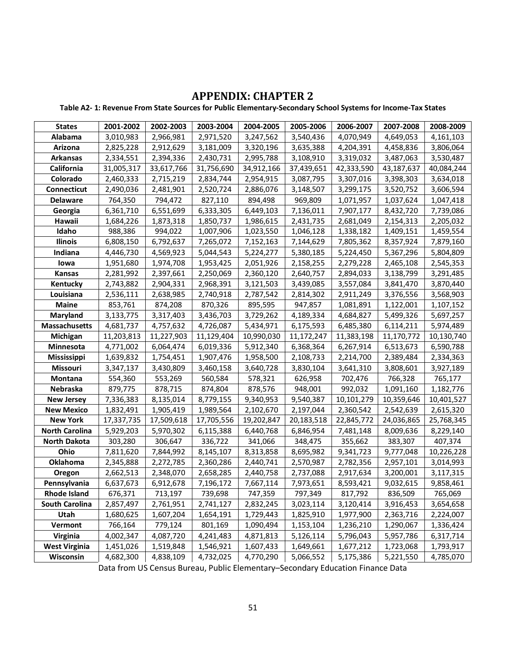## **APPENDIX: CHAPTER 2**

**Table A2- 1: Revenue From State Sources for Public Elementary-Secondary School Systems for Income-Tax States**

| <b>States</b>         | 2001-2002  | 2002-2003  | 2003-2004  | 2004-2005  | 2005-2006  | 2006-2007  | 2007-2008  | 2008-2009  |
|-----------------------|------------|------------|------------|------------|------------|------------|------------|------------|
| Alabama               | 3,010,983  | 2,966,981  | 2,971,520  | 3,247,562  | 3,540,436  | 4,070,949  | 4,649,053  | 4,161,103  |
| Arizona               | 2,825,228  | 2,912,629  | 3,181,009  | 3,320,196  | 3,635,388  | 4,204,391  | 4,458,836  | 3,806,064  |
| <b>Arkansas</b>       | 2,334,551  | 2,394,336  | 2,430,731  | 2,995,788  | 3,108,910  | 3,319,032  | 3,487,063  | 3,530,487  |
| California            | 31,005,317 | 33,617,766 | 31,756,690 | 34,912,166 | 37,439,651 | 42,333,590 | 43,187,637 | 40,084,244 |
| Colorado              | 2,460,333  | 2,715,219  | 2,834,744  | 2,954,915  | 3,087,795  | 3,307,016  | 3,398,303  | 3,634,018  |
| <b>Connecticut</b>    | 2,490,036  | 2,481,901  | 2,520,724  | 2,886,076  | 3,148,507  | 3,299,175  | 3,520,752  | 3,606,594  |
| <b>Delaware</b>       | 764,350    | 794,472    | 827,110    | 894,498    | 969,809    | 1,071,957  | 1,037,624  | 1,047,418  |
| Georgia               | 6,361,710  | 6,551,699  | 6,333,305  | 6,449,103  | 7,136,011  | 7,907,177  | 8,432,720  | 7,739,086  |
| Hawaii                | 1,684,226  | 1,873,318  | 1,850,737  | 1,986,615  | 2,431,735  | 2,681,049  | 2,154,313  | 2,205,032  |
| Idaho                 | 988,386    | 994,022    | 1,007,906  | 1,023,550  | 1,046,128  | 1,338,182  | 1,409,151  | 1,459,554  |
| <b>Ilinois</b>        | 6,808,150  | 6,792,637  | 7,265,072  | 7,152,163  | 7,144,629  | 7,805,362  | 8,357,924  | 7,879,160  |
| Indiana               | 4,446,730  | 4,569,923  | 5,044,543  | 5,224,277  | 5,380,185  | 5,224,450  | 5,367,296  | 5,804,809  |
| lowa                  | 1,951,680  | 1,974,708  | 1,953,425  | 2,051,926  | 2,158,255  | 2,279,228  | 2,465,108  | 2,545,353  |
| Kansas                | 2,281,992  | 2,397,661  | 2,250,069  | 2,360,120  | 2,640,757  | 2,894,033  | 3,138,799  | 3,291,485  |
| Kentucky              | 2,743,882  | 2,904,331  | 2,968,391  | 3,121,503  | 3,439,085  | 3,557,084  | 3,841,470  | 3,870,440  |
| Louisiana             | 2,536,111  | 2,638,985  | 2,740,918  | 2,787,542  | 2,814,302  | 2,911,249  | 3,376,556  | 3,568,903  |
| <b>Maine</b>          | 853,761    | 874,208    | 870,326    | 895,595    | 947,857    | 1,081,891  | 1,122,001  | 1,107,152  |
| <b>Maryland</b>       | 3,133,775  | 3,317,403  | 3,436,703  | 3,729,262  | 4,189,334  | 4,684,827  | 5,499,326  | 5,697,257  |
| <b>Massachusetts</b>  | 4,681,737  | 4,757,632  | 4,726,087  | 5,434,971  | 6,175,593  | 6,485,380  | 6,114,211  | 5,974,489  |
| Michigan              | 11,203,813 | 11,227,903 | 11,129,404 | 10,990,030 | 11,172,247 | 11,383,198 | 11,170,772 | 10,130,740 |
| Minnesota             | 4,771,002  | 6,064,474  | 6,019,336  | 5,912,340  | 6,368,364  | 6,267,914  | 6,513,673  | 6,590,788  |
| <b>Mississippi</b>    | 1,639,832  | 1,754,451  | 1,907,476  | 1,958,500  | 2,108,733  | 2,214,700  | 2,389,484  | 2,334,363  |
| Missouri              | 3,347,137  | 3,430,809  | 3,460,158  | 3,640,728  | 3,830,104  | 3,641,310  | 3,808,601  | 3,927,189  |
| Montana               | 554,360    | 553,269    | 560,584    | 578,321    | 626,958    | 702,476    | 766,328    | 765,177    |
| Nebraska              | 879,775    | 878,715    | 874,804    | 878,576    | 948,001    | 992,032    | 1,091,160  | 1,182,776  |
| <b>New Jersey</b>     | 7,336,383  | 8,135,014  | 8,779,155  | 9,340,953  | 9,540,387  | 10,101,279 | 10,359,646 | 10,401,527 |
| <b>New Mexico</b>     | 1,832,491  | 1,905,419  | 1,989,564  | 2,102,670  | 2,197,044  | 2,360,542  | 2,542,639  | 2,615,320  |
| <b>New York</b>       | 17,337,735 | 17,509,618 | 17,705,556 | 19,202,847 | 20,183,518 | 22,845,772 | 24,036,865 | 25,768,345 |
| <b>North Carolina</b> | 5,929,203  | 5,970,302  | 6,115,388  | 6,440,768  | 6,846,954  | 7,481,148  | 8,009,636  | 8,229,140  |
| <b>North Dakota</b>   | 303,280    | 306,647    | 336,722    | 341,066    | 348,475    | 355,662    | 383,307    | 407,374    |
| Ohio                  | 7,811,620  | 7,844,992  | 8,145,107  | 8,313,858  | 8,695,982  | 9,341,723  | 9,777,048  | 10,226,228 |
| Oklahoma              | 2,345,888  | 2,272,785  | 2,360,286  | 2,440,741  | 2,570,987  | 2,782,356  | 2,957,101  | 3,014,993  |
| Oregon                | 2,662,513  | 2,348,070  | 2,658,285  | 2,440,758  | 2,737,088  | 2,917,634  | 3,200,001  | 3,117,315  |
| Pennsylvania          | 6,637,673  | 6,912,678  | 7,196,172  | 7,667,114  | 7,973,651  | 8,593,421  | 9,032,615  | 9,858,461  |
| <b>Rhode Island</b>   | 676,371    | 713,197    | 739,698    | 747,359    | 797,349    | 817,792    | 836,509    | 765,069    |
| <b>South Carolina</b> | 2,857,497  | 2,761,951  | 2,741,127  | 2,832,245  | 3,023,114  | 3,120,414  | 3,916,453  | 3,654,658  |
| Utah                  | 1,680,625  | 1,607,204  | 1,654,191  | 1,729,443  | 1,825,910  | 1,977,900  | 2,363,716  | 2,224,007  |
| Vermont               | 766,164    | 779,124    | 801,169    | 1,090,494  | 1,153,104  | 1,236,210  | 1,290,067  | 1,336,424  |
| Virginia              | 4,002,347  | 4,087,720  | 4,241,483  | 4,871,813  | 5,126,114  | 5,796,043  | 5,957,786  | 6,317,714  |
| <b>West Virginia</b>  | 1,451,026  | 1,519,848  | 1,546,921  | 1,607,433  | 1,649,661  | 1,677,212  | 1,723,068  | 1,793,917  |
| Wisconsin             | 4,682,300  | 4,838,109  | 4,732,025  | 4,770,290  | 5,066,552  | 5,175,386  | 5,221,550  | 4,785,070  |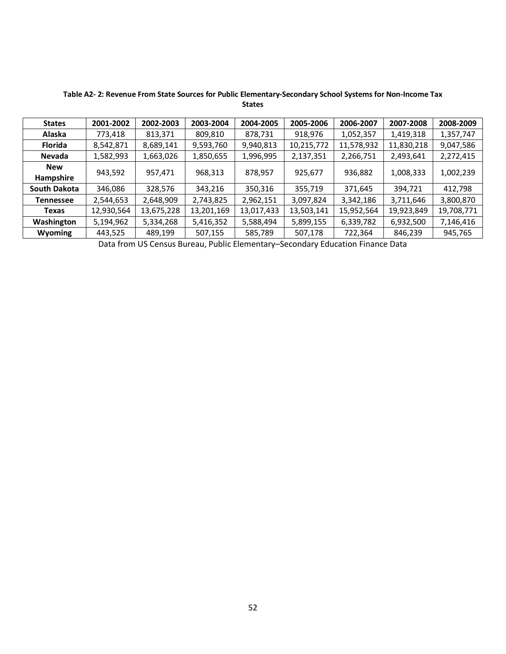| <b>States</b>  | 2001-2002  | 2002-2003  | 2003-2004  | 2004-2005  | 2005-2006  | 2006-2007  | 2007-2008  | 2008-2009  |
|----------------|------------|------------|------------|------------|------------|------------|------------|------------|
| Alaska         | 773,418    | 813,371    | 809,810    | 878,731    | 918,976    | 1,052,357  | 1,419,318  | 1,357,747  |
| <b>Florida</b> | 8,542,871  | 8,689,141  | 9,593,760  | 9,940,813  | 10,215,772 | 11,578,932 | 11,830,218 | 9,047,586  |
| Nevada         | 1,582,993  | 1,663,026  | 1,850,655  | 1,996,995  | 2,137,351  | 2,266,751  | 2,493,641  | 2,272,415  |
| <b>New</b>     | 943,592    | 957,471    | 968,313    | 878,957    | 925,677    | 936,882    | 1,008,333  | 1,002,239  |
| Hampshire      |            |            |            |            |            |            |            |            |
| South Dakota   | 346,086    | 328,576    | 343,216    | 350,316    | 355,719    | 371,645    | 394,721    | 412,798    |
| Tennessee      | 2,544,653  | 2,648,909  | 2,743,825  | 2,962,151  | 3,097,824  | 3,342,186  | 3,711,646  | 3,800,870  |
| Texas          | 12,930,564 | 13,675,228 | 13,201,169 | 13,017,433 | 13,503,141 | 15,952,564 | 19,923,849 | 19,708,771 |
| Washington     | 5,194,962  | 5,334,268  | 5,416,352  | 5,588,494  | 5,899,155  | 6,339,782  | 6,932,500  | 7,146,416  |
| <b>Wyoming</b> | 443,525    | 489,199    | 507,155    | 585,789    | 507,178    | 722,364    | 846,239    | 945,765    |

**Table A2- 2: Revenue From State Sources for Public Elementary-Secondary School Systems for Non-Income Tax States**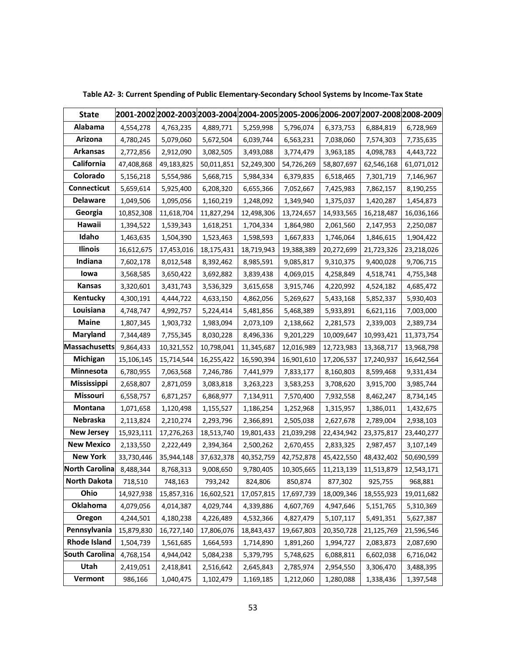| <b>State</b>          |            | 2001-2002 2002-2003 2003-2004 2004-2005 2005-2006 2006-2007 2007-2008 2008-2009 |            |            |            |            |            |            |
|-----------------------|------------|---------------------------------------------------------------------------------|------------|------------|------------|------------|------------|------------|
| Alabama               | 4,554,278  | 4,763,235                                                                       | 4,889,771  | 5,259,998  | 5,796,074  | 6,373,753  | 6,884,819  | 6,728,969  |
| Arizona               | 4,780,245  | 5,079,060                                                                       | 5,672,504  | 6,039,744  | 6,563,231  | 7,038,060  | 7,574,303  | 7,735,635  |
| <b>Arkansas</b>       | 2,772,856  | 2,912,090                                                                       | 3,082,505  | 3,493,088  | 3,774,479  | 3,963,185  | 4,098,783  | 4,443,722  |
| California            | 47,408,868 | 49,183,825                                                                      | 50,011,851 | 52,249,300 | 54,726,269 | 58,807,697 | 62,546,168 | 61,071,012 |
| Colorado              | 5,156,218  | 5,554,986                                                                       | 5,668,715  | 5,984,334  | 6,379,835  | 6,518,465  | 7,301,719  | 7,146,967  |
| Connecticut           | 5,659,614  | 5,925,400                                                                       | 6,208,320  | 6,655,366  | 7,052,667  | 7,425,983  | 7,862,157  | 8,190,255  |
| <b>Delaware</b>       | 1,049,506  | 1,095,056                                                                       | 1,160,219  | 1,248,092  | 1,349,940  | 1,375,037  | 1,420,287  | 1,454,873  |
| Georgia               | 10,852,308 | 11,618,704                                                                      | 11,827,294 | 12,498,306 | 13,724,657 | 14,933,565 | 16,218,487 | 16,036,166 |
| Hawaii                | 1,394,522  | 1,539,343                                                                       | 1,618,251  | 1,704,334  | 1,864,980  | 2,061,560  | 2,147,953  | 2,250,087  |
| Idaho                 | 1,463,635  | 1,504,390                                                                       | 1,523,463  | 1,598,593  | 1,667,833  | 1,746,064  | 1,846,615  | 1,904,422  |
| Ilinois               | 16,612,675 | 17,453,016                                                                      | 18,175,431 | 18,719,943 | 19,388,389 | 20,272,699 | 21,723,326 | 23,218,026 |
| Indiana               | 7,602,178  | 8,012,548                                                                       | 8,392,462  | 8,985,591  | 9,085,817  | 9,310,375  | 9,400,028  | 9,706,715  |
| lowa                  | 3,568,585  | 3,650,422                                                                       | 3,692,882  | 3,839,438  | 4,069,015  | 4,258,849  | 4,518,741  | 4,755,348  |
| Kansas                | 3,320,601  | 3,431,743                                                                       | 3,536,329  | 3,615,658  | 3,915,746  | 4,220,992  | 4,524,182  | 4,685,472  |
| Kentucky              | 4,300,191  | 4,444,722                                                                       | 4,633,150  | 4,862,056  | 5,269,627  | 5,433,168  | 5,852,337  | 5,930,403  |
| Louisiana             | 4,748,747  | 4,992,757                                                                       | 5,224,414  | 5,481,856  | 5,468,389  | 5,933,891  | 6,621,116  | 7,003,000  |
| <b>Maine</b>          | 1,807,345  | 1,903,732                                                                       | 1,983,094  | 2,073,109  | 2,138,662  | 2,281,573  | 2,339,003  | 2,389,734  |
| Maryland              | 7,344,489  | 7,755,345                                                                       | 8,030,228  | 8,496,336  | 9,201,229  | 10,009,647 | 10,993,421 | 11,373,754 |
| <b>Massachusetts</b>  | 9,864,433  | 10,321,552                                                                      | 10,798,041 | 11,345,687 | 12,016,989 | 12,723,983 | 13,368,717 | 13,968,798 |
| Michigan              | 15,106,145 | 15,714,544                                                                      | 16,255,422 | 16,590,394 | 16,901,610 | 17,206,537 | 17,240,937 | 16,642,564 |
| Minnesota             | 6,780,955  | 7,063,568                                                                       | 7,246,786  | 7,441,979  | 7,833,177  | 8,160,803  | 8,599,468  | 9,331,434  |
| <b>Mississippi</b>    | 2,658,807  | 2,871,059                                                                       | 3,083,818  | 3,263,223  | 3,583,253  | 3,708,620  | 3,915,700  | 3,985,744  |
| Missouri              | 6,558,757  | 6,871,257                                                                       | 6,868,977  | 7,134,911  | 7,570,400  | 7,932,558  | 8,462,247  | 8,734,145  |
| Montana               | 1,071,658  | 1,120,498                                                                       | 1,155,527  | 1,186,254  | 1,252,968  | 1,315,957  | 1,386,011  | 1,432,675  |
| Nebraska              | 2,113,824  | 2,210,274                                                                       | 2,293,796  | 2,366,891  | 2,505,038  | 2,627,678  | 2,789,004  | 2,938,103  |
| <b>New Jersey</b>     | 15,923,111 | 17,276,263                                                                      | 18,513,740 | 19,801,433 | 21,039,298 | 22,434,942 | 23,375,817 | 23,440,277 |
| <b>New Mexico</b>     | 2,133,550  | 2,222,449                                                                       | 2,394,364  | 2,500,262  | 2,670,455  | 2,833,325  | 2,987,457  | 3,107,149  |
| <b>New York</b>       | 33,730,446 | 35,944,148                                                                      | 37,632,378 | 40,352,759 | 42,752,878 | 45,422,550 | 48,432,402 | 50,690,599 |
| <b>North Carolina</b> | 8,488,344  | 8,768,313                                                                       | 9,008,650  | 9,780,405  | 10,305,665 | 11,213,139 | 11,513,879 | 12,543,171 |
| <b>North Dakota</b>   | 718,510    | 748,163                                                                         | 793,242    | 824,806    | 850,874    | 877,302    | 925,755    | 968,881    |
| Ohio                  | 14,927,938 | 15,857,316                                                                      | 16,602,521 | 17,057,815 | 17,697,739 | 18,009,346 | 18,555,923 | 19,011,682 |
| Oklahoma              | 4,079,056  | 4,014,387                                                                       | 4,029,744  | 4,339,886  | 4,607,769  | 4,947,646  | 5,151,765  | 5,310,369  |
| Oregon                | 4,244,501  | 4,180,238                                                                       | 4,226,489  | 4,532,366  | 4,827,479  | 5,107,117  | 5,491,351  | 5,627,387  |
| Pennsylvania          | 15,879,830 | 16,727,140                                                                      | 17,806,076 | 18,843,437 | 19,667,803 | 20,350,728 | 21,125,769 | 21,596,546 |
| <b>Rhode Island</b>   | 1,504,739  | 1,561,685                                                                       | 1,664,593  | 1,714,890  | 1,891,260  | 1,994,727  | 2,083,873  | 2,087,690  |
| <b>South Carolina</b> | 4,768,154  | 4,944,042                                                                       | 5,084,238  | 5,379,795  | 5,748,625  | 6,088,811  | 6,602,038  | 6,716,042  |
| Utah                  | 2,419,051  | 2,418,841                                                                       | 2,516,642  | 2,645,843  | 2,785,974  | 2,954,550  | 3,306,470  | 3,488,395  |
| Vermont               | 986,166    | 1,040,475                                                                       | 1,102,479  | 1,169,185  | 1,212,060  | 1,280,088  | 1,338,436  | 1,397,548  |

**Table A2- 3: Current Spending of Public Elementary-Secondary School Systems by Income-Tax State**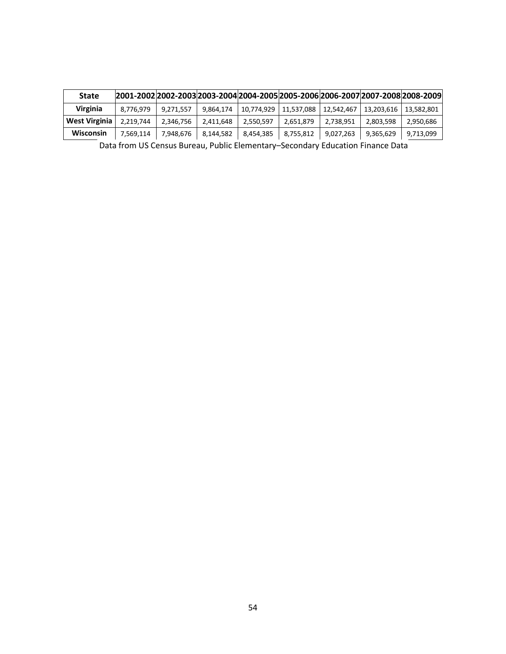| <b>State</b>  | 2001-2002 2002-2003 2003-2004 2004-2005 2005-2006 2006-2007 2007-2008 2008-2009 |           |           |            |            |            |            |            |
|---------------|---------------------------------------------------------------------------------|-----------|-----------|------------|------------|------------|------------|------------|
| Virginia      | 8.776.979                                                                       | 9,271,557 | 9.864.174 | 10.774.929 | 11.537.088 | 12,542,467 | 13,203,616 | 13.582.801 |
| West Virginia | 2.219.744                                                                       | 2,346,756 | 2,411,648 | 2,550,597  | 2,651,879  | 2,738,951  | 2,803,598  | 2,950,686  |
| Wisconsin     | 7,569,114                                                                       | 7.948.676 | 8,144,582 | 8,454,385  | 8,755,812  | 9,027,263  | 9,365,629  | 9,713,099  |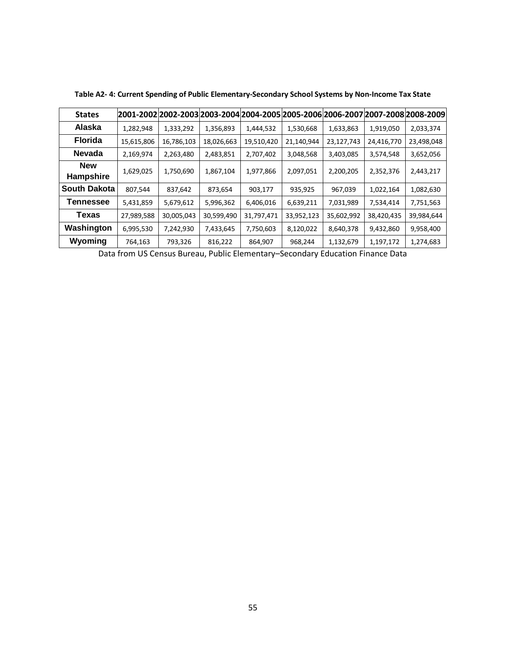| <b>States</b>                  |            | 2001-2002 2002-2003 2003-2004 2004-2005 2005-2006 2006-2007 2007-2008 2008-2009 |            |            |            |            |            |            |
|--------------------------------|------------|---------------------------------------------------------------------------------|------------|------------|------------|------------|------------|------------|
| Alaska                         | 1,282,948  | 1,333,292                                                                       | 1,356,893  | 1,444,532  | 1,530,668  | 1,633,863  | 1,919,050  | 2,033,374  |
| <b>Florida</b>                 | 15,615,806 | 16,786,103                                                                      | 18,026,663 | 19,510,420 | 21,140,944 | 23,127,743 | 24,416,770 | 23,498,048 |
| <b>Nevada</b>                  | 2,169,974  | 2,263,480                                                                       | 2,483,851  | 2,707,402  | 3,048,568  | 3,403,085  | 3,574,548  | 3,652,056  |
| <b>New</b><br><b>Hampshire</b> | 1,629,025  | 1,750,690                                                                       | 1,867,104  | 1,977,866  | 2,097,051  | 2,200,205  | 2,352,376  | 2,443,217  |
| <b>South Dakota</b>            | 807,544    | 837,642                                                                         | 873,654    | 903,177    | 935,925    | 967,039    | 1,022,164  | 1,082,630  |
| Tennessee                      | 5,431,859  | 5,679,612                                                                       | 5,996,362  | 6,406,016  | 6,639,211  | 7,031,989  | 7,534,414  | 7,751,563  |
| Texas                          | 27,989,588 | 30,005,043                                                                      | 30,599,490 | 31,797,471 | 33,952,123 | 35,602,992 | 38,420,435 | 39,984,644 |
| Washington                     | 6,995,530  | 7,242,930                                                                       | 7,433,645  | 7,750,603  | 8,120,022  | 8,640,378  | 9,432,860  | 9,958,400  |
| Wyoming                        | 764,163    | 793,326                                                                         | 816,222    | 864,907    | 968,244    | 1,132,679  | 1,197,172  | 1,274,683  |

**Table A2- 4: Current Spending of Public Elementary-Secondary School Systems by Non-Income Tax State**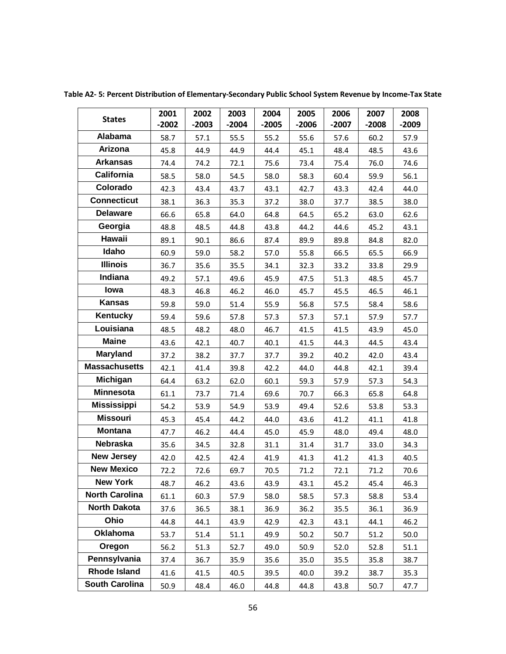| <b>States</b>         | 2001<br>$-2002$ | 2002<br>$-2003$ | 2003<br>$-2004$ | 2004<br>$-2005$ | 2005<br>$-2006$ | 2006<br>$-2007$ | 2007<br>$-2008$ | 2008<br>$-2009$ |
|-----------------------|-----------------|-----------------|-----------------|-----------------|-----------------|-----------------|-----------------|-----------------|
| Alabama               | 58.7            | 57.1            | 55.5            | 55.2            | 55.6            | 57.6            | 60.2            | 57.9            |
| Arizona               | 45.8            | 44.9            | 44.9            | 44.4            | 45.1            | 48.4            | 48.5            | 43.6            |
| <b>Arkansas</b>       | 74.4            | 74.2            | 72.1            | 75.6            | 73.4            | 75.4            | 76.0            | 74.6            |
| California            | 58.5            | 58.0            | 54.5            | 58.0            | 58.3            | 60.4            | 59.9            | 56.1            |
| Colorado              | 42.3            | 43.4            | 43.7            | 43.1            | 42.7            | 43.3            | 42.4            | 44.0            |
| <b>Connecticut</b>    | 38.1            | 36.3            | 35.3            | 37.2            | 38.0            | 37.7            | 38.5            | 38.0            |
| <b>Delaware</b>       | 66.6            | 65.8            | 64.0            | 64.8            | 64.5            | 65.2            | 63.0            | 62.6            |
| Georgia               | 48.8            | 48.5            | 44.8            | 43.8            | 44.2            | 44.6            | 45.2            | 43.1            |
| Hawaii                | 89.1            | 90.1            | 86.6            | 87.4            | 89.9            | 89.8            | 84.8            | 82.0            |
| Idaho                 | 60.9            | 59.0            | 58.2            | 57.0            | 55.8            | 66.5            | 65.5            | 66.9            |
| <b>Illinois</b>       | 36.7            | 35.6            | 35.5            | 34.1            | 32.3            | 33.2            | 33.8            | 29.9            |
| Indiana               | 49.2            | 57.1            | 49.6            | 45.9            | 47.5            | 51.3            | 48.5            | 45.7            |
| lowa                  | 48.3            | 46.8            | 46.2            | 46.0            | 45.7            | 45.5            | 46.5            | 46.1            |
| <b>Kansas</b>         | 59.8            | 59.0            | 51.4            | 55.9            | 56.8            | 57.5            | 58.4            | 58.6            |
| Kentucky              | 59.4            | 59.6            | 57.8            | 57.3            | 57.3            | 57.1            | 57.9            | 57.7            |
| Louisiana             | 48.5            | 48.2            | 48.0            | 46.7            | 41.5            | 41.5            | 43.9            | 45.0            |
| <b>Maine</b>          | 43.6            | 42.1            | 40.7            | 40.1            | 41.5            | 44.3            | 44.5            | 43.4            |
| <b>Maryland</b>       | 37.2            | 38.2            | 37.7            | 37.7            | 39.2            | 40.2            | 42.0            | 43.4            |
| <b>Massachusetts</b>  | 42.1            | 41.4            | 39.8            | 42.2            | 44.0            | 44.8            | 42.1            | 39.4            |
| Michigan              | 64.4            | 63.2            | 62.0            | 60.1            | 59.3            | 57.9            | 57.3            | 54.3            |
| <b>Minnesota</b>      | 61.1            | 73.7            | 71.4            | 69.6            | 70.7            | 66.3            | 65.8            | 64.8            |
| <b>Mississippi</b>    | 54.2            | 53.9            | 54.9            | 53.9            | 49.4            | 52.6            | 53.8            | 53.3            |
| <b>Missouri</b>       | 45.3            | 45.4            | 44.2            | 44.0            | 43.6            | 41.2            | 41.1            | 41.8            |
| <b>Montana</b>        | 47.7            | 46.2            | 44.4            | 45.0            | 45.9            | 48.0            | 49.4            | 48.0            |
| <b>Nebraska</b>       | 35.6            | 34.5            | 32.8            | 31.1            | 31.4            | 31.7            | 33.0            | 34.3            |
| <b>New Jersey</b>     | 42.0            | 42.5            | 42.4            | 41.9            | 41.3            | 41.2            | 41.3            | 40.5            |
| <b>New Mexico</b>     | 72.2            | 72.6            | 69.7            | 70.5            | 71.2            | 72.1            | 71.2            | 70.6            |
| <b>New York</b>       | 48.7            | 46.2            | 43.6            | 43.9            | 43.1            | 45.2            | 45.4            | 46.3            |
| <b>North Carolina</b> | 61.1            | 60.3            | 57.9            | 58.0            | 58.5            | 57.3            | 58.8            | 53.4            |
| North Dakota          | 37.6            | 36.5            | 38.1            | 36.9            | 36.2            | 35.5            | 36.1            | 36.9            |
| Ohio                  | 44.8            | 44.1            | 43.9            | 42.9            | 42.3            | 43.1            | 44.1            | 46.2            |
| <b>Oklahoma</b>       | 53.7            | 51.4            | 51.1            | 49.9            | 50.2            | 50.7            | 51.2            | 50.0            |
| Oregon                | 56.2            | 51.3            | 52.7            | 49.0            | 50.9            | 52.0            | 52.8            | 51.1            |
| Pennsylvania          | 37.4            | 36.7            | 35.9            | 35.6            | 35.0            | 35.5            | 35.8            | 38.7            |
| <b>Rhode Island</b>   | 41.6            | 41.5            | 40.5            | 39.5            | 40.0            | 39.2            | 38.7            | 35.3            |
| <b>South Carolina</b> | 50.9            | 48.4            | 46.0            | 44.8            | 44.8            | 43.8            | 50.7            | 47.7            |

**Table A2- 5: Percent Distribution of Elementary-Secondary Public School System Revenue by Income-Tax State**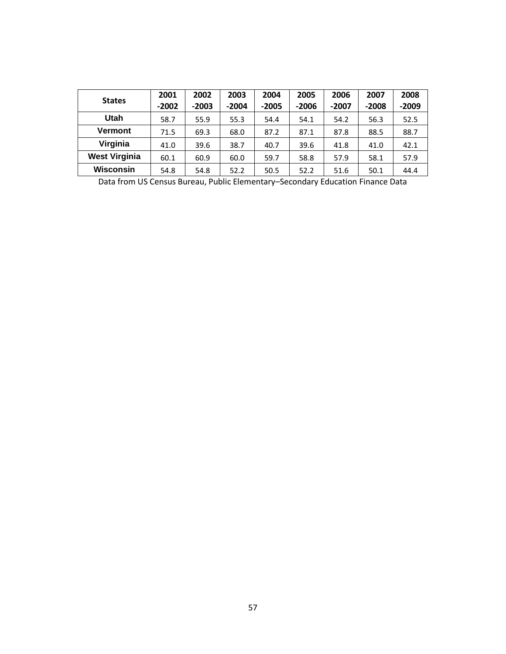| <b>States</b>        | 2001    | 2002    | 2003    | 2004    | 2005    | 2006    | 2007    | 2008    |
|----------------------|---------|---------|---------|---------|---------|---------|---------|---------|
|                      | $-2002$ | $-2003$ | $-2004$ | $-2005$ | $-2006$ | $-2007$ | $-2008$ | $-2009$ |
| Utah                 | 58.7    | 55.9    | 55.3    | 54.4    | 54.1    | 54.2    | 56.3    | 52.5    |
| <b>Vermont</b>       | 71.5    | 69.3    | 68.0    | 87.2    | 87.1    | 87.8    | 88.5    | 88.7    |
| Virginia             | 41.0    | 39.6    | 38.7    | 40.7    | 39.6    | 41.8    | 41.0    | 42.1    |
| <b>West Virginia</b> | 60.1    | 60.9    | 60.0    | 59.7    | 58.8    | 57.9    | 58.1    | 57.9    |
| <b>Wisconsin</b>     | 54.8    | 54.8    | 52.2    | 50.5    | 52.2    | 51.6    | 50.1    | 44.4    |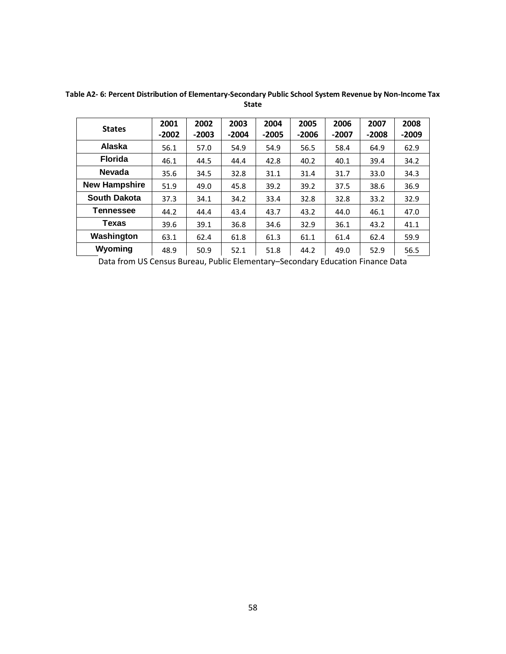| <b>States</b>        | 2001<br>$-2002$ | 2002<br>$-2003$ | 2003<br>$-2004$ | 2004<br>$-2005$ | 2005<br>$-2006$ | 2006<br>$-2007$ | 2007<br>$-2008$ | 2008<br>$-2009$ |
|----------------------|-----------------|-----------------|-----------------|-----------------|-----------------|-----------------|-----------------|-----------------|
| Alaska               | 56.1            | 57.0            | 54.9            | 54.9            | 56.5            | 58.4            | 64.9            | 62.9            |
| <b>Florida</b>       | 46.1            | 44.5            | 44.4            | 42.8            | 40.2            | 40.1            | 39.4            | 34.2            |
| <b>Nevada</b>        | 35.6            | 34.5            | 32.8            | 31.1            | 31.4            | 31.7            | 33.0            | 34.3            |
| <b>New Hampshire</b> | 51.9            | 49.0            | 45.8            | 39.2            | 39.2            | 37.5            | 38.6            | 36.9            |
| <b>South Dakota</b>  | 37.3            | 34.1            | 34.2            | 33.4            | 32.8            | 32.8            | 33.2            | 32.9            |
| Tennessee            | 44.2            | 44.4            | 43.4            | 43.7            | 43.2            | 44.0            | 46.1            | 47.0            |
| <b>Texas</b>         | 39.6            | 39.1            | 36.8            | 34.6            | 32.9            | 36.1            | 43.2            | 41.1            |
| Washington           | 63.1            | 62.4            | 61.8            | 61.3            | 61.1            | 61.4            | 62.4            | 59.9            |
| Wyoming              | 48.9            | 50.9            | 52.1            | 51.8            | 44.2            | 49.0            | 52.9            | 56.5            |

**Table A2- 6: Percent Distribution of Elementary-Secondary Public School System Revenue by Non-Income Tax** 

**State**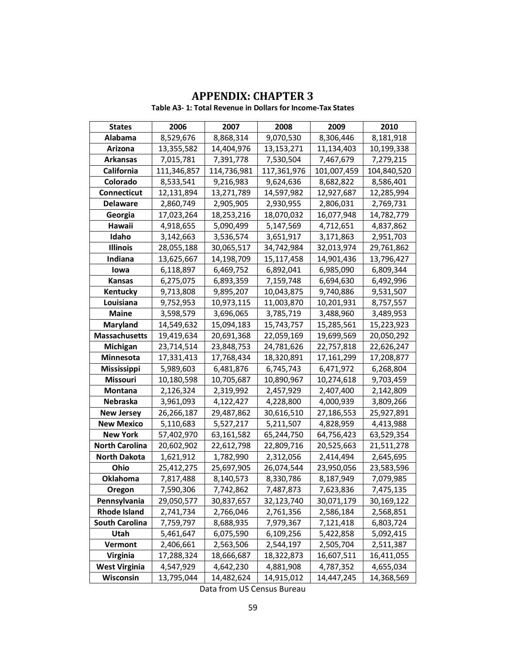| <b>States</b>         | 2006        | 2007        | 2008         | 2009        | 2010        |
|-----------------------|-------------|-------------|--------------|-------------|-------------|
| Alabama               | 8,529,676   | 8,868,314   | 9,070,530    | 8,306,446   | 8,181,918   |
| Arizona               | 13,355,582  | 14,404,976  | 13, 153, 271 | 11,134,403  | 10,199,338  |
| Arkansas              | 7,015,781   | 7,391,778   | 7,530,504    | 7,467,679   | 7,279,215   |
| California            | 111,346,857 | 114,736,981 | 117,361,976  | 101,007,459 | 104,840,520 |
| Colorado              | 8,533,541   | 9,216,983   | 9,624,636    | 8,682,822   | 8,586,401   |
| <b>Connecticut</b>    | 12,131,894  | 13,271,789  | 14,597,982   | 12,927,687  | 12,285,994  |
| <b>Delaware</b>       | 2,860,749   | 2,905,905   | 2,930,955    | 2,806,031   | 2,769,731   |
| Georgia               | 17,023,264  | 18,253,216  | 18,070,032   | 16,077,948  | 14,782,779  |
| Hawaii                | 4,918,655   | 5,090,499   | 5,147,569    | 4,712,651   | 4,837,862   |
| Idaho                 | 3,142,663   | 3,536,574   | 3,651,917    | 3,171,863   | 2,951,703   |
| <b>Illinois</b>       | 28,055,188  | 30,065,517  | 34,742,984   | 32,013,974  | 29,761,862  |
| Indiana               | 13,625,667  | 14,198,709  | 15,117,458   | 14,901,436  | 13,796,427  |
| lowa                  | 6,118,897   | 6,469,752   | 6,892,041    | 6,985,090   | 6,809,344   |
| <b>Kansas</b>         | 6,275,075   | 6,893,359   | 7,159,748    | 6,694,630   | 6,492,996   |
| Kentucky              | 9,713,808   | 9,895,207   | 10,043,875   | 9,740,886   | 9,531,507   |
| Louisiana             | 9,752,953   | 10,973,115  | 11,003,870   | 10,201,931  | 8,757,557   |
| <b>Maine</b>          | 3,598,579   | 3,696,065   | 3,785,719    | 3,488,960   | 3,489,953   |
| <b>Maryland</b>       | 14,549,632  | 15,094,183  | 15,743,757   | 15,285,561  | 15,223,923  |
| <b>Massachusetts</b>  | 19,419,634  | 20,691,368  | 22,059,169   | 19,699,569  | 20,050,292  |
| Michigan              | 23,714,514  | 23,848,753  | 24,781,626   | 22,757,818  | 22,626,247  |
| Minnesota             | 17,331,413  | 17,768,434  | 18,320,891   | 17,161,299  | 17,208,877  |
| <b>Mississippi</b>    | 5,989,603   | 6,481,876   | 6,745,743    | 6,471,972   | 6,268,804   |
| <b>Missouri</b>       | 10,180,598  | 10,705,687  | 10,890,967   | 10,274,618  | 9,703,459   |
| Montana               | 2,126,324   | 2,319,992   | 2,457,929    | 2,407,400   | 2,142,809   |
| Nebraska              | 3,961,093   | 4,122,427   | 4,228,800    | 4,000,939   | 3,809,266   |
| <b>New Jersey</b>     | 26,266,187  | 29,487,862  | 30,616,510   | 27,186,553  | 25,927,891  |
| <b>New Mexico</b>     | 5,110,683   | 5,527,217   | 5,211,507    | 4,828,959   | 4,413,988   |
| <b>New York</b>       | 57,402,970  | 63,161,582  | 65,244,750   | 64,756,423  | 63,529,354  |
| <b>North Carolina</b> | 20,602,902  | 22,612,798  | 22,809,716   | 20,525,663  | 21,511,278  |
| <b>North Dakota</b>   | 1,621,912   | 1,782,990   | 2,312,056    | 2,414,494   | 2,645,695   |
| Ohio                  | 25,412,275  | 25,697,905  | 26,074,544   | 23,950,056  | 23,583,596  |
| <b>Oklahoma</b>       | 7,817,488   | 8,140,573   | 8,330,786    | 8,187,949   | 7,079,985   |
| Oregon                | 7,590,306   | 7,742,862   | 7,487,873    | 7,623,836   | 7,475,135   |
| Pennsylvania          | 29,050,577  | 30,837,657  | 32,123,740   | 30,071,179  | 30,169,122  |
| <b>Rhode Island</b>   | 2,741,734   | 2,766,046   | 2,761,356    | 2,586,184   | 2,568,851   |
| <b>South Carolina</b> | 7,759,797   | 8,688,935   | 7,979,367    | 7,121,418   | 6,803,724   |
| Utah                  | 5,461,647   | 6,075,590   | 6,109,256    | 5,422,858   | 5,092,415   |
| Vermont               | 2,406,661   | 2,563,506   | 2,544,197    | 2,505,704   | 2,511,387   |
| Virginia              | 17,288,324  | 18,666,687  | 18,322,873   | 16,607,511  | 16,411,055  |
| <b>West Virginia</b>  | 4,547,929   | 4,642,230   | 4,881,908    | 4,787,352   | 4,655,034   |
| Wisconsin             | 13,795,044  | 14,482,624  | 14,915,012   | 14,447,245  | 14,368,569  |

## **APPENDIX: CHAPTER 3**

**Table A3- 1: Total Revenue in Dollars for Income-Tax States**

Data from US Census Bureau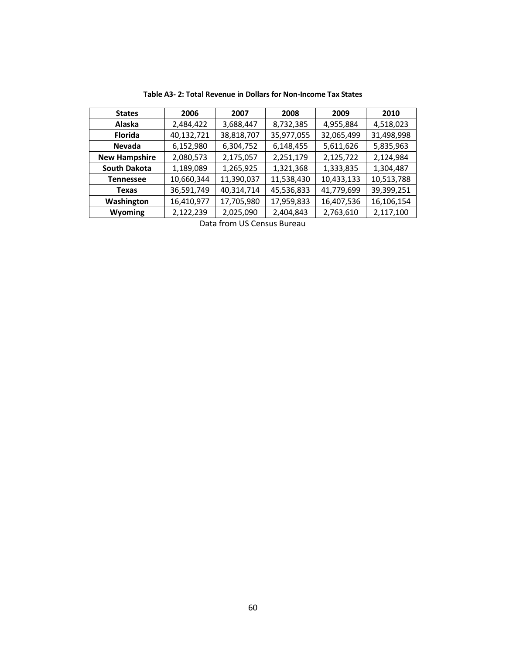| <b>States</b>        | 2006       | 2007                        | 2008       | 2009       | 2010       |
|----------------------|------------|-----------------------------|------------|------------|------------|
| <b>Alaska</b>        | 2,484,422  | 3,688,447                   | 8,732,385  | 4,955,884  | 4,518,023  |
| <b>Florida</b>       | 40,132,721 | 38,818,707                  | 35,977,055 | 32,065,499 | 31,498,998 |
| <b>Nevada</b>        | 6,152,980  | 6,304,752                   | 6,148,455  | 5,611,626  | 5,835,963  |
| <b>New Hampshire</b> | 2,080,573  | 2,175,057                   | 2,251,179  | 2,125,722  | 2,124,984  |
| South Dakota         | 1,189,089  | 1,265,925                   | 1,321,368  | 1,333,835  | 1,304,487  |
| <b>Tennessee</b>     | 10,660,344 | 11,390,037                  | 11,538,430 | 10,433,133 | 10,513,788 |
| Texas                | 36,591,749 | 40,314,714                  | 45,536,833 | 41,779,699 | 39,399,251 |
| Washington           | 16,410,977 | 17,705,980                  | 17,959,833 | 16,407,536 | 16,106,154 |
| Wyoming              | 2,122,239  | 2,025,090                   | 2,404,843  | 2,763,610  | 2,117,100  |
|                      |            | $\sim$ $\sim$ $\sim$ $\sim$ |            |            |            |

**Table A3- 2: Total Revenue in Dollars for Non-Income Tax States**

Data from US Census Bureau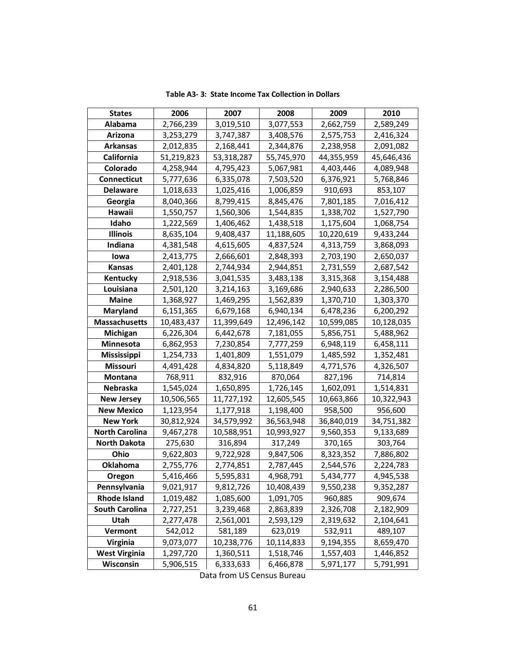| <b>States</b>         | 2006       | 2007       | 2008       | 2009       | 2010       |
|-----------------------|------------|------------|------------|------------|------------|
| Alabama               | 2,766,239  | 3,019,510  | 3,077,553  | 2,662,759  | 2,589,249  |
| Arizona               | 3,253,279  | 3,747,387  | 3,408,576  | 2,575,753  | 2,416,324  |
| Arkansas              | 2,012,835  | 2,168,441  | 2,344,876  | 2,238,958  | 2,091,082  |
| California            | 51,219,823 | 53,318,287 | 55,745,970 | 44,355,959 | 45,646,436 |
| Colorado              | 4,258,944  | 4,795,423  | 5,067,981  | 4,403,446  | 4,089,948  |
| Connecticut           | 5,777,636  | 6,335,078  | 7,503,520  | 6,376,921  | 5,768,846  |
| <b>Delaware</b>       | 1,018,633  | 1,025,416  | 1,006,859  | 910,693    | 853,107    |
| Georgia               | 8,040,366  | 8,799,415  | 8,845,476  | 7,801,185  | 7,016,412  |
| Hawaii                | 1,550,757  | 1,560,306  | 1,544,835  | 1,338,702  | 1,527,790  |
| Idaho                 | 1,222,569  | 1,406,462  | 1,438,518  | 1,175,604  | 1,068,754  |
| <b>Illinois</b>       | 8,635,104  | 9,408,437  | 11,188,605 | 10,220,619 | 9,433,244  |
| Indiana               | 4,381,548  | 4,615,605  | 4,837,524  | 4,313,759  | 3,868,093  |
| lowa                  | 2,413,775  | 2,666,601  | 2,848,393  | 2,703,190  | 2,650,037  |
| Kansas                | 2,401,128  | 2,744,934  | 2,944,851  | 2,731,559  | 2,687,542  |
| Kentucky              | 2,918,536  | 3,041,535  | 3,483,138  | 3,315,368  | 3,154,488  |
| Louisiana             | 2,501,120  | 3,214,163  | 3,169,686  | 2,940,633  | 2,286,500  |
| Maine                 | 1,368,927  | 1,469,295  | 1,562,839  | 1,370,710  | 1,303,370  |
| Maryland              | 6,151,365  | 6,679,168  | 6,940,134  | 6,478,236  | 6,200,292  |
| <b>Massachusetts</b>  | 10,483,437 | 11,399,649 | 12,496,142 | 10,599,085 | 10,128,035 |
| Michigan              | 6,226,304  | 6,442,678  | 7,181,055  | 5,856,751  | 5,488,962  |
| Minnesota             | 6,862,953  | 7,230,854  | 7,777,259  | 6,948,119  | 6,458,111  |
| <b>Mississippi</b>    | 1,254,733  | 1,401,809  | 1,551,079  | 1,485,592  | 1,352,481  |
| <b>Missouri</b>       | 4,491,428  | 4,834,820  | 5,118,849  | 4,771,576  | 4,326,507  |
| Montana               | 768,911    | 832,916    | 870,064    | 827,196    | 714,814    |
| <b>Nebraska</b>       | 1,545,024  | 1,650,895  | 1,726,145  | 1,602,091  | 1,514,831  |
| <b>New Jersey</b>     | 10,506,565 | 11,727,192 | 12,605,545 | 10,663,866 | 10,322,943 |
| <b>New Mexico</b>     | 1,123,954  | 1,177,918  | 1,198,400  | 958,500    | 956,600    |
| <b>New York</b>       | 30,812,924 | 34,579,992 | 36,563,948 | 36,840,019 | 34,751,382 |
| <b>North Carolina</b> | 9,467,278  | 10,588,951 | 10,993,927 | 9,560,353  | 9,133,689  |
| <b>North Dakota</b>   | 275,630    | 316,894    | 317,249    | 370,165    | 303,764    |
| Ohio                  | 9,622,803  | 9,722,928  | 9,847,506  | 8,323,352  | 7,886,802  |
| Oklahoma              | 2,755,776  | 2,774,851  | 2,787,445  | 2,544,576  | 2,224,783  |
| Oregon                | 5,416,466  | 5,595,831  | 4,968,791  | 5,434,777  | 4,945,538  |
| Pennsylvania          | 9,021,917  | 9,812,726  | 10,408,439 | 9,550,238  | 9,352,287  |
| <b>Rhode Island</b>   | 1,019,482  | 1,085,600  | 1,091,705  | 960,885    | 909,674    |
| <b>South Carolina</b> | 2,727,251  | 3,239,468  | 2,863,839  | 2,326,708  | 2,182,909  |
| Utah                  | 2,277,478  | 2,561,001  | 2,593,129  | 2,319,632  | 2,104,641  |
| Vermont               | 542,012    | 581,189    | 623,019    | 532,911    | 489,107    |
| <b>Virginia</b>       | 9,073,077  | 10,238,776 | 10,114,833 | 9,194,355  | 8,659,470  |
| <b>West Virginia</b>  | 1,297,720  | 1,360,511  | 1,518,746  | 1,557,403  | 1,446,852  |
| Wisconsin             | 5,906,515  | 6,333,633  | 6,466,878  | 5,971,177  | 5,791,991  |

**Table A3- 3: State Income Tax Collection in Dollars**

Data from US Census Bureau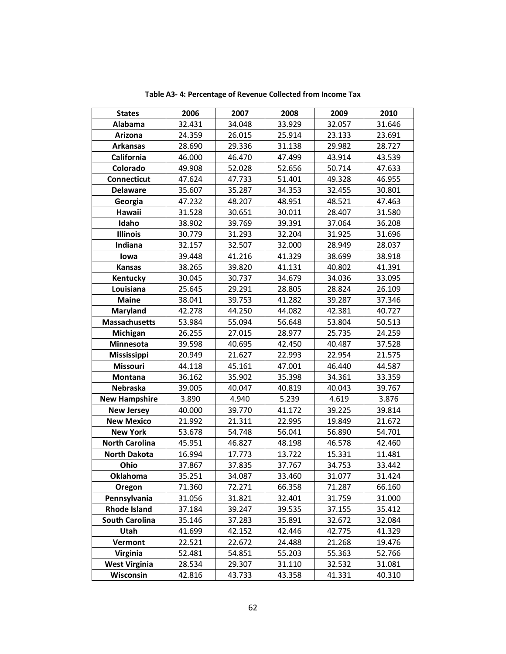| <b>States</b>         | 2006   | 2007   | 2008   | 2009   | 2010   |
|-----------------------|--------|--------|--------|--------|--------|
| Alabama               | 32.431 | 34.048 | 33.929 | 32.057 | 31.646 |
| Arizona               | 24.359 | 26.015 | 25.914 | 23.133 | 23.691 |
| <b>Arkansas</b>       | 28.690 | 29.336 | 31.138 | 29.982 | 28.727 |
| California            | 46.000 | 46.470 | 47.499 | 43.914 | 43.539 |
| Colorado              | 49.908 | 52.028 | 52.656 | 50.714 | 47.633 |
| Connecticut           | 47.624 | 47.733 | 51.401 | 49.328 | 46.955 |
| <b>Delaware</b>       | 35.607 | 35.287 | 34.353 | 32.455 | 30.801 |
| Georgia               | 47.232 | 48.207 | 48.951 | 48.521 | 47.463 |
| Hawaii                | 31.528 | 30.651 | 30.011 | 28.407 | 31.580 |
| Idaho                 | 38.902 | 39.769 | 39.391 | 37.064 | 36.208 |
| <b>Illinois</b>       | 30.779 | 31.293 | 32.204 | 31.925 | 31.696 |
| Indiana               | 32.157 | 32.507 | 32.000 | 28.949 | 28.037 |
| lowa                  | 39.448 | 41.216 | 41.329 | 38.699 | 38.918 |
| Kansas                | 38.265 | 39.820 | 41.131 | 40.802 | 41.391 |
| Kentucky              | 30.045 | 30.737 | 34.679 | 34.036 | 33.095 |
| Louisiana             | 25.645 | 29.291 | 28.805 | 28.824 | 26.109 |
| <b>Maine</b>          | 38.041 | 39.753 | 41.282 | 39.287 | 37.346 |
| <b>Maryland</b>       | 42.278 | 44.250 | 44.082 | 42.381 | 40.727 |
| <b>Massachusetts</b>  | 53.984 | 55.094 | 56.648 | 53.804 | 50.513 |
| Michigan              | 26.255 | 27.015 | 28.977 | 25.735 | 24.259 |
| Minnesota             | 39.598 | 40.695 | 42.450 | 40.487 | 37.528 |
| Mississippi           | 20.949 | 21.627 | 22.993 | 22.954 | 21.575 |
| <b>Missouri</b>       | 44.118 | 45.161 | 47.001 | 46.440 | 44.587 |
| Montana               | 36.162 | 35.902 | 35.398 | 34.361 | 33.359 |
| Nebraska              | 39.005 | 40.047 | 40.819 | 40.043 | 39.767 |
| <b>New Hampshire</b>  | 3.890  | 4.940  | 5.239  | 4.619  | 3.876  |
| <b>New Jersey</b>     | 40.000 | 39.770 | 41.172 | 39.225 | 39.814 |
| <b>New Mexico</b>     | 21.992 | 21.311 | 22.995 | 19.849 | 21.672 |
| <b>New York</b>       | 53.678 | 54.748 | 56.041 | 56.890 | 54.701 |
| <b>North Carolina</b> | 45.951 | 46.827 | 48.198 | 46.578 | 42.460 |
| <b>North Dakota</b>   | 16.994 | 17.773 | 13.722 | 15.331 | 11.481 |
| Ohio                  | 37.867 | 37.835 | 37.767 | 34.753 | 33.442 |
| <b>Oklahoma</b>       | 35.251 | 34.087 | 33.460 | 31.077 | 31.424 |
| Oregon                | 71.360 | 72.271 | 66.358 | 71.287 | 66.160 |
| Pennsylvania          | 31.056 | 31.821 | 32.401 | 31.759 | 31.000 |
| <b>Rhode Island</b>   | 37.184 | 39.247 | 39.535 | 37.155 | 35.412 |
| <b>South Carolina</b> | 35.146 | 37.283 | 35.891 | 32.672 | 32.084 |
| Utah                  | 41.699 | 42.152 | 42.446 | 42.775 | 41.329 |
| Vermont               | 22.521 | 22.672 | 24.488 | 21.268 | 19.476 |
| Virginia              | 52.481 | 54.851 | 55.203 | 55.363 | 52.766 |
| <b>West Virginia</b>  | 28.534 | 29.307 | 31.110 | 32.532 | 31.081 |
| Wisconsin             | 42.816 | 43.733 | 43.358 | 41.331 | 40.310 |

**Table A3- 4: Percentage of Revenue Collected from Income Tax**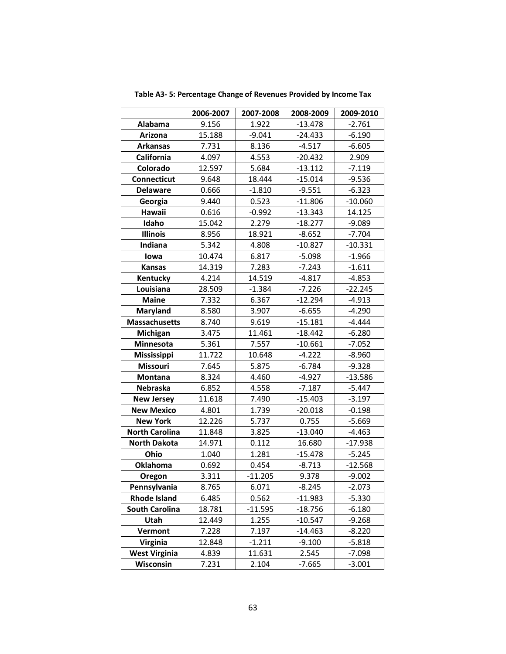|                       | 2006-2007 | 2007-2008 | 2008-2009 | 2009-2010 |
|-----------------------|-----------|-----------|-----------|-----------|
| Alabama               | 9.156     | 1.922     | $-13.478$ | $-2.761$  |
| Arizona               | 15.188    | $-9.041$  | $-24.433$ | $-6.190$  |
| <b>Arkansas</b>       | 7.731     | 8.136     | $-4.517$  | $-6.605$  |
| <b>California</b>     | 4.097     | 4.553     | $-20.432$ | 2.909     |
| Colorado              | 12.597    | 5.684     | $-13.112$ | $-7.119$  |
| Connecticut           | 9.648     | 18.444    | $-15.014$ | $-9.536$  |
| <b>Delaware</b>       | 0.666     | $-1.810$  | $-9.551$  | $-6.323$  |
| Georgia               | 9.440     | 0.523     | $-11.806$ | $-10.060$ |
| Hawaii                | 0.616     | $-0.992$  | $-13.343$ | 14.125    |
| Idaho                 | 15.042    | 2.279     | $-18.277$ | $-9.089$  |
| <b>Illinois</b>       | 8.956     | 18.921    | $-8.652$  | $-7.704$  |
| Indiana               | 5.342     | 4.808     | $-10.827$ | $-10.331$ |
| lowa                  | 10.474    | 6.817     | $-5.098$  | $-1.966$  |
| <b>Kansas</b>         | 14.319    | 7.283     | $-7.243$  | $-1.611$  |
| Kentucky              | 4.214     | 14.519    | $-4.817$  | $-4.853$  |
| Louisiana             | 28.509    | $-1.384$  | $-7.226$  | $-22.245$ |
| <b>Maine</b>          | 7.332     | 6.367     | $-12.294$ | $-4.913$  |
| <b>Maryland</b>       | 8.580     | 3.907     | $-6.655$  | $-4.290$  |
| <b>Massachusetts</b>  | 8.740     | 9.619     | $-15.181$ | $-4.444$  |
| Michigan              | 3.475     | 11.461    | $-18.442$ | $-6.280$  |
| Minnesota             | 5.361     | 7.557     | $-10.661$ | $-7.052$  |
| Mississippi           | 11.722    | 10.648    | $-4.222$  | $-8.960$  |
| <b>Missouri</b>       | 7.645     | 5.875     | $-6.784$  | $-9.328$  |
| Montana               | 8.324     | 4.460     | $-4.927$  | $-13.586$ |
| Nebraska              | 6.852     | 4.558     | $-7.187$  | $-5.447$  |
| <b>New Jersey</b>     | 11.618    | 7.490     | $-15.403$ | $-3.197$  |
| <b>New Mexico</b>     | 4.801     | 1.739     | $-20.018$ | $-0.198$  |
| <b>New York</b>       | 12.226    | 5.737     | 0.755     | $-5.669$  |
| <b>North Carolina</b> | 11.848    | 3.825     | $-13.040$ | $-4.463$  |
| <b>North Dakota</b>   | 14.971    | 0.112     | 16.680    | $-17.938$ |
| Ohio                  | 1.040     | 1.281     | $-15.478$ | $-5.245$  |
| <b>Oklahoma</b>       | 0.692     | 0.454     | $-8.713$  | $-12.568$ |
| Oregon                | 3.311     | $-11.205$ | 9.378     | $-9.002$  |
| Pennsylvania          | 8.765     | 6.071     | $-8.245$  | $-2.073$  |
| <b>Rhode Island</b>   | 6.485     | 0.562     | $-11.983$ | $-5.330$  |
| <b>South Carolina</b> | 18.781    | $-11.595$ | $-18.756$ | $-6.180$  |
| Utah                  | 12.449    | 1.255     | $-10.547$ | $-9.268$  |
| Vermont               | 7.228     | 7.197     | $-14.463$ | $-8.220$  |
| <b>Virginia</b>       | 12.848    | $-1.211$  | $-9.100$  | $-5.818$  |
| <b>West Virginia</b>  | 4.839     | 11.631    | 2.545     | $-7.098$  |
| Wisconsin             | 7.231     | 2.104     | $-7.665$  | $-3.001$  |

**Table A3- 5: Percentage Change of Revenues Provided by Income Tax**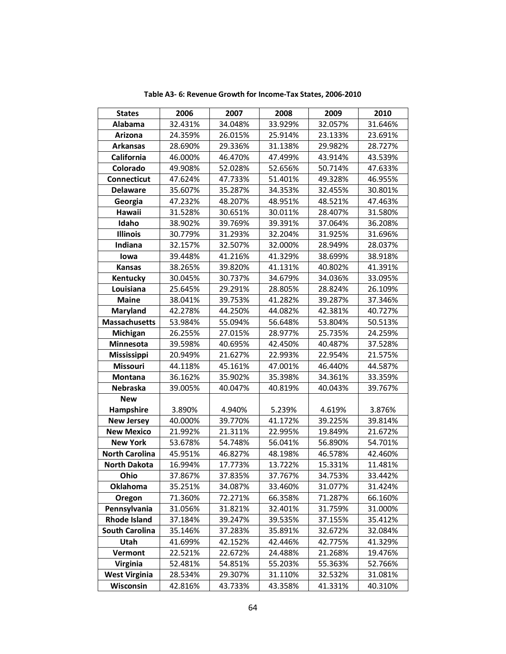| <b>States</b>         | 2006    | 2007    | 2008    | 2009    | 2010    |
|-----------------------|---------|---------|---------|---------|---------|
| <b>Alabama</b>        | 32.431% | 34.048% | 33.929% | 32.057% | 31.646% |
| Arizona               | 24.359% | 26.015% | 25.914% | 23.133% | 23.691% |
| <b>Arkansas</b>       | 28.690% | 29.336% | 31.138% | 29.982% | 28.727% |
| <b>California</b>     | 46.000% | 46.470% | 47.499% | 43.914% | 43.539% |
| Colorado              | 49.908% | 52.028% | 52.656% | 50.714% | 47.633% |
| Connecticut           | 47.624% | 47.733% | 51.401% | 49.328% | 46.955% |
| <b>Delaware</b>       | 35.607% | 35.287% | 34.353% | 32.455% | 30.801% |
| Georgia               | 47.232% | 48.207% | 48.951% | 48.521% | 47.463% |
| Hawaii                | 31.528% | 30.651% | 30.011% | 28.407% | 31.580% |
| Idaho                 | 38.902% | 39.769% | 39.391% | 37.064% | 36.208% |
| <b>Illinois</b>       | 30.779% | 31.293% | 32.204% | 31.925% | 31.696% |
| Indiana               | 32.157% | 32.507% | 32.000% | 28.949% | 28.037% |
| lowa                  | 39.448% | 41.216% | 41.329% | 38.699% | 38.918% |
| <b>Kansas</b>         | 38.265% | 39.820% | 41.131% | 40.802% | 41.391% |
| Kentucky              | 30.045% | 30.737% | 34.679% | 34.036% | 33.095% |
| Louisiana             | 25.645% | 29.291% | 28.805% | 28.824% | 26.109% |
| <b>Maine</b>          | 38.041% | 39.753% | 41.282% | 39.287% | 37.346% |
| <b>Maryland</b>       | 42.278% | 44.250% | 44.082% | 42.381% | 40.727% |
| <b>Massachusetts</b>  | 53.984% | 55.094% | 56.648% | 53.804% | 50.513% |
| Michigan              | 26.255% | 27.015% | 28.977% | 25.735% | 24.259% |
| Minnesota             | 39.598% | 40.695% | 42.450% | 40.487% | 37.528% |
| Mississippi           | 20.949% | 21.627% | 22.993% | 22.954% | 21.575% |
| <b>Missouri</b>       | 44.118% | 45.161% | 47.001% | 46.440% | 44.587% |
| <b>Montana</b>        | 36.162% | 35.902% | 35.398% | 34.361% | 33.359% |
| <b>Nebraska</b>       | 39.005% | 40.047% | 40.819% | 40.043% | 39.767% |
| <b>New</b>            |         |         |         |         |         |
| Hampshire             | 3.890%  | 4.940%  | 5.239%  | 4.619%  | 3.876%  |
| <b>New Jersey</b>     | 40.000% | 39.770% | 41.172% | 39.225% | 39.814% |
| <b>New Mexico</b>     | 21.992% | 21.311% | 22.995% | 19.849% | 21.672% |
| <b>New York</b>       | 53.678% | 54.748% | 56.041% | 56.890% | 54.701% |
| <b>North Carolina</b> | 45.951% | 46.827% | 48.198% | 46.578% | 42.460% |
| <b>North Dakota</b>   | 16.994% | 17.773% | 13.722% | 15.331% | 11.481% |
| Ohio                  | 37.867% | 37.835% | 37.767% | 34.753% | 33.442% |
| <b>Oklahoma</b>       | 35.251% | 34.087% | 33.460% | 31.077% | 31.424% |
| Oregon                | 71.360% | 72.271% | 66.358% | 71.287% | 66.160% |
| Pennsylvania          | 31.056% | 31.821% | 32.401% | 31.759% | 31.000% |
| <b>Rhode Island</b>   | 37.184% | 39.247% | 39.535% | 37.155% | 35.412% |
| <b>South Carolina</b> | 35.146% | 37.283% | 35.891% | 32.672% | 32.084% |
| Utah                  | 41.699% | 42.152% | 42.446% | 42.775% | 41.329% |
| Vermont               | 22.521% | 22.672% | 24.488% | 21.268% | 19.476% |
| <b>Virginia</b>       | 52.481% | 54.851% | 55.203% | 55.363% | 52.766% |
| <b>West Virginia</b>  | 28.534% | 29.307% | 31.110% | 32.532% | 31.081% |
| Wisconsin             | 42.816% | 43.733% | 43.358% | 41.331% | 40.310% |

**Table A3- 6: Revenue Growth for Income-Tax States, 2006-2010**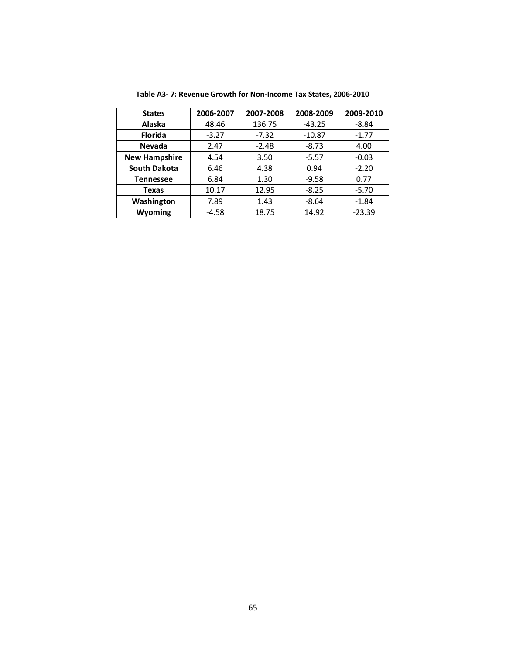| <b>States</b>        | 2006-2007 | 2007-2008 | 2008-2009 | 2009-2010 |
|----------------------|-----------|-----------|-----------|-----------|
| Alaska               | 48.46     | 136.75    | $-43.25$  | $-8.84$   |
| <b>Florida</b>       | $-3.27$   | $-7.32$   | $-10.87$  | $-1.77$   |
| <b>Nevada</b>        | 2.47      | $-2.48$   | $-8.73$   | 4.00      |
| <b>New Hampshire</b> | 4.54      | 3.50      | $-5.57$   | $-0.03$   |
| <b>South Dakota</b>  | 6.46      | 4.38      | 0.94      | $-2.20$   |
| <b>Tennessee</b>     | 6.84      | 1.30      | $-9.58$   | 0.77      |
| Texas                | 10.17     | 12.95     | $-8.25$   | $-5.70$   |
| Washington           | 7.89      | 1.43      | $-8.64$   | $-1.84$   |
| Wyoming              | -4.58     | 18.75     | 14.92     | $-23.39$  |

**Table A3- 7: Revenue Growth for Non-Income Tax States, 2006-2010**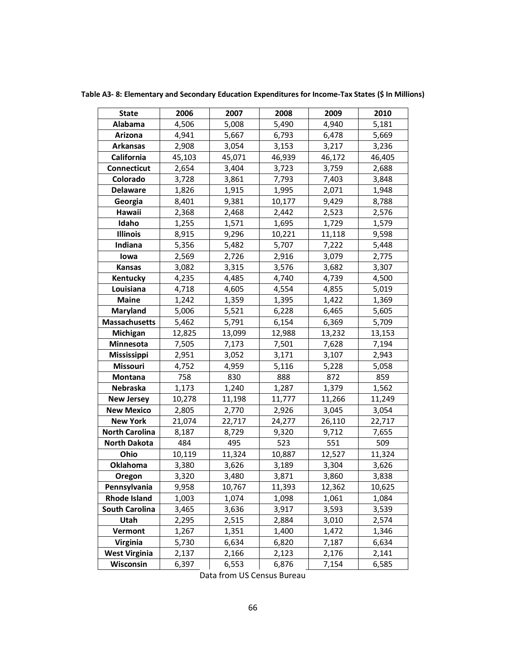**Table A3- 8: Elementary and Secondary Education Expenditures for Income-Tax States (\$ In Millions)**

| <b>State</b>          | 2006   | 2007   | 2008   | 2009   | 2010   |
|-----------------------|--------|--------|--------|--------|--------|
| Alabama               | 4,506  | 5,008  | 5,490  | 4,940  | 5,181  |
| Arizona               | 4,941  | 5,667  | 6,793  | 6,478  | 5,669  |
| <b>Arkansas</b>       | 2,908  | 3,054  | 3,153  | 3,217  | 3,236  |
| California            | 45,103 | 45,071 | 46,939 | 46,172 | 46,405 |
| Connecticut           | 2,654  | 3,404  | 3,723  | 3,759  | 2,688  |
| Colorado              | 3,728  | 3,861  | 7,793  | 7,403  | 3,848  |
| <b>Delaware</b>       | 1,826  | 1,915  | 1,995  | 2,071  | 1,948  |
| Georgia               | 8,401  | 9,381  | 10,177 | 9,429  | 8,788  |
| Hawaii                | 2,368  | 2,468  | 2,442  | 2,523  | 2,576  |
| Idaho                 | 1,255  | 1,571  | 1,695  | 1,729  | 1,579  |
| <b>Illinois</b>       | 8,915  | 9,296  | 10,221 | 11,118 | 9,598  |
| Indiana               | 5,356  | 5,482  | 5,707  | 7,222  | 5,448  |
| lowa                  | 2,569  | 2,726  | 2,916  | 3,079  | 2,775  |
| <b>Kansas</b>         | 3,082  | 3,315  | 3,576  | 3,682  | 3,307  |
| Kentucky              | 4,235  | 4,485  | 4,740  | 4,739  | 4,500  |
| Louisiana             | 4,718  | 4,605  | 4,554  | 4,855  | 5,019  |
| <b>Maine</b>          | 1,242  | 1,359  | 1,395  | 1,422  | 1,369  |
| <b>Maryland</b>       | 5,006  | 5,521  | 6,228  | 6,465  | 5,605  |
| <b>Massachusetts</b>  | 5,462  | 5,791  | 6,154  | 6,369  | 5,709  |
| Michigan              | 12,825 | 13,099 | 12,988 | 13,232 | 13,153 |
| Minnesota             | 7,505  | 7,173  | 7,501  | 7,628  | 7,194  |
| <b>Mississippi</b>    | 2,951  | 3,052  | 3,171  | 3,107  | 2,943  |
| <b>Missouri</b>       | 4,752  | 4,959  | 5,116  | 5,228  | 5,058  |
| <b>Montana</b>        | 758    | 830    | 888    | 872    | 859    |
| Nebraska              | 1,173  | 1,240  | 1,287  | 1,379  | 1,562  |
| <b>New Jersey</b>     | 10,278 | 11,198 | 11,777 | 11,266 | 11,249 |
| <b>New Mexico</b>     | 2,805  | 2,770  | 2,926  | 3,045  | 3,054  |
| <b>New York</b>       | 21,074 | 22,717 | 24,277 | 26,110 | 22,717 |
| <b>North Carolina</b> | 8,187  | 8,729  | 9,320  | 9,712  | 7,655  |
| <b>North Dakota</b>   | 484    | 495    | 523    | 551    | 509    |
| Ohio                  | 10,119 | 11,324 | 10,887 | 12,527 | 11,324 |
| <b>Oklahoma</b>       | 3,380  | 3,626  | 3,189  | 3,304  | 3,626  |
| Oregon                | 3,320  | 3,480  | 3,871  | 3,860  | 3,838  |
| Pennsylvania          | 9,958  | 10,767 | 11,393 | 12,362 | 10,625 |
| <b>Rhode Island</b>   | 1,003  | 1,074  | 1,098  | 1,061  | 1,084  |
| <b>South Carolina</b> | 3,465  | 3,636  | 3,917  | 3,593  | 3,539  |
| Utah                  | 2,295  | 2,515  | 2,884  | 3,010  | 2,574  |
| Vermont               | 1,267  | 1,351  | 1,400  | 1,472  | 1,346  |
| <b>Virginia</b>       | 5,730  | 6,634  | 6,820  | 7,187  | 6,634  |
| <b>West Virginia</b>  | 2,137  | 2,166  | 2,123  | 2,176  | 2,141  |
| Wisconsin             | 6,397  | 6,553  | 6,876  | 7,154  | 6,585  |

Data from US Census Bureau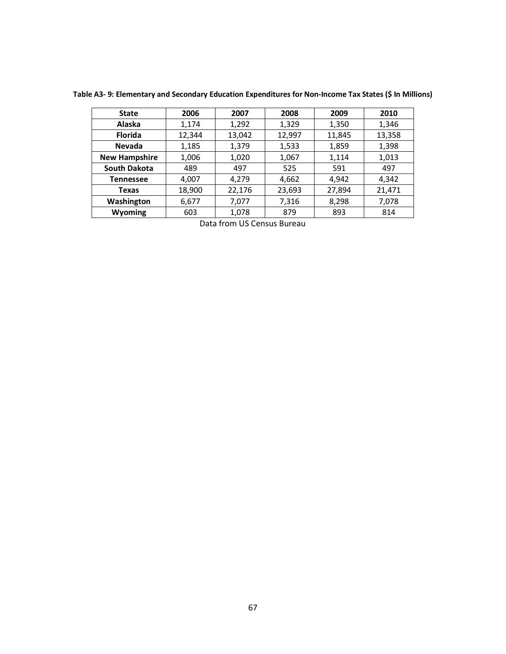| <b>State</b>         | 2006   | 2007   | 2008   | 2009   | 2010   |
|----------------------|--------|--------|--------|--------|--------|
| <b>Alaska</b>        | 1,174  | 1,292  | 1,329  | 1,350  | 1,346  |
| <b>Florida</b>       | 12,344 | 13,042 | 12,997 | 11,845 | 13,358 |
| <b>Nevada</b>        | 1,185  | 1,379  | 1,533  | 1,859  | 1,398  |
| <b>New Hampshire</b> | 1,006  | 1,020  | 1,067  | 1,114  | 1,013  |
| <b>South Dakota</b>  | 489    | 497    | 525    | 591    | 497    |
| <b>Tennessee</b>     | 4,007  | 4,279  | 4,662  | 4,942  | 4,342  |
| Texas                | 18,900 | 22,176 | 23,693 | 27,894 | 21,471 |
| Washington           | 6,677  | 7,077  | 7,316  | 8,298  | 7,078  |
| Wyoming              | 603    | 1,078  | 879    | 893    | 814    |

**Table A3- 9: Elementary and Secondary Education Expenditures for Non-Income Tax States (\$ In Millions)**

Data from US Census Bureau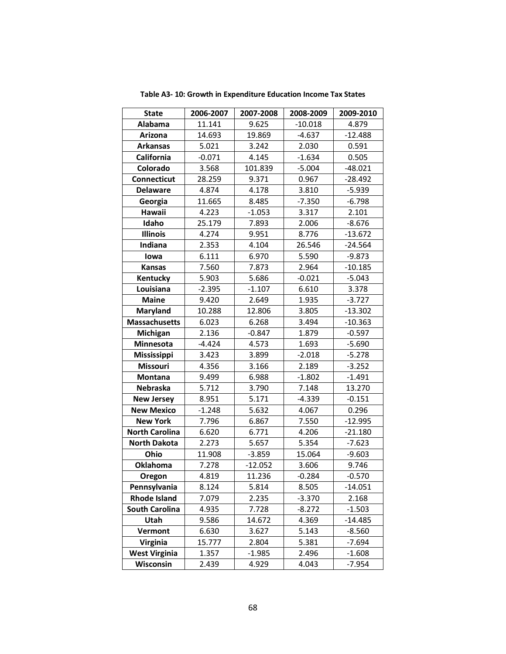| <b>State</b>          | 2006-2007 | 2007-2008 | 2008-2009 | 2009-2010 |
|-----------------------|-----------|-----------|-----------|-----------|
| Alabama               | 11.141    | 9.625     | $-10.018$ | 4.879     |
| Arizona               | 14.693    | 19.869    | $-4.637$  | $-12.488$ |
| <b>Arkansas</b>       | 5.021     | 3.242     | 2.030     | 0.591     |
| <b>California</b>     | $-0.071$  | 4.145     | $-1.634$  | 0.505     |
| Colorado              | 3.568     | 101.839   | $-5.004$  | $-48.021$ |
| <b>Connecticut</b>    | 28.259    | 9.371     | 0.967     | $-28.492$ |
| <b>Delaware</b>       | 4.874     | 4.178     | 3.810     | $-5.939$  |
| Georgia               | 11.665    | 8.485     | $-7.350$  | $-6.798$  |
| Hawaii                | 4.223     | $-1.053$  | 3.317     | 2.101     |
| Idaho                 | 25.179    | 7.893     | 2.006     | $-8.676$  |
| <b>Illinois</b>       | 4.274     | 9.951     | 8.776     | $-13.672$ |
| Indiana               | 2.353     | 4.104     | 26.546    | $-24.564$ |
| lowa                  | 6.111     | 6.970     | 5.590     | $-9.873$  |
| <b>Kansas</b>         | 7.560     | 7.873     | 2.964     | $-10.185$ |
| Kentucky              | 5.903     | 5.686     | $-0.021$  | $-5.043$  |
| Louisiana             | $-2.395$  | $-1.107$  | 6.610     | 3.378     |
| <b>Maine</b>          | 9.420     | 2.649     | 1.935     | $-3.727$  |
| <b>Maryland</b>       | 10.288    | 12.806    | 3.805     | $-13.302$ |
| <b>Massachusetts</b>  | 6.023     | 6.268     | 3.494     | $-10.363$ |
| Michigan              | 2.136     | $-0.847$  | 1.879     | $-0.597$  |
| Minnesota             | $-4.424$  | 4.573     | 1.693     | $-5.690$  |
| Mississippi           | 3.423     | 3.899     | $-2.018$  | $-5.278$  |
| Missouri              | 4.356     | 3.166     | 2.189     | $-3.252$  |
| Montana               | 9.499     | 6.988     | $-1.802$  | $-1.491$  |
| Nebraska              | 5.712     | 3.790     | 7.148     | 13.270    |
| <b>New Jersey</b>     | 8.951     | 5.171     | $-4.339$  | $-0.151$  |
| <b>New Mexico</b>     | $-1.248$  | 5.632     | 4.067     | 0.296     |
| <b>New York</b>       | 7.796     | 6.867     | 7.550     | $-12.995$ |
| <b>North Carolina</b> | 6.620     | 6.771     | 4.206     | $-21.180$ |
| <b>North Dakota</b>   | 2.273     | 5.657     | 5.354     | $-7.623$  |
| Ohio                  | 11.908    | $-3.859$  | 15.064    | $-9.603$  |
| <b>Oklahoma</b>       | 7.278     | $-12.052$ | 3.606     | 9.746     |
| Oregon                | 4.819     | 11.236    | $-0.284$  | $-0.570$  |
| Pennsylvania          | 8.124     | 5.814     | 8.505     | $-14.051$ |
| <b>Rhode Island</b>   | 7.079     | 2.235     | $-3.370$  | 2.168     |
| <b>South Carolina</b> | 4.935     | 7.728     | $-8.272$  | $-1.503$  |
| Utah                  | 9.586     | 14.672    | 4.369     | $-14.485$ |
| Vermont               | 6.630     | 3.627     | 5.143     | $-8.560$  |
| <b>Virginia</b>       | 15.777    | 2.804     | 5.381     | $-7.694$  |
| <b>West Virginia</b>  | 1.357     | $-1.985$  | 2.496     | $-1.608$  |
| Wisconsin             | 2.439     | 4.929     | 4.043     | $-7.954$  |

**Table A3- 10: Growth in Expenditure Education Income Tax States**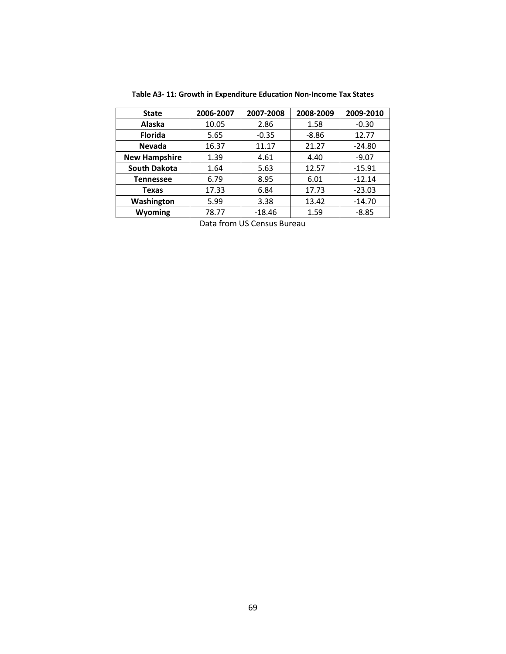| 2006-2007 | 2007-2008 | 2008-2009 | 2009-2010 |
|-----------|-----------|-----------|-----------|
| 10.05     | 2.86      | 1.58      | $-0.30$   |
| 5.65      | $-0.35$   | $-8.86$   | 12.77     |
| 16.37     | 11.17     | 21.27     | $-24.80$  |
| 1.39      | 4.61      | 4.40      | $-9.07$   |
| 1.64      | 5.63      | 12.57     | $-15.91$  |
| 6.79      | 8.95      | 6.01      | $-12.14$  |
| 17.33     | 6.84      | 17.73     | $-23.03$  |
| 5.99      | 3.38      | 13.42     | $-14.70$  |
| 78.77     | $-18.46$  | 1.59      | $-8.85$   |
|           |           |           |           |

**Table A3- 11: Growth in Expenditure Education Non-Income Tax States**

Data from US Census Bureau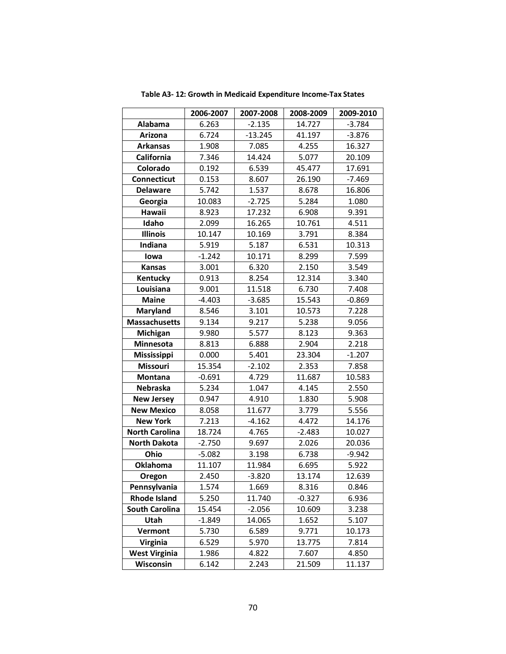|                       | 2006-2007 | 2007-2008 | 2008-2009 | 2009-2010 |
|-----------------------|-----------|-----------|-----------|-----------|
| Alabama               | 6.263     | $-2.135$  | 14.727    | $-3.784$  |
| Arizona               | 6.724     | $-13.245$ | 41.197    | $-3.876$  |
| <b>Arkansas</b>       | 1.908     | 7.085     | 4.255     | 16.327    |
| <b>California</b>     | 7.346     | 14.424    | 5.077     | 20.109    |
| Colorado              | 0.192     | 6.539     | 45.477    | 17.691    |
| <b>Connecticut</b>    | 0.153     | 8.607     | 26.190    | $-7.469$  |
| <b>Delaware</b>       | 5.742     | 1.537     | 8.678     | 16.806    |
| Georgia               | 10.083    | $-2.725$  | 5.284     | 1.080     |
| Hawaii                | 8.923     | 17.232    | 6.908     | 9.391     |
| Idaho                 | 2.099     | 16.265    | 10.761    | 4.511     |
| <b>Illinois</b>       | 10.147    | 10.169    | 3.791     | 8.384     |
| Indiana               | 5.919     | 5.187     | 6.531     | 10.313    |
| lowa                  | $-1.242$  | 10.171    | 8.299     | 7.599     |
| <b>Kansas</b>         | 3.001     | 6.320     | 2.150     | 3.549     |
| Kentucky              | 0.913     | 8.254     | 12.314    | 3.340     |
| Louisiana             | 9.001     | 11.518    | 6.730     | 7.408     |
| <b>Maine</b>          | $-4.403$  | $-3.685$  | 15.543    | $-0.869$  |
| <b>Maryland</b>       | 8.546     | 3.101     | 10.573    | 7.228     |
| <b>Massachusetts</b>  | 9.134     | 9.217     | 5.238     | 9.056     |
| Michigan              | 9.980     | 5.577     | 8.123     | 9.363     |
| Minnesota             | 8.813     | 6.888     | 2.904     | 2.218     |
| Mississippi           | 0.000     | 5.401     | 23.304    | $-1.207$  |
| <b>Missouri</b>       | 15.354    | $-2.102$  | 2.353     | 7.858     |
| Montana               | $-0.691$  | 4.729     | 11.687    | 10.583    |
| Nebraska              | 5.234     | 1.047     | 4.145     | 2.550     |
| <b>New Jersey</b>     | 0.947     | 4.910     | 1.830     | 5.908     |
| <b>New Mexico</b>     | 8.058     | 11.677    | 3.779     | 5.556     |
| <b>New York</b>       | 7.213     | $-4.162$  | 4.472     | 14.176    |
| <b>North Carolina</b> | 18.724    | 4.765     | $-2.483$  | 10.027    |
| <b>North Dakota</b>   | $-2.750$  | 9.697     | 2.026     | 20.036    |
| Ohio                  | $-5.082$  | 3.198     | 6.738     | $-9.942$  |
| <b>Oklahoma</b>       | 11.107    | 11.984    | 6.695     | 5.922     |
| Oregon                | 2.450     | $-3.820$  | 13.174    | 12.639    |
| Pennsylvania          | 1.574     | 1.669     | 8.316     | 0.846     |
| <b>Rhode Island</b>   | 5.250     | 11.740    | $-0.327$  | 6.936     |
| <b>South Carolina</b> | 15.454    | $-2.056$  | 10.609    | 3.238     |
| Utah                  | $-1.849$  | 14.065    | 1.652     | 5.107     |
| Vermont               | 5.730     | 6.589     | 9.771     | 10.173    |
| <b>Virginia</b>       | 6.529     | 5.970     | 13.775    | 7.814     |
| <b>West Virginia</b>  | 1.986     | 4.822     | 7.607     | 4.850     |
| Wisconsin             | 6.142     | 2.243     | 21.509    | 11.137    |

**Table A3- 12: Growth in Medicaid Expenditure Income-Tax States**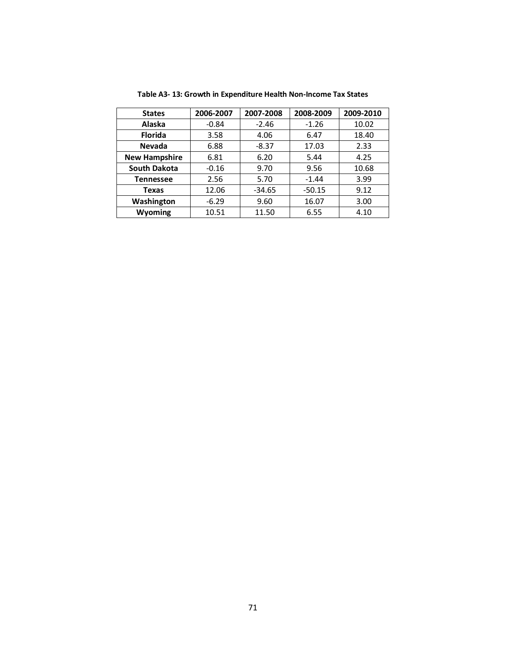| <b>States</b>        | 2006-2007 | 2007-2008 | 2008-2009 | 2009-2010 |
|----------------------|-----------|-----------|-----------|-----------|
| Alaska               | $-0.84$   | $-2.46$   | $-1.26$   | 10.02     |
| <b>Florida</b>       | 3.58      | 4.06      | 6.47      | 18.40     |
| Nevada               | 6.88      | $-8.37$   | 17.03     | 2.33      |
| <b>New Hampshire</b> | 6.81      | 6.20      | 5.44      | 4.25      |
| <b>South Dakota</b>  | $-0.16$   | 9.70      | 9.56      | 10.68     |
| <b>Tennessee</b>     | 2.56      | 5.70      | $-1.44$   | 3.99      |
| Texas                | 12.06     | $-34.65$  | $-50.15$  | 9.12      |
| Washington           | $-6.29$   | 9.60      | 16.07     | 3.00      |
| Wyoming              | 10.51     | 11.50     | 6.55      | 4.10      |

**Table A3- 13: Growth in Expenditure Health Non-Income Tax States**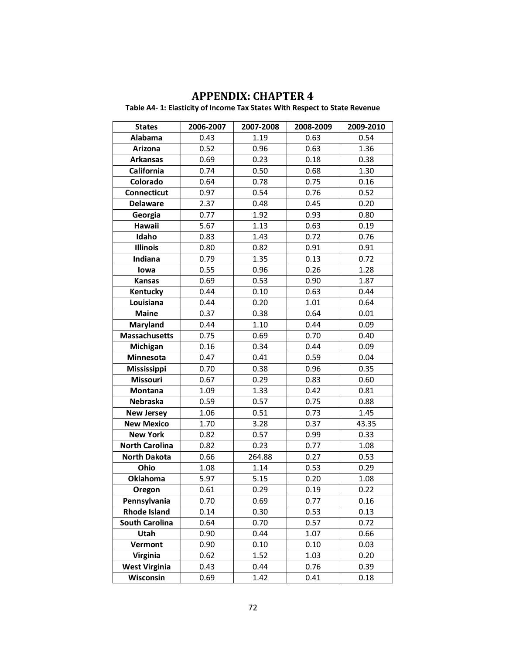## **APPENDIX: CHAPTER 4**

**Table A4- 1: Elasticity of Income Tax States With Respect to State Revenue**

| <b>States</b>         | 2006-2007 | 2007-2008 | 2008-2009 | 2009-2010 |
|-----------------------|-----------|-----------|-----------|-----------|
| Alabama               | 0.43      | 1.19      | 0.63      | 0.54      |
| Arizona               | 0.52      | 0.96      | 0.63      | 1.36      |
| <b>Arkansas</b>       | 0.69      | 0.23      | 0.18      | 0.38      |
| California            | 0.74      | 0.50      | 0.68      | 1.30      |
| Colorado              | 0.64      | 0.78      | 0.75      | 0.16      |
| <b>Connecticut</b>    | 0.97      | 0.54      | 0.76      | 0.52      |
| <b>Delaware</b>       | 2.37      | 0.48      | 0.45      | 0.20      |
| Georgia               | 0.77      | 1.92      | 0.93      | 0.80      |
| Hawaii                | 5.67      | 1.13      | 0.63      | 0.19      |
| Idaho                 | 0.83      | 1.43      | 0.72      | 0.76      |
| <b>Illinois</b>       | 0.80      | 0.82      | 0.91      | 0.91      |
| Indiana               | 0.79      | 1.35      | 0.13      | 0.72      |
| lowa                  | 0.55      | 0.96      | 0.26      | 1.28      |
| <b>Kansas</b>         | 0.69      | 0.53      | 0.90      | 1.87      |
| Kentucky              | 0.44      | 0.10      | 0.63      | 0.44      |
| Louisiana             | 0.44      | 0.20      | 1.01      | 0.64      |
| <b>Maine</b>          | 0.37      | 0.38      | 0.64      | 0.01      |
| Maryland              | 0.44      | 1.10      | 0.44      | 0.09      |
| <b>Massachusetts</b>  | 0.75      | 0.69      | 0.70      | 0.40      |
| Michigan              | 0.16      | 0.34      | 0.44      | 0.09      |
| Minnesota             | 0.47      | 0.41      | 0.59      | 0.04      |
| Mississippi           | 0.70      | 0.38      | 0.96      | 0.35      |
| <b>Missouri</b>       | 0.67      | 0.29      | 0.83      | 0.60      |
| Montana               | 1.09      | 1.33      | 0.42      | 0.81      |
| <b>Nebraska</b>       | 0.59      | 0.57      | 0.75      | 0.88      |
| <b>New Jersey</b>     | 1.06      | 0.51      | 0.73      | 1.45      |
| <b>New Mexico</b>     | 1.70      | 3.28      | 0.37      | 43.35     |
| <b>New York</b>       | 0.82      | 0.57      | 0.99      | 0.33      |
| <b>North Carolina</b> | 0.82      | 0.23      | 0.77      | 1.08      |
| <b>North Dakota</b>   | 0.66      | 264.88    | 0.27      | 0.53      |
| Ohio                  | 1.08      | 1.14      | 0.53      | 0.29      |
| Oklahoma              | 5.97      | 5.15      | 0.20      | 1.08      |
| Oregon                | 0.61      | 0.29      | 0.19      | 0.22      |
| Pennsylvania          | 0.70      | 0.69      | 0.77      | 0.16      |
| <b>Rhode Island</b>   | 0.14      | 0.30      | 0.53      | 0.13      |
| <b>South Carolina</b> | 0.64      | 0.70      | 0.57      | 0.72      |
| Utah                  | 0.90      | 0.44      | 1.07      | 0.66      |
| Vermont               | 0.90      | 0.10      | 0.10      | 0.03      |
| <b>Virginia</b>       | 0.62      | 1.52      | 1.03      | 0.20      |
| <b>West Virginia</b>  | 0.43      | 0.44      | 0.76      | 0.39      |
| Wisconsin             | 0.69      | 1.42      | 0.41      | 0.18      |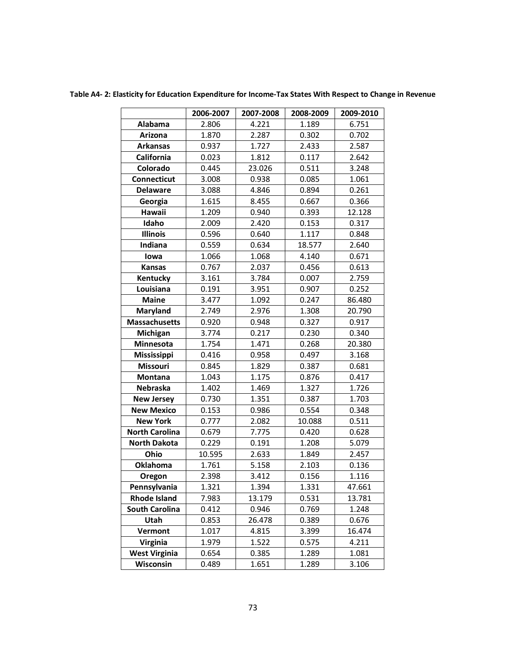**Table A4- 2: Elasticity for Education Expenditure for Income-Tax States With Respect to Change in Revenue**

|                       | 2006-2007 | 2007-2008 | 2008-2009 | 2009-2010 |
|-----------------------|-----------|-----------|-----------|-----------|
| Alabama               | 2.806     | 4.221     | 1.189     | 6.751     |
| Arizona               | 1.870     | 2.287     | 0.302     | 0.702     |
| <b>Arkansas</b>       | 0.937     | 1.727     | 2.433     | 2.587     |
| California            | 0.023     | 1.812     | 0.117     | 2.642     |
| Colorado              | 0.445     | 23.026    | 0.511     | 3.248     |
| Connecticut           | 3.008     | 0.938     | 0.085     | 1.061     |
| <b>Delaware</b>       | 3.088     | 4.846     | 0.894     | 0.261     |
| Georgia               | 1.615     | 8.455     | 0.667     | 0.366     |
| Hawaii                | 1.209     | 0.940     | 0.393     | 12.128    |
| Idaho                 | 2.009     | 2.420     | 0.153     | 0.317     |
| <b>Illinois</b>       | 0.596     | 0.640     | 1.117     | 0.848     |
| Indiana               | 0.559     | 0.634     | 18.577    | 2.640     |
| lowa                  | 1.066     | 1.068     | 4.140     | 0.671     |
| <b>Kansas</b>         | 0.767     | 2.037     | 0.456     | 0.613     |
| Kentucky              | 3.161     | 3.784     | 0.007     | 2.759     |
| Louisiana             | 0.191     | 3.951     | 0.907     | 0.252     |
| <b>Maine</b>          | 3.477     | 1.092     | 0.247     | 86.480    |
| Maryland              | 2.749     | 2.976     | 1.308     | 20.790    |
| <b>Massachusetts</b>  | 0.920     | 0.948     | 0.327     | 0.917     |
| Michigan              | 3.774     | 0.217     | 0.230     | 0.340     |
| Minnesota             | 1.754     | 1.471     | 0.268     | 20.380    |
| Mississippi           | 0.416     | 0.958     | 0.497     | 3.168     |
| <b>Missouri</b>       | 0.845     | 1.829     | 0.387     | 0.681     |
| Montana               | 1.043     | 1.175     | 0.876     | 0.417     |
| Nebraska              | 1.402     | 1.469     | 1.327     | 1.726     |
| <b>New Jersey</b>     | 0.730     | 1.351     | 0.387     | 1.703     |
| <b>New Mexico</b>     | 0.153     | 0.986     | 0.554     | 0.348     |
| <b>New York</b>       | 0.777     | 2.082     | 10.088    | 0.511     |
| <b>North Carolina</b> | 0.679     | 7.775     | 0.420     | 0.628     |
| <b>North Dakota</b>   | 0.229     | 0.191     | 1.208     | 5.079     |
| Ohio                  | 10.595    | 2.633     | 1.849     | 2.457     |
| <b>Oklahoma</b>       | 1.761     | 5.158     | 2.103     | 0.136     |
| Oregon                | 2.398     | 3.412     | 0.156     | 1.116     |
| Pennsylvania          | 1.321     | 1.394     | 1.331     | 47.661    |
| <b>Rhode Island</b>   | 7.983     | 13.179    | 0.531     | 13.781    |
| <b>South Carolina</b> | 0.412     | 0.946     | 0.769     | 1.248     |
| Utah                  | 0.853     | 26.478    | 0.389     | 0.676     |
| Vermont               | 1.017     | 4.815     | 3.399     | 16.474    |
| <b>Virginia</b>       | 1.979     | 1.522     | 0.575     | 4.211     |
| <b>West Virginia</b>  | 0.654     | 0.385     | 1.289     | 1.081     |
| Wisconsin             | 0.489     | 1.651     | 1.289     | 3.106     |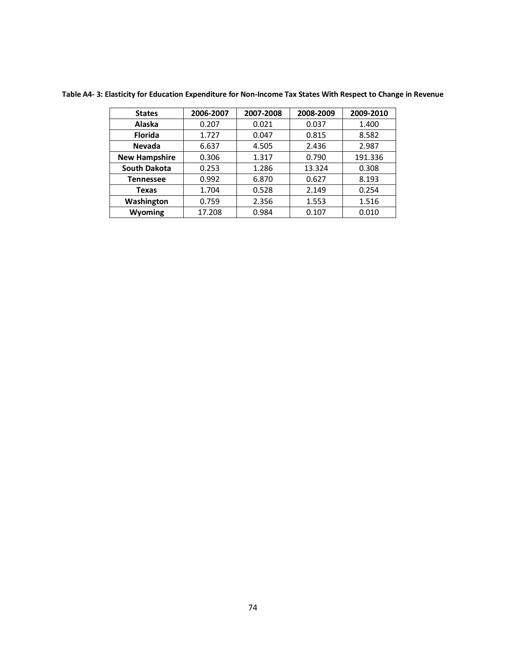| <b>States</b>        | 2006-2007 | 2007-2008 | 2008-2009 | 2009-2010 |
|----------------------|-----------|-----------|-----------|-----------|
| <b>Alaska</b>        | 0.207     | 0.021     | 0.037     | 1.400     |
| <b>Florida</b>       | 1.727     | 0.047     | 0.815     | 8.582     |
| <b>Nevada</b>        | 6.637     | 4.505     | 2.436     | 2.987     |
| <b>New Hampshire</b> | 0.306     | 1.317     | 0.790     | 191.336   |
| <b>South Dakota</b>  | 0.253     | 1.286     | 13.324    | 0.308     |
| <b>Tennessee</b>     | 0.992     | 6.870     | 0.627     | 8.193     |
| Texas                | 1.704     | 0.528     | 2.149     | 0.254     |
| Washington           | 0.759     | 2.356     | 1.553     | 1.516     |
| <b>Wyoming</b>       | 17.208    | 0.984     | 0.107     | 0.010     |

**Table A4- 3: Elasticity for Education Expenditure for Non-Income Tax States With Respect to Change in Revenue**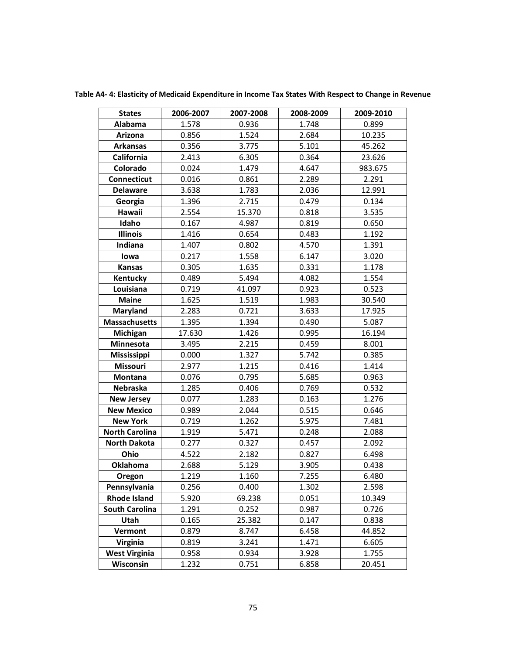| <b>States</b>         | 2006-2007 | 2007-2008 | 2008-2009 | 2009-2010 |
|-----------------------|-----------|-----------|-----------|-----------|
| Alabama               | 1.578     | 0.936     | 1.748     | 0.899     |
| Arizona               | 0.856     | 1.524     | 2.684     | 10.235    |
| <b>Arkansas</b>       | 0.356     | 3.775     | 5.101     | 45.262    |
| California            | 2.413     | 6.305     | 0.364     | 23.626    |
| Colorado              | 0.024     | 1.479     | 4.647     | 983.675   |
| <b>Connecticut</b>    | 0.016     | 0.861     | 2.289     | 2.291     |
| <b>Delaware</b>       | 3.638     | 1.783     | 2.036     | 12.991    |
| Georgia               | 1.396     | 2.715     | 0.479     | 0.134     |
| Hawaii                | 2.554     | 15.370    | 0.818     | 3.535     |
| Idaho                 | 0.167     | 4.987     | 0.819     | 0.650     |
| <b>Illinois</b>       | 1.416     | 0.654     | 0.483     | 1.192     |
| Indiana               | 1.407     | 0.802     | 4.570     | 1.391     |
| lowa                  | 0.217     | 1.558     | 6.147     | 3.020     |
| <b>Kansas</b>         | 0.305     | 1.635     | 0.331     | 1.178     |
| Kentucky              | 0.489     | 5.494     | 4.082     | 1.554     |
| Louisiana             | 0.719     | 41.097    | 0.923     | 0.523     |
| <b>Maine</b>          | 1.625     | 1.519     | 1.983     | 30.540    |
| <b>Maryland</b>       | 2.283     | 0.721     | 3.633     | 17.925    |
| <b>Massachusetts</b>  | 1.395     | 1.394     | 0.490     | 5.087     |
| Michigan              | 17.630    | 1.426     | 0.995     | 16.194    |
| Minnesota             | 3.495     | 2.215     | 0.459     | 8.001     |
| <b>Mississippi</b>    | 0.000     | 1.327     | 5.742     | 0.385     |
| <b>Missouri</b>       | 2.977     | 1.215     | 0.416     | 1.414     |
| Montana               | 0.076     | 0.795     | 5.685     | 0.963     |
| <b>Nebraska</b>       | 1.285     | 0.406     | 0.769     | 0.532     |
| <b>New Jersey</b>     | 0.077     | 1.283     | 0.163     | 1.276     |
| <b>New Mexico</b>     | 0.989     | 2.044     | 0.515     | 0.646     |
| <b>New York</b>       | 0.719     | 1.262     | 5.975     | 7.481     |
| <b>North Carolina</b> | 1.919     | 5.471     | 0.248     | 2.088     |
| <b>North Dakota</b>   | 0.277     | 0.327     | 0.457     | 2.092     |
| Ohio                  | 4.522     | 2.182     | 0.827     | 6.498     |
| <b>Oklahoma</b>       | 2.688     | 5.129     | 3.905     | 0.438     |
| Oregon                | 1.219     | 1.160     | 7.255     | 6.480     |
| Pennsylvania          | 0.256     | 0.400     | 1.302     | 2.598     |
| <b>Rhode Island</b>   | 5.920     | 69.238    | 0.051     | 10.349    |
| <b>South Carolina</b> | 1.291     | 0.252     | 0.987     | 0.726     |
| Utah                  | 0.165     | 25.382    | 0.147     | 0.838     |
| Vermont               | 0.879     | 8.747     | 6.458     | 44.852    |
| <b>Virginia</b>       | 0.819     | 3.241     | 1.471     | 6.605     |
| <b>West Virginia</b>  | 0.958     | 0.934     | 3.928     | 1.755     |
| Wisconsin             | 1.232     | 0.751     | 6.858     | 20.451    |

**Table A4- 4: Elasticity of Medicaid Expenditure in Income Tax States With Respect to Change in Revenue**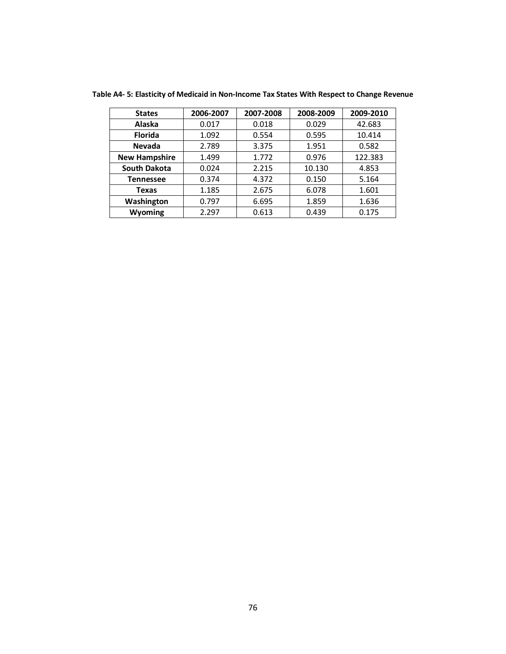| <b>States</b>        | 2006-2007 | 2007-2008 | 2008-2009 | 2009-2010 |
|----------------------|-----------|-----------|-----------|-----------|
| <b>Alaska</b>        | 0.017     | 0.018     | 0.029     | 42.683    |
| <b>Florida</b>       | 1.092     | 0.554     | 0.595     | 10.414    |
| <b>Nevada</b>        | 2.789     | 3.375     | 1.951     | 0.582     |
| <b>New Hampshire</b> | 1.499     | 1.772     | 0.976     | 122.383   |
| <b>South Dakota</b>  | 0.024     | 2.215     | 10.130    | 4.853     |
| <b>Tennessee</b>     | 0.374     | 4.372     | 0.150     | 5.164     |
| Texas                | 1.185     | 2.675     | 6.078     | 1.601     |
| Washington           | 0.797     | 6.695     | 1.859     | 1.636     |
| Wyoming              | 2.297     | 0.613     | 0.439     | 0.175     |

**Table A4- 5: Elasticity of Medicaid in Non-Income Tax States With Respect to Change Revenue**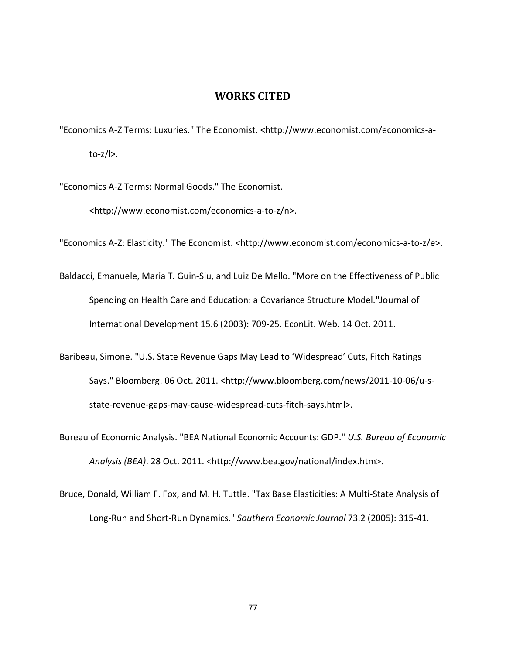## **WORKS CITED**

"Economics A-Z Terms: Luxuries." The Economist. <http://www.economist.com/economics-ato-z/l>.

"Economics A-Z Terms: Normal Goods." The Economist.

<http://www.economist.com/economics-a-to-z/n>.

"Economics A-Z: Elasticity." The Economist. <http://www.economist.com/economics-a-to-z/e>.

- Baldacci, Emanuele, Maria T. Guin-Siu, and Luiz De Mello. "More on the Effectiveness of Public Spending on Health Care and Education: a Covariance Structure Model."Journal of International Development 15.6 (2003): 709-25. EconLit. Web. 14 Oct. 2011.
- Baribeau, Simone. "U.S. State Revenue Gaps May Lead to 'Widespread' Cuts, Fitch Ratings Says." Bloomberg. 06 Oct. 2011. <http://www.bloomberg.com/news/2011-10-06/u-sstate-revenue-gaps-may-cause-widespread-cuts-fitch-says.html>.
- Bureau of Economic Analysis. "BEA National Economic Accounts: GDP." *U.S. Bureau of Economic Analysis (BEA)*. 28 Oct. 2011. <http://www.bea.gov/national/index.htm>.
- Bruce, Donald, William F. Fox, and M. H. Tuttle. "Tax Base Elasticities: A Multi-State Analysis of Long-Run and Short-Run Dynamics." *Southern Economic Journal* 73.2 (2005): 315-41.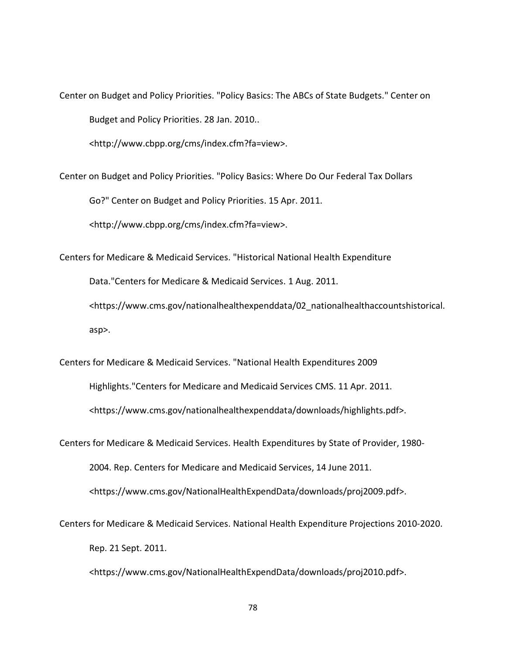Center on Budget and Policy Priorities. "Policy Basics: The ABCs of State Budgets." Center on Budget and Policy Priorities. 28 Jan. 2010..

<http://www.cbpp.org/cms/index.cfm?fa=view>.

Center on Budget and Policy Priorities. "Policy Basics: Where Do Our Federal Tax Dollars Go?" Center on Budget and Policy Priorities. 15 Apr. 2011.

<http://www.cbpp.org/cms/index.cfm?fa=view>.

Centers for Medicare & Medicaid Services. "Historical National Health Expenditure

Data."Centers for Medicare & Medicaid Services. 1 Aug. 2011.

<https://www.cms.gov/nationalhealthexpenddata/02\_nationalhealthaccountshistorical. asp>.

Centers for Medicare & Medicaid Services. "National Health Expenditures 2009 Highlights."Centers for Medicare and Medicaid Services CMS. 11 Apr. 2011. <https://www.cms.gov/nationalhealthexpenddata/downloads/highlights.pdf>.

Centers for Medicare & Medicaid Services. Health Expenditures by State of Provider, 1980- 2004. Rep. Centers for Medicare and Medicaid Services, 14 June 2011. <https://www.cms.gov/NationalHealthExpendData/downloads/proj2009.pdf>.

Centers for Medicare & Medicaid Services. National Health Expenditure Projections 2010-2020. Rep. 21 Sept. 2011.

<https://www.cms.gov/NationalHealthExpendData/downloads/proj2010.pdf>.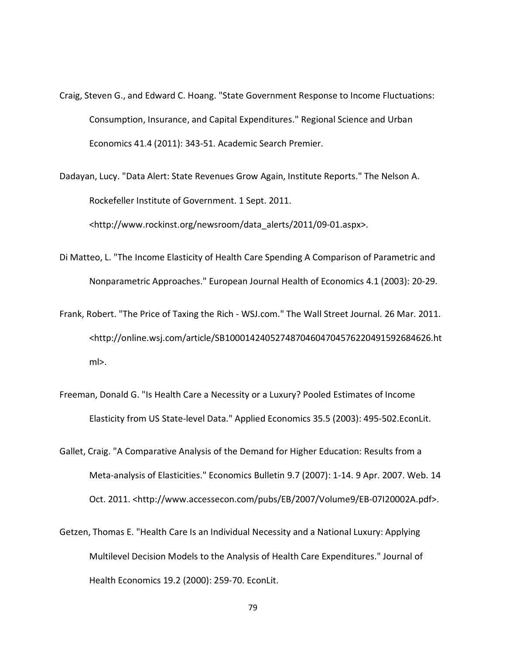- Craig, Steven G., and Edward C. Hoang. "State Government Response to Income Fluctuations: Consumption, Insurance, and Capital Expenditures." Regional Science and Urban Economics 41.4 (2011): 343-51. Academic Search Premier.
- Dadayan, Lucy. "Data Alert: State Revenues Grow Again, Institute Reports." The Nelson A. Rockefeller Institute of Government. 1 Sept. 2011.

<http://www.rockinst.org/newsroom/data\_alerts/2011/09-01.aspx>.

- Di Matteo, L. "The Income Elasticity of Health Care Spending A Comparison of Parametric and Nonparametric Approaches." European Journal Health of Economics 4.1 (2003): 20-29.
- Frank, Robert. "The Price of Taxing the Rich WSJ.com." The Wall Street Journal. 26 Mar. 2011. <http://online.wsj.com/article/SB10001424052748704604704576220491592684626.ht ml>.
- Freeman, Donald G. "Is Health Care a Necessity or a Luxury? Pooled Estimates of Income Elasticity from US State-level Data." Applied Economics 35.5 (2003): 495-502.EconLit.
- Gallet, Craig. "A Comparative Analysis of the Demand for Higher Education: Results from a Meta-analysis of Elasticities." Economics Bulletin 9.7 (2007): 1-14. 9 Apr. 2007. Web. 14 Oct. 2011. <http://www.accessecon.com/pubs/EB/2007/Volume9/EB-07I20002A.pdf>.
- Getzen, Thomas E. "Health Care Is an Individual Necessity and a National Luxury: Applying Multilevel Decision Models to the Analysis of Health Care Expenditures." Journal of Health Economics 19.2 (2000): 259-70. EconLit.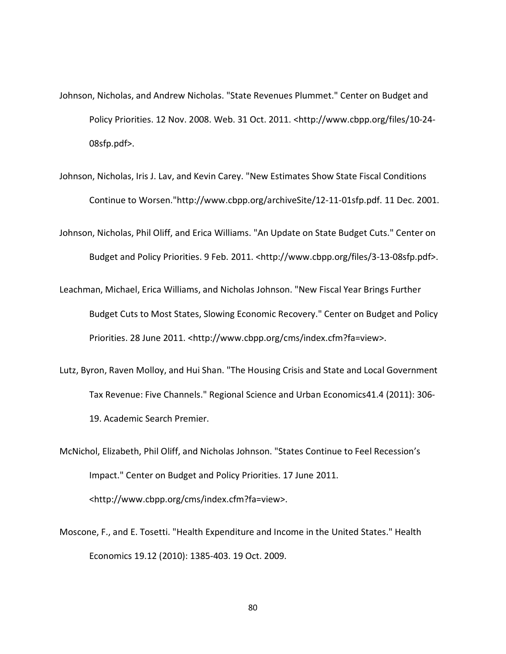- Johnson, Nicholas, and Andrew Nicholas. "State Revenues Plummet." Center on Budget and Policy Priorities. 12 Nov. 2008. Web. 31 Oct. 2011. <http://www.cbpp.org/files/10-24- 08sfp.pdf>.
- Johnson, Nicholas, Iris J. Lav, and Kevin Carey. "New Estimates Show State Fiscal Conditions Continue to Worsen."http://www.cbpp.org/archiveSite/12-11-01sfp.pdf. 11 Dec. 2001.
- Johnson, Nicholas, Phil Oliff, and Erica Williams. "An Update on State Budget Cuts." Center on Budget and Policy Priorities. 9 Feb. 2011. <http://www.cbpp.org/files/3-13-08sfp.pdf>.
- Leachman, Michael, Erica Williams, and Nicholas Johnson. "New Fiscal Year Brings Further Budget Cuts to Most States, Slowing Economic Recovery." Center on Budget and Policy Priorities. 28 June 2011. <http://www.cbpp.org/cms/index.cfm?fa=view>.
- Lutz, Byron, Raven Molloy, and Hui Shan. "The Housing Crisis and State and Local Government Tax Revenue: Five Channels." Regional Science and Urban Economics41.4 (2011): 306- 19. Academic Search Premier.
- McNichol, Elizabeth, Phil Oliff, and Nicholas Johnson. "States Continue to Feel Recession's Impact." Center on Budget and Policy Priorities. 17 June 2011. <http://www.cbpp.org/cms/index.cfm?fa=view>.
- Moscone, F., and E. Tosetti. "Health Expenditure and Income in the United States." Health Economics 19.12 (2010): 1385-403. 19 Oct. 2009.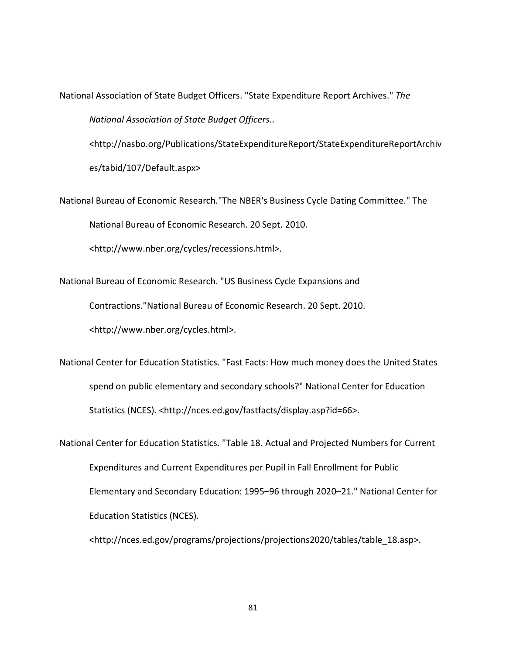National Association of State Budget Officers. "State Expenditure Report Archives." *The National Association of State Budget Officers*..

<http://nasbo.org/Publications/StateExpenditureReport/StateExpenditureReportArchiv es/tabid/107/Default.aspx>

National Bureau of Economic Research."The NBER's Business Cycle Dating Committee." The National Bureau of Economic Research. 20 Sept. 2010.

<http://www.nber.org/cycles/recessions.html>.

National Bureau of Economic Research. "US Business Cycle Expansions and Contractions."National Bureau of Economic Research. 20 Sept. 2010. <http://www.nber.org/cycles.html>.

National Center for Education Statistics. "Fast Facts: How much money does the United States spend on public elementary and secondary schools?" National Center for Education Statistics (NCES). <http://nces.ed.gov/fastfacts/display.asp?id=66>.

National Center for Education Statistics. "Table 18. Actual and Projected Numbers for Current Expenditures and Current Expenditures per Pupil in Fall Enrollment for Public Elementary and Secondary Education: 1995–96 through 2020–21." National Center for Education Statistics (NCES).

<http://nces.ed.gov/programs/projections/projections2020/tables/table\_18.asp>.

81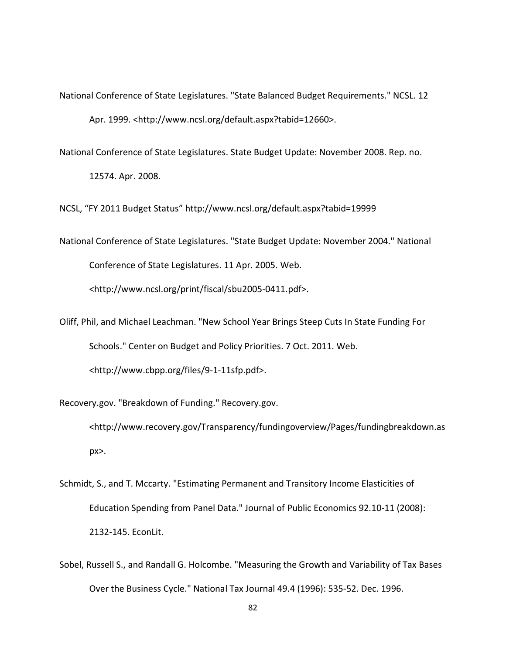- National Conference of State Legislatures. "State Balanced Budget Requirements." NCSL. 12 Apr. 1999. <http://www.ncsl.org/default.aspx?tabid=12660>.
- National Conference of State Legislatures. State Budget Update: November 2008. Rep. no.

12574. Apr. 2008.

NCSL, "FY 2011 Budget Status"<http://www.ncsl.org/default.aspx?tabid=19999>

- National Conference of State Legislatures. "State Budget Update: November 2004." National Conference of State Legislatures. 11 Apr. 2005. Web. <http://www.ncsl.org/print/fiscal/sbu2005-0411.pdf>.
- Oliff, Phil, and Michael Leachman. "New School Year Brings Steep Cuts In State Funding For Schools." Center on Budget and Policy Priorities. 7 Oct. 2011. Web. <http://www.cbpp.org/files/9-1-11sfp.pdf>.

Recovery.gov. "Breakdown of Funding." Recovery.gov.

<http://www.recovery.gov/Transparency/fundingoverview/Pages/fundingbreakdown.as px>.

- Schmidt, S., and T. Mccarty. "Estimating Permanent and Transitory Income Elasticities of Education Spending from Panel Data." Journal of Public Economics 92.10-11 (2008): 2132-145. EconLit.
- Sobel, Russell S., and Randall G. Holcombe. "Measuring the Growth and Variability of Tax Bases Over the Business Cycle." National Tax Journal 49.4 (1996): 535-52. Dec. 1996.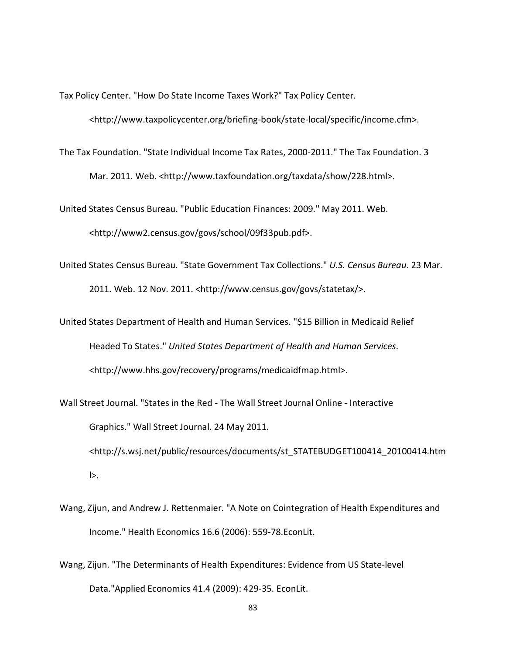Tax Policy Center. "How Do State Income Taxes Work?" Tax Policy Center.

<http://www.taxpolicycenter.org/briefing-book/state-local/specific/income.cfm>.

The Tax Foundation. "State Individual Income Tax Rates, 2000-2011." The Tax Foundation. 3 Mar. 2011. Web. <http://www.taxfoundation.org/taxdata/show/228.html>.

United States Census Bureau. "Public Education Finances: 2009." May 2011. Web. <http://www2.census.gov/govs/school/09f33pub.pdf>.

United States Census Bureau. "State Government Tax Collections." *U.S. Census Bureau*. 23 Mar. 2011. Web. 12 Nov. 2011. <http://www.census.gov/govs/statetax/>.

United States Department of Health and Human Services. "\$15 Billion in Medicaid Relief Headed To States." *United States Department of Health and Human Services*. <http://www.hhs.gov/recovery/programs/medicaidfmap.html>.

Wall Street Journal. "States in the Red - The Wall Street Journal Online - Interactive Graphics." Wall Street Journal. 24 May 2011. <http://s.wsj.net/public/resources/documents/st\_STATEBUDGET100414\_20100414.htm l>.

- Wang, Zijun, and Andrew J. Rettenmaier. "A Note on Cointegration of Health Expenditures and Income." Health Economics 16.6 (2006): 559-78.EconLit.
- Wang, Zijun. "The Determinants of Health Expenditures: Evidence from US State-level Data."Applied Economics 41.4 (2009): 429-35. EconLit.